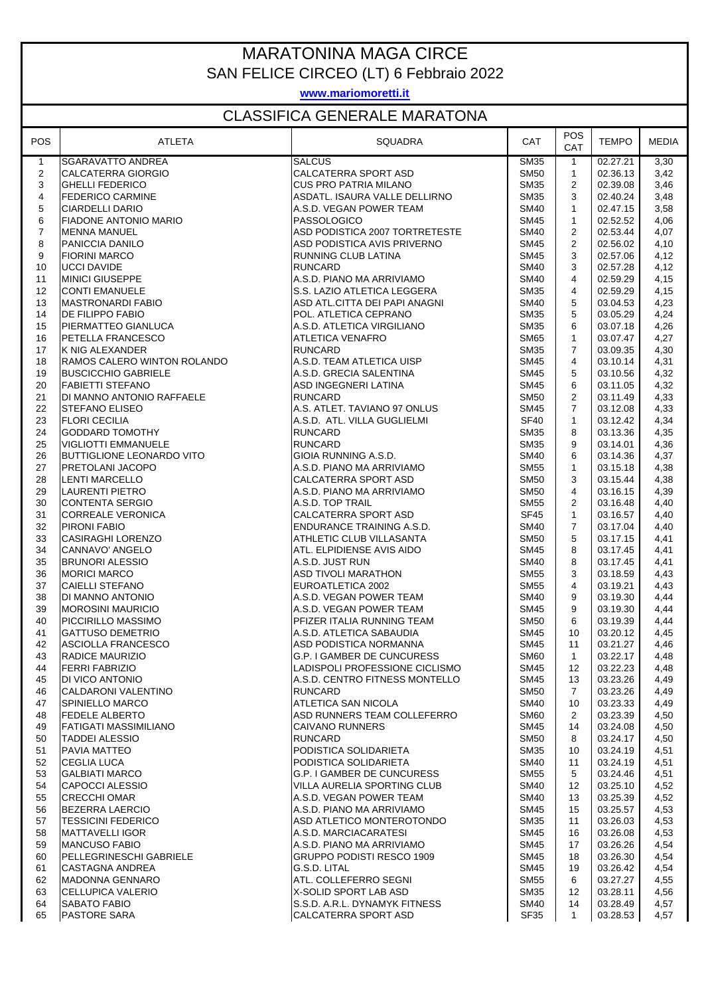## MARATONINA MAGA CIRCE SAN FELICE CIRCEO (LT) 6 Febbraio 2022

**www.mariomoretti.it**

## CLASSIFICA GENERALE MARATONA

| <b>POS</b>     | ATLETA                                              | <b>SQUADRA</b>                                         | CAT                        | <b>POS</b><br>CAT | <b>TEMPO</b>         | <b>MEDIA</b> |
|----------------|-----------------------------------------------------|--------------------------------------------------------|----------------------------|-------------------|----------------------|--------------|
| $\mathbf{1}$   | SGARAVATTO ANDREA                                   | <b>SALCUS</b>                                          | <b>SM35</b>                | $\mathbf{1}$      | 02.27.21             | 3,30         |
| $\overline{2}$ | CALCATERRA GIORGIO                                  | <b>CALCATERRA SPORT ASD</b>                            | <b>SM50</b>                | $\mathbf{1}$      | 02.36.13             | 3,42         |
| 3              | <b>GHELLI FEDERICO</b>                              | <b>CUS PRO PATRIA MILANO</b>                           | <b>SM35</b>                | $\mathbf{2}$      | 02.39.08             | 3,46         |
| $\overline{4}$ | <b>FEDERICO CARMINE</b>                             | ASDATL. ISAURA VALLE DELLIRNO                          | <b>SM35</b>                | 3                 | 02.40.24             | 3,48         |
| 5              | <b>CIARDELLI DARIO</b>                              | A.S.D. VEGAN POWER TEAM                                | <b>SM40</b>                | $\mathbf{1}$      | 02.47.15             | 3,58         |
| $\,6\,$        | <b>FIADONE ANTONIO MARIO</b>                        | PASSOLOGICO                                            | <b>SM45</b>                | $\mathbf{1}$      | 02.52.52             | 4,06         |
| $\overline{7}$ | <b>MENNA MANUEL</b>                                 | ASD PODISTICA 2007 TORTRETESTE                         | <b>SM40</b>                | $\overline{2}$    | 02.53.44             | 4,07         |
| 8              | PANICCIA DANILO                                     | ASD PODISTICA AVIS PRIVERNO                            | <b>SM45</b>                | $\overline{2}$    | 02.56.02             | 4,10         |
| 9              | <b>FIORINI MARCO</b>                                | RUNNING CLUB LATINA                                    | <b>SM45</b>                | 3                 | 02.57.06             | 4,12         |
| 10             | <b>UCCI DAVIDE</b>                                  | <b>RUNCARD</b>                                         | <b>SM40</b>                | 3                 | 02.57.28             | 4,12         |
| 11             | <b>MINICI GIUSEPPE</b>                              | A.S.D. PIANO MA ARRIVIAMO                              | <b>SM40</b>                | $\overline{4}$    | 02.59.29             | 4,15         |
| 12             | <b>CONTI EMANUELE</b>                               | S.S. LAZIO ATLETICA LEGGERA                            | <b>SM35</b>                | 4                 | 02.59.29             | 4,15         |
| 13             | <b>MASTRONARDI FABIO</b><br><b>DE FILIPPO FABIO</b> | ASD ATL.CITTA DEI PAPI ANAGNI<br>POL. ATLETICA CEPRANO | <b>SM40</b><br><b>SM35</b> | 5<br>5            | 03.04.53             | 4,23         |
| 14             | PIERMATTEO GIANLUCA                                 | A.S.D. ATLETICA VIRGILIANO                             | <b>SM35</b>                | 6                 | 03.05.29             | 4,24         |
| 15<br>16       | PETELLA FRANCESCO                                   | ATLETICA VENAFRO                                       | <b>SM65</b>                | $\mathbf{1}$      | 03.07.18<br>03.07.47 | 4,26<br>4,27 |
| 17             | K NIG ALEXANDER                                     | <b>RUNCARD</b>                                         | <b>SM35</b>                | $\overline{7}$    | 03.09.35             | 4,30         |
| 18             | RAMOS CALERO WINTON ROLANDO                         | A.S.D. TEAM ATLETICA UISP                              | <b>SM45</b>                | $\overline{4}$    | 03.10.14             | 4,31         |
| 19             | <b>BUSCICCHIO GABRIELE</b>                          | A.S.D. GRECIA SALENTINA                                | <b>SM45</b>                | 5                 | 03.10.56             | 4,32         |
| 20             | <b>FABIETTI STEFANO</b>                             | ASD INGEGNERI LATINA                                   | <b>SM45</b>                | 6                 | 03.11.05             | 4,32         |
| 21             | DI MANNO ANTONIO RAFFAELE                           | <b>RUNCARD</b>                                         | <b>SM50</b>                | $\overline{2}$    | 03.11.49             | 4,33         |
| 22             | <b>STEFANO ELISEO</b>                               | A.S. ATLET. TAVIANO 97 ONLUS                           | <b>SM45</b>                | $\overline{7}$    | 03.12.08             | 4,33         |
| 23             | <b>FLORI CECILIA</b>                                | A.S.D. ATL. VILLA GUGLIELMI                            | SF <sub>40</sub>           | $\mathbf{1}$      | 03.12.42             | 4,34         |
| 24             | <b>GODDARD TOMOTHY</b>                              | <b>RUNCARD</b>                                         | <b>SM35</b>                | 8                 | 03.13.36             | 4,35         |
| 25             | VIGLIOTTI EMMANUELE                                 | <b>RUNCARD</b>                                         | <b>SM35</b>                | 9                 | 03.14.01             | 4,36         |
| 26             | <b>BUTTIGLIONE LEONARDO VITO</b>                    | GIOIA RUNNING A.S.D.                                   | <b>SM40</b>                | 6                 | 03.14.36             | 4,37         |
| 27             | PRETOLANI JACOPO                                    | A.S.D. PIANO MA ARRIVIAMO                              | <b>SM55</b>                | $\mathbf{1}$      | 03.15.18             | 4,38         |
| 28             | LENTI MARCELLO                                      | CALCATERRA SPORT ASD                                   | <b>SM50</b>                | 3                 | 03.15.44             | 4,38         |
| 29             | <b>LAURENTI PIETRO</b>                              | A.S.D. PIANO MA ARRIVIAMO                              | <b>SM50</b>                | $\overline{4}$    | 03.16.15             | 4,39         |
| 30             | CONTENTA SERGIO                                     | A.S.D. TOP TRAIL                                       | <b>SM55</b>                | 2                 | 03.16.48             | 4,40         |
| 31             | <b>CORREALE VERONICA</b>                            | <b>CALCATERRA SPORT ASD</b>                            | <b>SF45</b>                | $\mathbf{1}$      | 03.16.57             | 4,40         |
| 32             | <b>PIRONI FABIO</b>                                 | ENDURANCE TRAINING A.S.D.                              | <b>SM40</b>                | $\overline{7}$    | 03.17.04             | 4,40         |
| 33             | <b>CASIRAGHI LORENZO</b>                            | ATHLETIC CLUB VILLASANTA                               | <b>SM50</b>                | 5                 | 03.17.15             | 4,41         |
| 34             | CANNAVO' ANGELO                                     | ATL. ELPIDIENSE AVIS AIDO                              | <b>SM45</b>                | 8                 | 03.17.45             | 4,41         |
| 35             | <b>BRUNORI ALESSIO</b>                              | A.S.D. JUST RUN                                        | <b>SM40</b>                | 8                 | 03.17.45             | 4,41         |
| 36             | <b>MORICI MARCO</b>                                 | <b>ASD TIVOLI MARATHON</b>                             | <b>SM55</b>                | 3                 | 03.18.59             | 4,43         |
| 37             | <b>CAIELLI STEFANO</b>                              | EUROATLETICA 2002                                      | <b>SM55</b>                | 4                 | 03.19.21             | 4,43         |
| 38             | DI MANNO ANTONIO                                    | A.S.D. VEGAN POWER TEAM                                | <b>SM40</b>                | 9                 | 03.19.30             | 4,44         |
| 39             | <b>MOROSINI MAURICIO</b>                            | A.S.D. VEGAN POWER TEAM                                | <b>SM45</b>                | 9                 | 03.19.30             | 4,44         |
| 40<br>41       | PICCIRILLO MASSIMO<br><b>GATTUSO DEMETRIO</b>       | PFIZER ITALIA RUNNING TEAM<br>A.S.D. ATLETICA SABAUDIA | <b>SM50</b><br><b>SM45</b> | 6<br>10           | 03.19.39<br>03.20.12 | 4,44<br>4,45 |
| 42             | ASCIOLLA FRANCESCO                                  | ASD PODISTICA NORMANNA                                 | <b>SM45</b>                | 11                | 03.21.27             | 4,46         |
| 43             | RADICE MAURIZIO                                     | G.P. I GAMBER DE CUNCURESS                             | <b>SM60</b>                | $1 -$             | 03.22.17             | 4,48         |
| 44             | <b>FERRI FABRIZIO</b>                               | LADISPOLI PROFESSIONE CICLISMO                         | SM45                       | 12                | 03.22.23             | 4,48         |
| 45             | DI VICO ANTONIO                                     | A.S.D. CENTRO FITNESS MONTELLO                         | <b>SM45</b>                | 13                | 03.23.26             | 4,49         |
| 46             | <b>CALDARONI VALENTINO</b>                          | <b>RUNCARD</b>                                         | <b>SM50</b>                | $\overline{7}$    | 03.23.26             | 4,49         |
| 47             | <b>SPINIELLO MARCO</b>                              | ATLETICA SAN NICOLA                                    | <b>SM40</b>                | 10                | 03.23.33             | 4,49         |
| 48             | <b>FEDELE ALBERTO</b>                               | ASD RUNNERS TEAM COLLEFERRO                            | <b>SM60</b>                | 2                 | 03.23.39             | 4,50         |
| 49             | <b>FATIGATI MASSIMILIANO</b>                        | <b>CAIVANO RUNNERS</b>                                 | <b>SM45</b>                | 14                | 03.24.08             | 4,50         |
| 50             | <b>TADDEI ALESSIO</b>                               | <b>RUNCARD</b>                                         | <b>SM50</b>                | 8                 | 03.24.17             | 4,50         |
| 51             | PAVIA MATTEO                                        | PODISTICA SOLIDARIETA                                  | <b>SM35</b>                | 10                | 03.24.19             | 4,51         |
| 52             | <b>CEGLIA LUCA</b>                                  | PODISTICA SOLIDARIETA                                  | <b>SM40</b>                | 11                | 03.24.19             | 4,51         |
| 53             | <b>GALBIATI MARCO</b>                               | G.P. I GAMBER DE CUNCURESS                             | <b>SM55</b>                | 5                 | 03.24.46             | 4,51         |
| 54             | CAPOCCI ALESSIO                                     | VILLA AURELIA SPORTING CLUB                            | <b>SM40</b>                | 12                | 03.25.10             | 4,52         |
| 55             | <b>CRECCHI OMAR</b>                                 | A.S.D. VEGAN POWER TEAM                                | <b>SM40</b>                | 13                | 03.25.39             | 4,52         |
| 56             | <b>BEZERRA LAERCIO</b>                              | A.S.D. PIANO MA ARRIVIAMO                              | <b>SM45</b>                | 15                | 03.25.57             | 4,53         |
| 57             | <b>TESSICINI FEDERICO</b>                           | ASD ATLETICO MONTEROTONDO                              | <b>SM35</b>                | 11                | 03.26.03             | 4,53         |
| 58             | <b>MATTAVELLI IGOR</b>                              | A.S.D. MARCIACARATESI                                  | <b>SM45</b>                | 16                | 03.26.08             | 4,53         |
| 59             | <b>MANCUSO FABIO</b>                                | A.S.D. PIANO MA ARRIVIAMO                              | <b>SM45</b>                | 17                | 03.26.26             | 4,54         |
| 60             | <b>PELLEGRINESCHI GABRIELE</b>                      | <b>GRUPPO PODISTI RESCO 1909</b>                       | <b>SM45</b>                | 18                | 03.26.30             | 4,54         |
| 61             | <b>CASTAGNA ANDREA</b>                              | G.S.D. LITAL                                           | <b>SM45</b>                | 19                | 03.26.42             | 4,54         |
| 62             | <b>MADONNA GENNARO</b>                              | ATL. COLLEFERRO SEGNI                                  | <b>SM55</b>                | 6                 | 03.27.27             | 4,55         |
| 63             | <b>CELLUPICA VALERIO</b>                            | X-SOLID SPORT LAB ASD                                  | <b>SM35</b>                | 12                | 03.28.11             | 4,56         |
| 64             | SABATO FABIO                                        | S.S.D. A.R.L. DYNAMYK FITNESS                          | <b>SM40</b>                | 14                | 03.28.49             | 4,57         |
| 65             | PASTORE SARA                                        | CALCATERRA SPORT ASD                                   | SF35                       | $\mathbf{1}$      | 03.28.53             | 4,57         |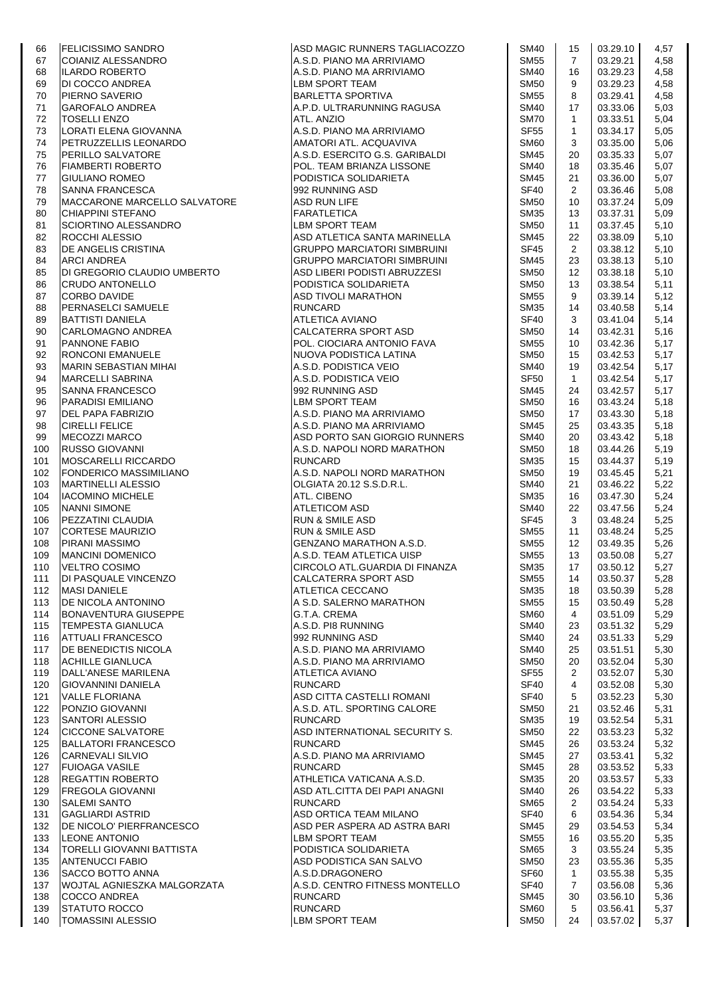| 66         |                                                                                                                                                                                                                                                  | ASD MAGIC RUNNERS TAGLIACOZZO                                                                                                                           | <b>SM40</b>                | 15             | 03.29.10             | 4,57         |
|------------|--------------------------------------------------------------------------------------------------------------------------------------------------------------------------------------------------------------------------------------------------|---------------------------------------------------------------------------------------------------------------------------------------------------------|----------------------------|----------------|----------------------|--------------|
| 67         | FELICISSIMO SANDRO<br>COIANIZ ALESSANDRO<br>ILARDO ROBERTO<br>DI COCCO ANDREA<br>PIERNO SAVERIO<br>GAROFALO ANDREA<br>TOSELLI ENZO<br>LORATI ELENA GIOVANNA<br>PETRUZZELLIS LEONARDO<br>PERILLO SALVATORE<br>FIAMBERTI ROBERTO<br>GIULIANO ROMEO | A.S.D. PIANO MA ARRIVIAMO                                                                                                                               | <b>SM55</b>                | $\overline{7}$ | 03.29.21             | 4,58         |
| 68         |                                                                                                                                                                                                                                                  | A.S.D. PIANO MA ARRIVIAMO                                                                                                                               | <b>SM40</b>                | 16             | 03.29.23             | 4,58         |
| 69         |                                                                                                                                                                                                                                                  | LBM SPORT TEAM                                                                                                                                          | <b>SM50</b>                | 9              | 03.29.23             | 4,58         |
| 70         |                                                                                                                                                                                                                                                  | BARLETTA SPORTIVA<br>A.P.D. ULTRARUNNING RAGUSA                                                                                                         | <b>SM55</b>                | 8              | 03.29.41             | 4,58         |
| 71         |                                                                                                                                                                                                                                                  |                                                                                                                                                         | <b>SM40</b>                | 17             | 03.33.06             | 5,03         |
| 72         |                                                                                                                                                                                                                                                  | ATL. ANZIO                                                                                                                                              | <b>SM70</b>                | $\mathbf{1}$   | 03.33.51             | 5,04         |
| 73         |                                                                                                                                                                                                                                                  | A.S.D. PIANO MA ARRIVIAMO                                                                                                                               | <b>SF55</b>                | $\mathbf{1}$   | 03.34.17             | 5,05         |
| 74         |                                                                                                                                                                                                                                                  | AMATORI ATL. ACQUAVIVA                                                                                                                                  | SM <sub>60</sub>           | 3              | 03.35.00             | 5,06         |
| 75         |                                                                                                                                                                                                                                                  | A.S.D. ESERCITO G.S. GARIBALDI                                                                                                                          | <b>SM45</b>                | 20             | 03.35.33             | 5,07         |
| 76         |                                                                                                                                                                                                                                                  | POL. TEAM BRIANZA LISSONE                                                                                                                               | <b>SM40</b>                | 18             | 03.35.46             | 5,07         |
| 77         | <b>GIULIANO ROMEO</b>                                                                                                                                                                                                                            | PODISTICA SOLIDARIETA                                                                                                                                   | <b>SM45</b>                | 21             | 03.36.00             | 5,07         |
| 78         | <b>SANNA FRANCESCA</b>                                                                                                                                                                                                                           | 992 RUNNING ASD                                                                                                                                         | SF40                       | 2              | 03.36.46             | 5,08         |
| 79         | MACCARONE MARCELLO SALVATORE                                                                                                                                                                                                                     | <b>ASD RUN LIFE</b>                                                                                                                                     | <b>SM50</b>                | 10             | 03.37.24             | 5,09         |
| 80         | CHIAPPINI STEFANO                                                                                                                                                                                                                                | <b>FARATLETICA</b>                                                                                                                                      | SM35                       | 13             | 03.37.31             | 5,09         |
| 81         | SCIORTINO ALESSANDRO                                                                                                                                                                                                                             | LBM SPORT TEAM                                                                                                                                          | <b>SM50</b>                | 11             | 03.37.45             | 5,10         |
| 82         | ROCCHI ALESSIO                                                                                                                                                                                                                                   | ASD ATLETICA SANTA MARINELLA                                                                                                                            | <b>SM45</b>                | 22             | 03.38.09             | 5,10         |
| 83         | DE ANGELIS CRISTINA                                                                                                                                                                                                                              | <b>GRUPPO MARCIATORI SIMBRUINI</b>                                                                                                                      | SF45                       | $\overline{2}$ | 03.38.12             | 5,10         |
| 84         | <b>ARCI ANDREA</b>                                                                                                                                                                                                                               | <b>GRUPPO MARCIATORI SIMBRUINI</b>                                                                                                                      | <b>SM45</b>                | 23             | 03.38.13             | 5,10         |
| 85         | DI GREGORIO CLAUDIO UMBERTO                                                                                                                                                                                                                      | ASD LIBERI PODISTI ABRUZZESI                                                                                                                            | <b>SM50</b>                | 12             | 03.38.18             | 5,10         |
| 86         | <b>CRUDO ANTONELLO</b>                                                                                                                                                                                                                           | PODISTICA SOLIDARIETA                                                                                                                                   | <b>SM50</b>                | 13             | 03.38.54             | 5,11         |
| 87         | <b>CORBO DAVIDE</b>                                                                                                                                                                                                                              | ASD TIVOLI MARATHON<br>RUNCARD<br>ATLETICA AVIANO<br>CALCATERRA SPORT ASD                                                                               | <b>SM55</b>                | 9              | 03.39.14             | 5,12         |
| 88         | PERNASELCI SAMUELE<br>BATTISTI DANIELA<br>ICARI OMAGNO ANDREA                                                                                                                                                                                    |                                                                                                                                                         | <b>SM35</b>                | 14             | 03.40.58             | 5,14         |
| 89         |                                                                                                                                                                                                                                                  |                                                                                                                                                         | SF40                       | 3              | 03.41.04             | 5,14         |
| 90         | CARLOMAGNO ANDREA                                                                                                                                                                                                                                |                                                                                                                                                         | <b>SM50</b>                | 14             | 03.42.31             | 5,16         |
| 91         | <b>PANNONE FABIO</b>                                                                                                                                                                                                                             | POL. CIOCIARA ANTONIO FAVA<br>NUOVA PODISTICA LATINA                                                                                                    | <b>SM55</b>                | 10             | 03.42.36             | 5,17         |
| 92         | <b>RONCONI EMANUELE</b>                                                                                                                                                                                                                          |                                                                                                                                                         | <b>SM50</b>                | 15             | 03.42.53             | 5,17         |
| 93         | MARIN SEBASTIAN MIHAI                                                                                                                                                                                                                            | A.S.D. PODISTICA VEIO                                                                                                                                   | <b>SM40</b>                | 19             | 03.42.54             | 5,17         |
| 94         | <b>MARCELLI SABRINA</b>                                                                                                                                                                                                                          | A.S.D. PODISTICA VEIO                                                                                                                                   | <b>SF50</b>                | $\mathbf{1}$   | 03.42.54             | 5,17         |
| 95         | <b>SANNA FRANCESCO</b>                                                                                                                                                                                                                           | 992 RUNNING ASD                                                                                                                                         | SM45                       | 24             | 03.42.57             | 5,17         |
| 96         | <b>PARADISI EMILIANO</b>                                                                                                                                                                                                                         | LBM SPORT TEAM                                                                                                                                          | <b>SM50</b>                | 16             | 03.43.24             | 5,18         |
| 97         | DEL PAPA FABRIZIO                                                                                                                                                                                                                                | A.S.D. PIANO MA ARRIVIAMO                                                                                                                               | <b>SM50</b>                | 17             | 03.43.30             | 5,18         |
| 98         | <b>CIRELLI FELICE</b>                                                                                                                                                                                                                            | A.S.D. PIANO MA ARRIVIAMO                                                                                                                               | <b>SM45</b>                | 25             | 03.43.35             | 5,18         |
| 99         | <b>MECOZZI MARCO</b>                                                                                                                                                                                                                             | ASD PORTO SAN GIORGIO RUNNERS                                                                                                                           | <b>SM40</b>                | 20             | 03.43.42             | 5,18         |
| 100        | <b>RUSSO GIOVANNI</b>                                                                                                                                                                                                                            | A.S.D. NAPOLI NORD MARATHON                                                                                                                             | <b>SM50</b>                | 18             | 03.44.26             | 5,19         |
| 101        | MOSCARELLI RICCARDO                                                                                                                                                                                                                              | <b>RUNCARD</b>                                                                                                                                          | <b>SM35</b>                | 15             | 03.44.37             | 5,19         |
| 102        | <b>FONDERICO MASSIMILIANO</b>                                                                                                                                                                                                                    | A.S.D. NAPOLI NORD MARATHON                                                                                                                             | <b>SM50</b>                | 19             | 03.45.45             | 5,21         |
| 103        | <b>MARTINELLI ALESSIO</b>                                                                                                                                                                                                                        | ALCOLATA 20.12 S.S.D.R.L.<br>ATL. CIBENO<br>ATLETICOM ASD<br>RUN & SMILE ASD<br>RUN & SMILE ASD<br>GENZANO MARATHON A.S.D.<br>A.S.D. TEAM ATLETICA UISP | <b>SM40</b>                | 21             | 03.46.22             | 5,22         |
| 104        | <b>IACOMINO MICHELE</b>                                                                                                                                                                                                                          |                                                                                                                                                         | <b>SM35</b>                | 16             | 03.47.30             | 5,24         |
| 105        | <b>NANNI SIMONE</b>                                                                                                                                                                                                                              |                                                                                                                                                         | <b>SM40</b>                | 22             | 03.47.56             | 5,24         |
| 106        | PEZZATINI CLAUDIA                                                                                                                                                                                                                                |                                                                                                                                                         | <b>SF45</b>                | 3              | 03.48.24             | 5,25         |
| 107        | <b>CORTESE MAURIZIO</b>                                                                                                                                                                                                                          |                                                                                                                                                         | <b>SM55</b>                | 11             | 03.48.24             | 5,25         |
| 108        | <b>PIRANI MASSIMO</b>                                                                                                                                                                                                                            |                                                                                                                                                         | <b>SM55</b>                | 12             | 03.49.35             | 5,26         |
| 109        | <b>MANCINI DOMENICO</b><br><b>VELTRO COSIMO</b>                                                                                                                                                                                                  | CIRCOLO ATL.GUARDIA DI FINANZA                                                                                                                          | <b>SM55</b><br><b>SM35</b> | 13<br>17       | 03.50.08<br>03.50.12 | 5,27<br>5,27 |
| 110        |                                                                                                                                                                                                                                                  |                                                                                                                                                         |                            |                |                      |              |
| 111        | DI PASQUALE VINCENZO<br><b>MASI DANIELE</b>                                                                                                                                                                                                      | CALCATERRA SPORT ASD<br>ATLETICA CECCANO                                                                                                                | <b>SM55</b>                | 14             | 03.50.37             | 5,28         |
| 112<br>113 | <b>DE NICOLA ANTONINO</b>                                                                                                                                                                                                                        | A S.D. SALERNO MARATHON                                                                                                                                 | <b>SM35</b><br><b>SM55</b> | 18<br>15       | 03.50.39<br>03.50.49 | 5,28         |
| 114        | <b>BONAVENTURA GIUSEPPE</b>                                                                                                                                                                                                                      | G.T.A. CREMA                                                                                                                                            | <b>SM60</b>                | 4              |                      | 5,28<br>5,29 |
| 115        | <b>TEMPESTA GIANLUCA</b>                                                                                                                                                                                                                         | A.S.D. PI8 RUNNING                                                                                                                                      | <b>SM40</b>                | 23             | 03.51.09<br>03.51.32 | 5,29         |
| 116        | ATTUALI FRANCESCO                                                                                                                                                                                                                                | 992 RUNNING ASD                                                                                                                                         | <b>SM40</b>                | 24             | 03.51.33             | 5,29         |
| 117        | DE BENEDICTIS NICOLA                                                                                                                                                                                                                             | A.S.D. PIANO MA ARRIVIAMO                                                                                                                               | <b>SM40</b>                | 25             | 03.51.51             | 5,30         |
| 118        | <b>ACHILLE GIANLUCA</b>                                                                                                                                                                                                                          | A.S.D. PIANO MA ARRIVIAMO                                                                                                                               | <b>SM50</b>                | 20             | 03.52.04             | 5,30         |
| 119        | DALL'ANESE MARILENA                                                                                                                                                                                                                              | ATLETICA AVIANO                                                                                                                                         | <b>SF55</b>                | $\overline{2}$ | 03.52.07             | 5,30         |
| 120        | <b>GIOVANNINI DANIELA</b>                                                                                                                                                                                                                        | <b>RUNCARD</b>                                                                                                                                          | <b>SF40</b>                | 4              | 03.52.08             | 5,30         |
| 121        | <b>VALLE FLORIANA</b>                                                                                                                                                                                                                            | ASD CITTA CASTELLI ROMANI                                                                                                                               | SF40                       | 5              | 03.52.23             | 5,30         |
| 122        | PONZIO GIOVANNI                                                                                                                                                                                                                                  | A.S.D. ATL. SPORTING CALORE                                                                                                                             | <b>SM50</b>                | 21             | 03.52.46             | 5,31         |
| 123        | <b>SANTORI ALESSIO</b>                                                                                                                                                                                                                           | <b>RUNCARD</b>                                                                                                                                          | <b>SM35</b>                | 19             | 03.52.54             | 5,31         |
| 124        | <b>CICCONE SALVATORE</b>                                                                                                                                                                                                                         | ASD INTERNATIONAL SECURITY S.                                                                                                                           | <b>SM50</b>                | 22             | 03.53.23             | 5,32         |
| 125        | <b>BALLATORI FRANCESCO</b>                                                                                                                                                                                                                       | <b>RUNCARD</b>                                                                                                                                          | <b>SM45</b>                | 26             | 03.53.24             | 5,32         |
| 126        | <b>CARNEVALI SILVIO</b>                                                                                                                                                                                                                          | A.S.D. PIANO MA ARRIVIAMO                                                                                                                               | <b>SM45</b>                | 27             | 03.53.41             | 5,32         |
| 127        | <b>FUIOAGA VASILE</b>                                                                                                                                                                                                                            | <b>RUNCARD</b>                                                                                                                                          | <b>SM45</b>                | 28             | 03.53.52             | 5,33         |
| 128        | <b>REGATTIN ROBERTO</b>                                                                                                                                                                                                                          | ATHLETICA VATICANA A.S.D.                                                                                                                               | <b>SM35</b>                | 20             | 03.53.57             | 5,33         |
| 129        | <b>FREGOLA GIOVANNI</b>                                                                                                                                                                                                                          | ASD ATL.CITTA DEI PAPI ANAGNI                                                                                                                           | <b>SM40</b>                | 26             | 03.54.22             | 5,33         |
| 130        | <b>SALEMI SANTO</b>                                                                                                                                                                                                                              | <b>RUNCARD</b>                                                                                                                                          | <b>SM65</b>                | 2              | 03.54.24             | 5,33         |
| 131        | GAGLIARDI ASTRID                                                                                                                                                                                                                                 | ASD ORTICA TEAM MILANO                                                                                                                                  | SF40                       | 6              | 03.54.36             | 5,34         |
| 132        | DE NICOLO' PIERFRANCESCO                                                                                                                                                                                                                         | ASD PER ASPERA AD ASTRA BARI                                                                                                                            | <b>SM45</b>                | 29             | 03.54.53             | 5,34         |
| 133        | <b>LEONE ANTONIO</b>                                                                                                                                                                                                                             | LBM SPORT TEAM                                                                                                                                          | <b>SM55</b>                | 16             | 03.55.20             | 5,35         |
| 134        | TORELLI GIOVANNI BATTISTA                                                                                                                                                                                                                        | PODISTICA SOLIDARIETA                                                                                                                                   | <b>SM65</b>                | 3              | 03.55.24             | 5,35         |
| 135        | <b>ANTENUCCI FABIO</b>                                                                                                                                                                                                                           | ASD PODISTICA SAN SALVO                                                                                                                                 | <b>SM50</b>                | 23             | 03.55.36             | 5,35         |
| 136        | <b>SACCO BOTTO ANNA</b>                                                                                                                                                                                                                          | A.S.D.DRAGONERO                                                                                                                                         | SF60                       | $\mathbf{1}$   | 03.55.38             | 5,35         |
| 137        | WOJTAL AGNIESZKA MALGORZATA                                                                                                                                                                                                                      | A.S.D. CENTRO FITNESS MONTELLO                                                                                                                          | SF <sub>40</sub>           | 7              | 03.56.08             | 5,36         |
| 138        | <b>COCCO ANDREA</b>                                                                                                                                                                                                                              | <b>RUNCARD</b>                                                                                                                                          | <b>SM45</b>                | 30             | 03.56.10             | 5,36         |
| 139        | <b>STATUTO ROCCO</b>                                                                                                                                                                                                                             | <b>RUNCARD</b>                                                                                                                                          | SM60                       | 5              | 03.56.41             | 5,37         |
| 140        | <b>TOMASSINI ALESSIO</b>                                                                                                                                                                                                                         | <b>LBM SPORT TEAM</b>                                                                                                                                   | <b>SM50</b>                | 24             | 03.57.02             | 5,37         |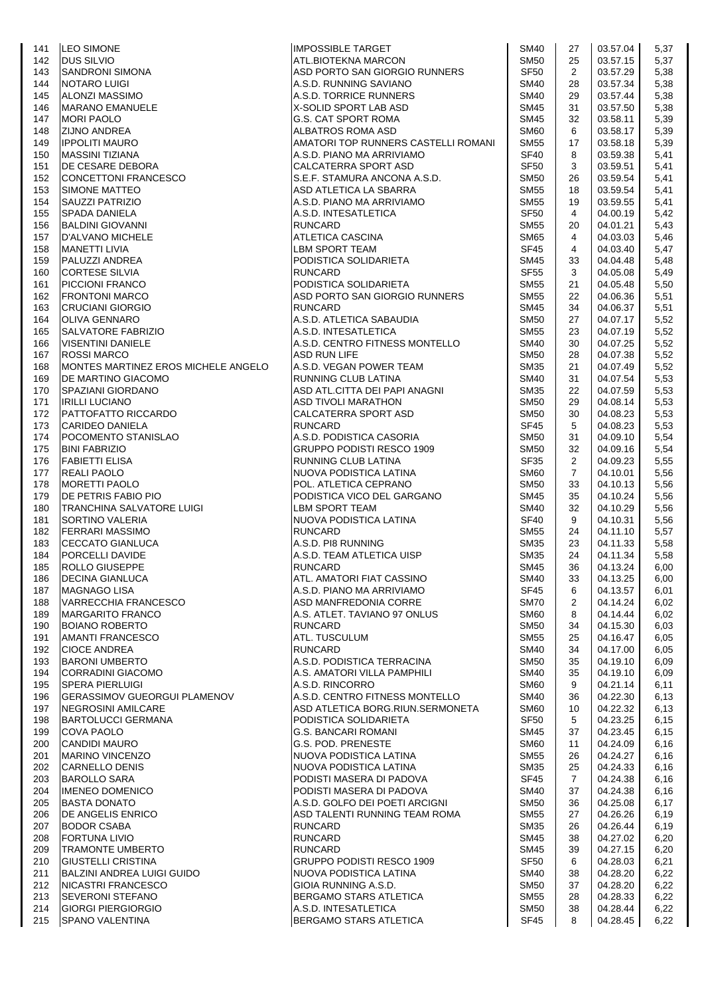| 141        | <b>LEO SIMONE</b>                             | <b>IMPOSSIBLE TARGET</b>                                 | SM40                       | 27                   | 03.57.04             | 5,37         |
|------------|-----------------------------------------------|----------------------------------------------------------|----------------------------|----------------------|----------------------|--------------|
| 142        | <b>DUS SILVIO</b>                             | ATL.BIOTEKNA MARCON                                      | <b>SM50</b>                | 25                   | 03.57.15             | 5,37         |
| 143        | <b>SANDRONI SIMONA</b>                        | ASD PORTO SAN GIORGIO RUNNERS                            | SF <sub>50</sub>           | $\overline{2}$       | 03.57.29             | 5,38         |
| 144        | NOTARO LUIGI                                  | A.S.D. RUNNING SAVIANO                                   | SM40                       | 28                   | 03.57.34             | 5,38         |
| 145        | <b>ALONZI MASSIMO</b>                         | A.S.D. TORRICE RUNNERS                                   | SM40                       | 29                   | 03.57.44             | 5,38         |
| 146        | <b>MARANO EMANUELE</b>                        | X-SOLID SPORT LAB ASD                                    | SM45                       | 31                   | 03.57.50             | 5,38         |
| 147        | <b>MORI PAOLO</b>                             | G.S. CAT SPORT ROMA                                      | SM45                       | 32                   | 03.58.11             | 5,39         |
| 148        | <b>ZIJNO ANDREA</b>                           | ALBATROS ROMA ASD                                        | SM60                       | 6                    | 03.58.17             | 5,39         |
| 149        | <b>IPPOLITI MAURO</b>                         | AMATORI TOP RUNNERS CASTELLI ROMANI                      | SM55                       | 17                   | 03.58.18             | 5,39         |
| 150        | <b>MASSINI TIZIANA</b><br>DE CESARE DEBORA    | A.S.D. PIANO MA ARRIVIAMO<br><b>CALCATERRA SPORT ASD</b> | SF40<br><b>SF50</b>        | 8<br>3               | 03.59.38<br>03.59.51 | 5,41<br>5,41 |
| 151<br>152 | <b>CONCETTONI FRANCESCO</b>                   | S.E.F. STAMURA ANCONA A.S.D.                             | SM50                       | 26                   | 03.59.54             | 5,41         |
| 153        | <b>SIMONE MATTEO</b>                          | ASD ATLETICA LA SBARRA                                   | SM55                       | 18                   | 03.59.54             | 5,41         |
| 154        | <b>SAUZZI PATRIZIO</b>                        | A.S.D. PIANO MA ARRIVIAMO                                | <b>SM55</b>                | 19                   | 03.59.55             | 5,41         |
| 155        | SPADA DANIELA                                 | A.S.D. INTESATLETICA                                     | SF <sub>50</sub>           | 4                    | 04.00.19             | 5,42         |
| 156        | <b>BALDINI GIOVANNI</b>                       | <b>RUNCARD</b>                                           | SM55                       | 20                   | 04.01.21             | 5,43         |
| 157        | <b>D'ALVANO MICHELE</b>                       | ATLETICA CASCINA                                         | <b>SM65</b>                | 4                    | 04.03.03             | 5,46         |
| 158        | <b>MANETTI LIVIA</b>                          | LBM SPORT TEAM                                           | SF45                       | 4                    | 04.03.40             | 5,47         |
| 159        | PALUZZI ANDREA                                | PODISTICA SOLIDARIETA                                    | SM45                       | 33                   | 04.04.48             | 5,48         |
| 160        | <b>CORTESE SILVIA</b>                         | <b>RUNCARD</b>                                           | <b>SF55</b>                | 3                    | 04.05.08             | 5,49         |
| 161        | <b>PICCIONI FRANCO</b>                        | PODISTICA SOLIDARIETA                                    | SM55                       | 21                   | 04.05.48             | 5,50         |
| 162        | <b>FRONTONI MARCO</b>                         | ASD PORTO SAN GIORGIO RUNNERS                            | SM55                       | 22                   | 04.06.36             | 5,51         |
| 163        | <b>CRUCIANI GIORGIO</b>                       | <b>RUNCARD</b>                                           | SM45                       | 34                   | 04.06.37             | 5,51         |
| 164        | <b>OLIVA GENNARO</b>                          | A.S.D. ATLETICA SABAUDIA                                 | SM50                       | 27                   | 04.07.17             | 5,52         |
| 165        | <b>SALVATORE FABRIZIO</b>                     | A.S.D. INTESATLETICA                                     | SM55                       | 23                   | 04.07.19             | 5,52         |
| 166        | <b>VISENTINI DANIELE</b>                      | A.S.D. CENTRO FITNESS MONTELLO                           | <b>SM40</b>                | 30                   | 04.07.25             | 5,52         |
| 167        | <b>ROSSI MARCO</b>                            | <b>ASD RUN LIFE</b>                                      | SM50                       | 28                   | 04.07.38             | 5,52         |
| 168        | MONTES MARTINEZ EROS MICHELE ANGELO           | A.S.D. VEGAN POWER TEAM                                  | <b>SM35</b>                | 21                   | 04.07.49             | 5,52         |
| 169        | DE MARTINO GIACOMO                            | RUNNING CLUB LATINA                                      | <b>SM40</b>                | 31                   | 04.07.54             | 5,53         |
| 170        | SPAZIANI GIORDANO                             | ASD ATL.CITTA DEI PAPI ANAGNI                            | SM35                       | 22                   | 04.07.59             | 5,53         |
| 171        | <b>IRILLI LUCIANO</b>                         | <b>ASD TIVOLI MARATHON</b>                               | <b>SM50</b>                | 29                   | 04.08.14             | 5,53         |
| 172        | PATTOFATTO RICCARDO                           | CALCATERRA SPORT ASD                                     | <b>SM50</b>                | 30                   | 04.08.23             | 5,53         |
| 173        | <b>CARIDEO DANIELA</b>                        | <b>RUNCARD</b>                                           | <b>SF45</b>                | 5                    | 04.08.23             | 5,53         |
| 174        | POCOMENTO STANISLAO                           | A.S.D. PODISTICA CASORIA                                 | <b>SM50</b>                | 31                   | 04.09.10             | 5,54         |
| 175        | <b>BINI FABRIZIO</b>                          | <b>GRUPPO PODISTI RESCO 1909</b>                         | <b>SM50</b>                | 32                   | 04.09.16             | 5,54         |
| 176        | <b>FABIETTI ELISA</b>                         | RUNNING CLUB LATINA                                      | <b>SF35</b>                | $\overline{2}$       | 04.09.23             | 5,55         |
| 177<br>178 | <b>REALI PAOLO</b><br><b>MORETTI PAOLO</b>    | NUOVA PODISTICA LATINA<br>POL. ATLETICA CEPRANO          | SM60<br><b>SM50</b>        | $\overline{7}$<br>33 | 04.10.01<br>04.10.13 | 5,56<br>5,56 |
| 179        | DE PETRIS FABIO PIO                           | PODISTICA VICO DEL GARGANO                               | SM45                       | 35                   | 04.10.24             | 5,56         |
| 180        | TRANCHINA SALVATORE LUIGI                     | LBM SPORT TEAM                                           | SM40                       | 32                   | 04.10.29             | 5,56         |
| 181        | SORTINO VALERIA                               | NUOVA PODISTICA LATINA                                   | SF40                       | 9                    | 04.10.31             | 5,56         |
| 182        | <b>FERRARI MASSIMO</b>                        | <b>RUNCARD</b>                                           | <b>SM55</b>                | 24                   | 04.11.10             | 5,57         |
| 183        | CECCATO GIANLUCA                              | A.S.D. PI8 RUNNING                                       | SM35                       | 23                   | 04.11.33             | 5,58         |
| 184        | PORCELLI DAVIDE                               | A.S.D. TEAM ATLETICA UISP                                | SM35                       | 24                   | 04.11.34             | 5,58         |
| 185        | <b>ROLLO GIUSEPPE</b>                         | <b>RUNCARD</b>                                           | SM45                       | 36                   | 04.13.24             | 6,00         |
| 186        | <b>IDECINA GIANLUCA</b>                       | ATL. AMATORI FIAT CASSINO                                | SM40                       | 33                   | 04.13.25             | 6,00         |
| 187        | <b>MAGNAGO LISA</b>                           | A.S.D. PIANO MA ARRIVIAMO                                | <b>SF45</b>                | 6                    | 04.13.57             | 6,01         |
| 188        | VARRECCHIA FRANCESCO                          | ASD MANFREDONIA CORRE                                    | SM70                       | 2                    | 04.14.24             | 6,02         |
| 189        | <b>MARGARITO FRANCO</b>                       | A.S. ATLET. TAVIANO 97 ONLUS                             | <b>SM60</b>                | 8                    | 04.14.44             | 6,02         |
| 190        | <b>BOIANO ROBERTO</b>                         | <b>RUNCARD</b>                                           | <b>SM50</b>                | 34                   | 04.15.30             | 6,03         |
| 191        | <b>AMANTI FRANCESCO</b>                       | ATL. TUSCULUM                                            | <b>SM55</b>                | 25                   | 04.16.47             | 6,05         |
| 192        | <b>CIOCE ANDREA</b>                           | <b>RUNCARD</b>                                           | SM40                       | 34                   | 04.17.00             | 6,05         |
| 193        | <b>BARONI UMBERTO</b>                         | A.S.D. PODISTICA TERRACINA                               | <b>SM50</b>                | 35                   | 04.19.10             | 6,09         |
| 194        | <b>CORRADINI GIACOMO</b>                      | A.S. AMATORI VILLA PAMPHILI                              | <b>SM40</b>                | 35                   | 04.19.10             | 6,09         |
| 195        | <b>SPERA PIERLUIGI</b>                        | A.S.D. RINCORRO                                          | <b>SM60</b>                | 9                    | 04.21.14             | 6,11         |
| 196        | <b>GERASSIMOV GUEORGUI PLAMENOV</b>           | A.S.D. CENTRO FITNESS MONTELLO                           | SM40                       | 36                   | 04.22.30             | 6,13         |
| 197        | NEGROSINI AMILCARE                            | ASD ATLETICA BORG.RIUN.SERMONETA                         | SM60                       | 10                   | 04.22.32             | 6,13         |
| 198        | <b>BARTOLUCCI GERMANA</b>                     | PODISTICA SOLIDARIETA                                    | <b>SF50</b>                | 5                    | 04.23.25             | 6, 15        |
| 199        | <b>COVA PAOLO</b>                             | <b>G.S. BANCARI ROMANI</b>                               | SM45                       | 37                   | 04.23.45             | 6, 15        |
| 200        | <b>CANDIDI MAURO</b>                          | G.S. POD. PRENESTE                                       | SM60                       | 11                   | 04.24.09             | 6,16         |
| 201        | <b>MARINO VINCENZO</b>                        | NUOVA PODISTICA LATINA                                   | <b>SM55</b>                | 26                   | 04.24.27             | 6,16         |
| 202        | <b>CARNELLO DENIS</b>                         | NUOVA PODISTICA LATINA                                   | SM35                       | 25                   | 04.24.33             | 6,16         |
| 203<br>204 | <b>BAROLLO SARA</b><br><b>IMENEO DOMENICO</b> | PODISTI MASERA DI PADOVA<br>PODISTI MASERA DI PADOVA     | <b>SF45</b><br><b>SM40</b> | $\overline{7}$<br>37 | 04.24.38<br>04.24.38 | 6,16<br>6,16 |
| 205        | <b>BASTA DONATO</b>                           | A.S.D. GOLFO DEI POETI ARCIGNI                           | SM50                       | 36                   | 04.25.08             | 6,17         |
| 206        | DE ANGELIS ENRICO                             | ASD TALENTI RUNNING TEAM ROMA                            | <b>SM55</b>                | 27                   | 04.26.26             | 6,19         |
| 207        | <b>BODOR CSABA</b>                            | <b>RUNCARD</b>                                           | SM35                       | 26                   | 04.26.44             | 6,19         |
| 208        | <b>FORTUNA LIVIO</b>                          | <b>RUNCARD</b>                                           | SM45                       | 38                   | 04.27.02             | 6,20         |
| 209        | <b>TRAMONTE UMBERTO</b>                       | <b>RUNCARD</b>                                           | <b>SM45</b>                | 39                   | 04.27.15             | 6,20         |
| 210        | <b>GIUSTELLI CRISTINA</b>                     | <b>GRUPPO PODISTI RESCO 1909</b>                         | SF <sub>50</sub>           | 6                    | 04.28.03             | 6,21         |
| 211        | BALZINI ANDREA LUIGI GUIDO                    | NUOVA PODISTICA LATINA                                   | SM40                       | 38                   | 04.28.20             | 6,22         |
| 212        | <b>NICASTRI FRANCESCO</b>                     | GIOIA RUNNING A.S.D.                                     | <b>SM50</b>                | 37                   | 04.28.20             | 6,22         |
| 213        | <b>SEVERONI STEFANO</b>                       | <b>BERGAMO STARS ATLETICA</b>                            | <b>SM55</b>                | 28                   | 04.28.33             | 6,22         |
| 214        | <b>GIORGI PIERGIORGIO</b>                     | A.S.D. INTESATLETICA                                     | SM50                       | 38                   | 04.28.44             | 6,22         |
| 215        | <b>SPANO VALENTINA</b>                        | BERGAMO STARS ATLETICA                                   | SF45                       | 8                    | 04.28.45             | 6,22         |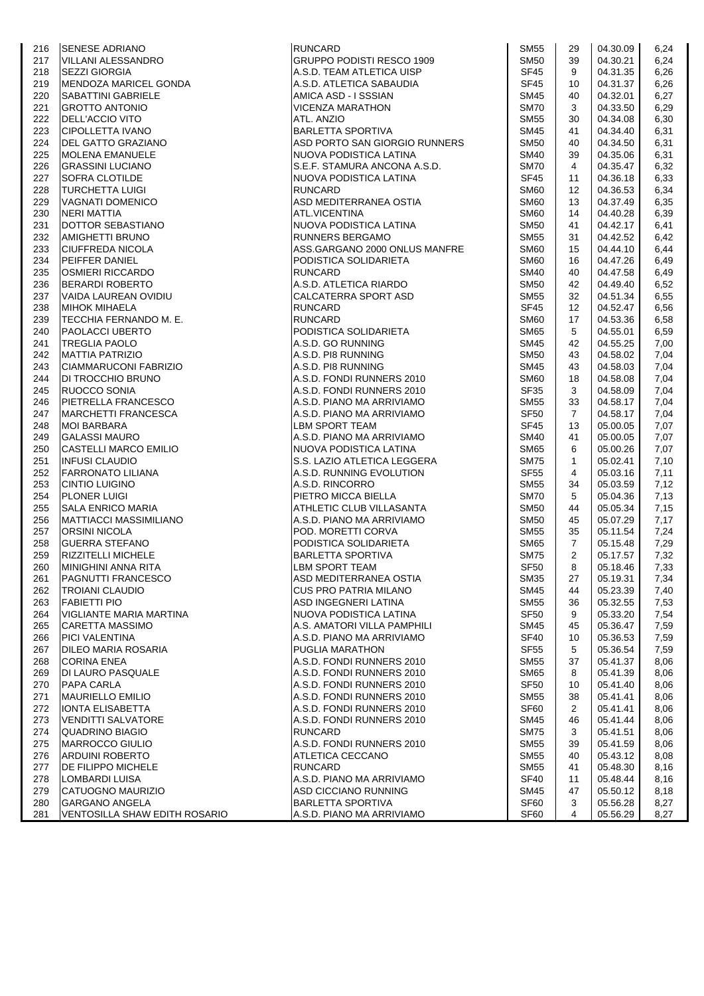| 216 | <b>SENESE ADRIANO</b>                | <b>RUNCARD</b>                | SM55             | 29              | 04.30.09 | 6,24 |
|-----|--------------------------------------|-------------------------------|------------------|-----------------|----------|------|
| 217 | <b>VILLANI ALESSANDRO</b>            | GRUPPO PODISTI RESCO 1909     | <b>SM50</b>      | 39              | 04.30.21 | 6,24 |
| 218 | <b>SEZZI GIORGIA</b>                 | A.S.D. TEAM ATLETICA UISP     | <b>SF45</b>      | 9               | 04.31.35 | 6,26 |
| 219 | MENDOZA MARICEL GONDA                | A.S.D. ATLETICA SABAUDIA      | SF45             | 10              | 04.31.37 | 6,26 |
| 220 | SABATTINI GABRIELE                   | AMICA ASD - I SSSIAN          | <b>SM45</b>      | 40              | 04.32.01 | 6,27 |
| 221 | <b>GROTTO ANTONIO</b>                | VICENZA MARATHON              | <b>SM70</b>      | 3               | 04.33.50 | 6,29 |
| 222 | <b>DELL'ACCIO VITO</b>               | ATL. ANZIO                    | <b>SM55</b>      | 30              | 04.34.08 | 6,30 |
| 223 | <b>CIPOLLETTA IVANO</b>              | <b>BARLETTA SPORTIVA</b>      | <b>SM45</b>      | 41              | 04.34.40 | 6,31 |
|     |                                      |                               |                  |                 |          |      |
| 224 | DEL GATTO GRAZIANO                   | ASD PORTO SAN GIORGIO RUNNERS | <b>SM50</b>      | 40              | 04.34.50 | 6,31 |
| 225 | <b>MOLENA EMANUELE</b>               | NUOVA PODISTICA LATINA        | <b>SM40</b>      | 39              | 04.35.06 | 6,31 |
| 226 | <b>GRASSINI LUCIANO</b>              | S.E.F. STAMURA ANCONA A.S.D.  | <b>SM70</b>      | $\overline{4}$  | 04.35.47 | 6,32 |
| 227 | <b>SOFRA CLOTILDE</b>                | NUOVA PODISTICA LATINA        | <b>SF45</b>      | 11              | 04.36.18 | 6,33 |
| 228 | <b>TURCHETTA LUIGI</b>               | <b>RUNCARD</b>                | <b>SM60</b>      | 12              | 04.36.53 | 6,34 |
| 229 | VAGNATI DOMENICO                     | ASD MEDITERRANEA OSTIA        | <b>SM60</b>      | 13              | 04.37.49 | 6,35 |
| 230 | <b>NERI MATTIA</b>                   | ATL.VICENTINA                 | <b>SM60</b>      | 14              | 04.40.28 | 6,39 |
| 231 | DOTTOR SEBASTIANO                    | NUOVA PODISTICA LATINA        | <b>SM50</b>      | 41              | 04.42.17 | 6,41 |
| 232 | AMIGHETTI BRUNO                      | <b>RUNNERS BERGAMO</b>        | <b>SM55</b>      | 31              | 04.42.52 | 6,42 |
| 233 | <b>CIUFFREDA NICOLA</b>              | ASS.GARGANO 2000 ONLUS MANFRE | <b>SM60</b>      | 15              | 04.44.10 | 6,44 |
| 234 | <b>PEIFFER DANIEL</b>                | PODISTICA SOLIDARIETA         | <b>SM60</b>      | 16              | 04.47.26 | 6,49 |
| 235 | <b>OSMIERI RICCARDO</b>              | <b>RUNCARD</b>                | <b>SM40</b>      | 40              | 04.47.58 | 6,49 |
| 236 | <b>BERARDI ROBERTO</b>               | A.S.D. ATLETICA RIARDO        | <b>SM50</b>      | 42              | 04.49.40 | 6,52 |
| 237 | VAIDA LAUREAN OVIDIU                 | CALCATERRA SPORT ASD          | <b>SM55</b>      | 32              | 04.51.34 | 6,55 |
|     |                                      |                               |                  |                 |          |      |
| 238 | <b>MIHOK MIHAELA</b>                 | <b>RUNCARD</b>                | <b>SF45</b>      | 12 <sup>°</sup> | 04.52.47 | 6,56 |
| 239 | TECCHIA FERNANDO M. E.               | <b>RUNCARD</b>                | <b>SM60</b>      | 17              | 04.53.36 | 6,58 |
| 240 | <b>PAOLACCI UBERTO</b>               | PODISTICA SOLIDARIETA         | <b>SM65</b>      | 5               | 04.55.01 | 6,59 |
| 241 | <b>TREGLIA PAOLO</b>                 | A.S.D. GO RUNNING             | <b>SM45</b>      | 42              | 04.55.25 | 7,00 |
| 242 | <b>MATTIA PATRIZIO</b>               | A.S.D. PI8 RUNNING            | <b>SM50</b>      | 43              | 04.58.02 | 7,04 |
| 243 | CIAMMARUCONI FABRIZIO                | A.S.D. PI8 RUNNING            | <b>SM45</b>      | 43              | 04.58.03 | 7,04 |
| 244 | <b>DI TROCCHIO BRUNO</b>             | A.S.D. FONDI RUNNERS 2010     | SM <sub>60</sub> | 18              | 04.58.08 | 7,04 |
| 245 | RUOCCO SONIA                         | A.S.D. FONDI RUNNERS 2010     | <b>SF35</b>      | 3               | 04.58.09 | 7,04 |
| 246 | PIETRELLA FRANCESCO                  | A.S.D. PIANO MA ARRIVIAMO     | <b>SM55</b>      | 33              | 04.58.17 | 7,04 |
| 247 | <b>MARCHETTI FRANCESCA</b>           | A.S.D. PIANO MA ARRIVIAMO     | SF <sub>50</sub> | $\overline{7}$  | 04.58.17 | 7,04 |
| 248 | <b>MOI BARBARA</b>                   | <b>LBM SPORT TEAM</b>         | <b>SF45</b>      | 13              | 05.00.05 | 7,07 |
| 249 | <b>GALASSI MAURO</b>                 | A.S.D. PIANO MA ARRIVIAMO     | <b>SM40</b>      | 41              | 05.00.05 | 7,07 |
| 250 | <b>CASTELLI MARCO EMILIO</b>         | NUOVA PODISTICA LATINA        | <b>SM65</b>      | 6               | 05.00.26 | 7,07 |
| 251 | <b>INFUSI CLAUDIO</b>                | S.S. LAZIO ATLETICA LEGGERA   | <b>SM75</b>      | $\mathbf{1}$    | 05.02.41 | 7,10 |
|     |                                      |                               |                  | 4               |          |      |
| 252 | <b>FARRONATO LILIANA</b>             | A.S.D. RUNNING EVOLUTION      | <b>SF55</b>      |                 | 05.03.16 | 7,11 |
| 253 | <b>CINTIO LUIGINO</b>                | A.S.D. RINCORRO               | <b>SM55</b>      | 34              | 05.03.59 | 7,12 |
| 254 | <b>PLONER LUIGI</b>                  | PIETRO MICCA BIELLA           | <b>SM70</b>      | 5               | 05.04.36 | 7,13 |
| 255 | <b>SALA ENRICO MARIA</b>             | ATHLETIC CLUB VILLASANTA      | <b>SM50</b>      | 44              | 05.05.34 | 7,15 |
| 256 | MATTIACCI MASSIMILIANO               | A.S.D. PIANO MA ARRIVIAMO     | <b>SM50</b>      | 45              | 05.07.29 | 7,17 |
| 257 | <b>ORSINI NICOLA</b>                 | POD. MORETTI CORVA            | <b>SM55</b>      | 35              | 05.11.54 | 7,24 |
| 258 | <b>GUERRA STEFANO</b>                | PODISTICA SOLIDARIETA         | <b>SM65</b>      | $\overline{7}$  | 05.15.48 | 7,29 |
| 259 | <b>RIZZITELLI MICHELE</b>            | <b>BARLETTA SPORTIVA</b>      | <b>SM75</b>      | $\overline{2}$  | 05.17.57 | 7,32 |
| 260 | MINIGHINI ANNA RITA                  | <b>LBM SPORT TEAM</b>         | <b>SF50</b>      | 8               | 05.18.46 | 7,33 |
| 261 | <b>PAGNUTTI FRANCESCO</b>            | ASD MEDITERRANEA OSTIA        | SM <sub>35</sub> | 27              | 05.19.31 | 7,34 |
| 262 | <b>TROIANI CLAUDIO</b>               | CUS PRO PATRIA MILANO         | <b>SM45</b>      | 44              | 05.23.39 | 7,40 |
| 263 | <b>FABIETTI PIO</b>                  | ASD INGEGNERI LATINA          | <b>SM55</b>      | 36              | 05.32.55 | 7,53 |
| 264 | VIGLIANTE MARIA MARTINA              | NUOVA PODISTICA LATINA        | SF <sub>50</sub> | 9               | 05.33.20 | 7,54 |
| 265 | <b>CARETTA MASSIMO</b>               | A.S. AMATORI VILLA PAMPHILI   | <b>SM45</b>      | 45              | 05.36.47 | 7,59 |
| 266 | <b>PICI VALENTINA</b>                | A.S.D. PIANO MA ARRIVIAMO     | <b>SF40</b>      | 10              | 05.36.53 | 7,59 |
| 267 | DILEO MARIA ROSARIA                  | PUGLIA MARATHON               | <b>SF55</b>      | 5               | 05.36.54 | 7,59 |
| 268 | <b>CORINA ENEA</b>                   | A.S.D. FONDI RUNNERS 2010     | <b>SM55</b>      | 37              | 05.41.37 | 8,06 |
|     |                                      |                               |                  |                 |          |      |
| 269 | DI LAURO PASQUALE                    | A.S.D. FONDI RUNNERS 2010     | <b>SM65</b>      | 8               | 05.41.39 | 8,06 |
| 270 | <b>PAPA CARLA</b>                    | A.S.D. FONDI RUNNERS 2010     | <b>SF50</b>      | 10              | 05.41.40 | 8,06 |
| 271 | <b>MAURIELLO EMILIO</b>              | A.S.D. FONDI RUNNERS 2010     | <b>SM55</b>      | 38              | 05.41.41 | 8,06 |
| 272 | IONTA ELISABETTA                     | A.S.D. FONDI RUNNERS 2010     | SF <sub>60</sub> | 2               | 05.41.41 | 8,06 |
| 273 | <b>VENDITTI SALVATORE</b>            | A.S.D. FONDI RUNNERS 2010     | <b>SM45</b>      | 46              | 05.41.44 | 8,06 |
| 274 | <b>QUADRINO BIAGIO</b>               | <b>RUNCARD</b>                | <b>SM75</b>      | 3               | 05.41.51 | 8,06 |
| 275 | <b>MARROCCO GIULIO</b>               | A.S.D. FONDI RUNNERS 2010     | <b>SM55</b>      | 39              | 05.41.59 | 8,06 |
| 276 | <b>ARDUINI ROBERTO</b>               | ATLETICA CECCANO              | <b>SM55</b>      | 40              | 05.43.12 | 8,08 |
| 277 | DE FILIPPO MICHELE                   | <b>RUNCARD</b>                | <b>SM55</b>      | 41              | 05.48.30 | 8,16 |
| 278 | LOMBARDI LUISA                       | A.S.D. PIANO MA ARRIVIAMO     | <b>SF40</b>      | 11              | 05.48.44 | 8,16 |
| 279 | CATUOGNO MAURIZIO                    | ASD CICCIANO RUNNING          | <b>SM45</b>      | 47              | 05.50.12 | 8,18 |
| 280 | <b>GARGANO ANGELA</b>                | <b>BARLETTA SPORTIVA</b>      | SF60             | 3               | 05.56.28 | 8,27 |
| 281 | <b>VENTOSILLA SHAW EDITH ROSARIO</b> | A.S.D. PIANO MA ARRIVIAMO     | <b>SF60</b>      | 4               | 05.56.29 | 8,27 |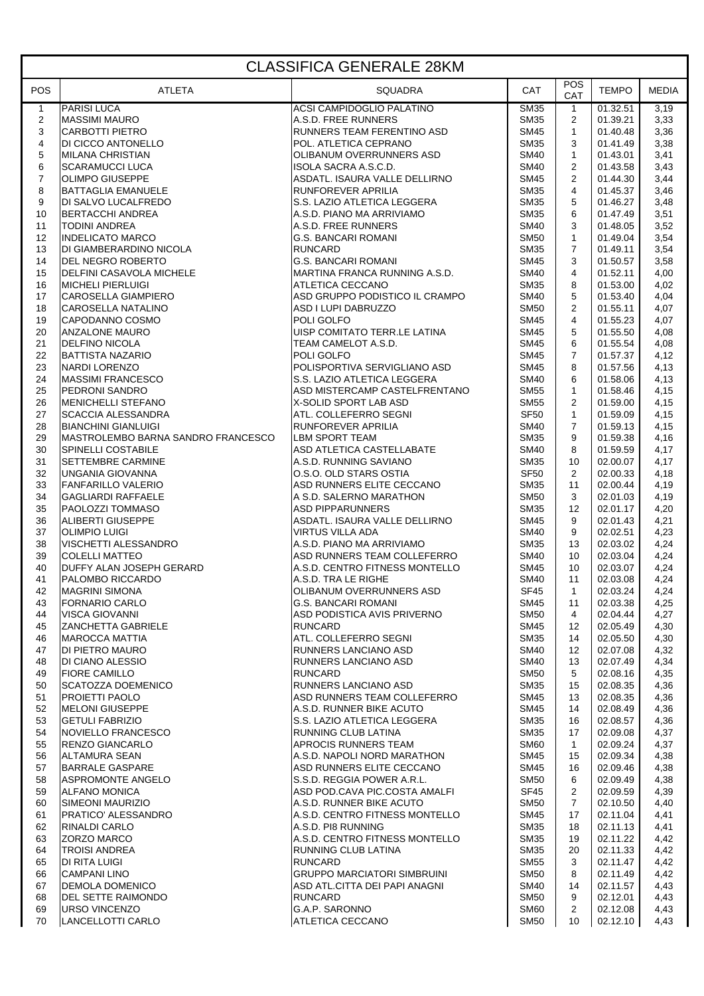| <b>CLASSIFICA GENERALE 28KM</b> |                                                     |                                                              |                            |                                  |                      |              |  |  |
|---------------------------------|-----------------------------------------------------|--------------------------------------------------------------|----------------------------|----------------------------------|----------------------|--------------|--|--|
| <b>POS</b>                      | <b>ATLETA</b>                                       | <b>SQUADRA</b>                                               | CAT                        | <b>POS</b><br>CAT                | <b>TEMPO</b>         | <b>MEDIA</b> |  |  |
| $\mathbf{1}$                    | <b>PARISI LUCA</b>                                  | <b>ACSI CAMPIDOGLIO PALATINO</b>                             | <b>SM35</b>                | $\mathbf{1}$                     | 01.32.51             | 3,19         |  |  |
| $\overline{\mathbf{c}}$<br>3    | <b>MASSIMI MAURO</b><br><b>CARBOTTI PIETRO</b>      | A.S.D. FREE RUNNERS<br>RUNNERS TEAM FERENTINO ASD            | <b>SM35</b><br><b>SM45</b> | $\overline{2}$<br>$\mathbf{1}$   | 01.39.21<br>01.40.48 | 3,33<br>3,36 |  |  |
| 4                               | DI CICCO ANTONELLO                                  | POL. ATLETICA CEPRANO                                        | <b>SM35</b>                | 3                                | 01.41.49             | 3,38         |  |  |
| 5                               | <b>MILANA CHRISTIAN</b>                             | OLIBANUM OVERRUNNERS ASD                                     | <b>SM40</b>                | $\mathbf{1}$                     | 01.43.01             | 3,41         |  |  |
| 6                               | <b>SCARAMUCCI LUCA</b>                              | ISOLA SACRA A.S.C.D.                                         | <b>SM40</b>                | $\overline{2}$                   | 01.43.58             | 3,43         |  |  |
| $\boldsymbol{7}$<br>8           | <b>OLIMPO GIUSEPPE</b><br><b>BATTAGLIA EMANUELE</b> | ASDATL. ISAURA VALLE DELLIRNO<br>RUNFOREVER APRILIA          | <b>SM45</b><br><b>SM35</b> | $\overline{2}$<br>$\overline{4}$ | 01.44.30<br>01.45.37 | 3,44<br>3,46 |  |  |
| 9                               | DI SALVO LUCALFREDO                                 | S.S. LAZIO ATLETICA LEGGERA                                  | <b>SM35</b>                | 5                                | 01.46.27             | 3,48         |  |  |
| 10                              | <b>BERTACCHI ANDREA</b>                             | A.S.D. PIANO MA ARRIVIAMO                                    | <b>SM35</b>                | 6                                | 01.47.49             | 3,51         |  |  |
| 11                              | <b>TODINI ANDREA</b>                                | A.S.D. FREE RUNNERS                                          | <b>SM40</b>                | 3                                | 01.48.05             | 3,52         |  |  |
| 12<br>13                        | <b>INDELICATO MARCO</b><br>DI GIAMBERARDINO NICOLA  | <b>G.S. BANCARI ROMANI</b><br><b>RUNCARD</b>                 | <b>SM50</b><br><b>SM35</b> | $\mathbf{1}$<br>$\overline{7}$   | 01.49.04<br>01.49.11 | 3,54<br>3,54 |  |  |
| 14                              | <b>DEL NEGRO ROBERTO</b>                            | <b>G.S. BANCARI ROMANI</b>                                   | <b>SM45</b>                | 3                                | 01.50.57             | 3,58         |  |  |
| 15                              | <b>DELFINI CASAVOLA MICHELE</b>                     | MARTINA FRANCA RUNNING A.S.D.                                | <b>SM40</b>                | 4                                | 01.52.11             | 4,00         |  |  |
| 16                              | <b>MICHELI PIERLUIGI</b>                            | ATLETICA CECCANO                                             | <b>SM35</b>                | 8                                | 01.53.00             | 4,02         |  |  |
| 17                              | <b>CAROSELLA GIAMPIERO</b>                          | ASD GRUPPO PODISTICO IL CRAMPO                               | <b>SM40</b>                | 5                                | 01.53.40             | 4,04         |  |  |
| 18<br>19                        | CAROSELLA NATALINO<br>CAPODANNO COSMO               | ASD I LUPI DABRUZZO<br>POLI GOLFO                            | <b>SM50</b><br><b>SM45</b> | $\mathbf{2}$<br>4                | 01.55.11<br>01.55.23 | 4,07<br>4,07 |  |  |
| 20                              | <b>ANZALONE MAURO</b>                               | UISP COMITATO TERR.LE LATINA                                 | <b>SM45</b>                | 5                                | 01.55.50             | 4,08         |  |  |
| 21                              | <b>DELFINO NICOLA</b>                               | TEAM CAMELOT A.S.D.                                          | <b>SM45</b>                | 6                                | 01.55.54             | 4,08         |  |  |
| 22                              | <b>BATTISTA NAZARIO</b>                             | POLI GOLFO                                                   | <b>SM45</b>                | $\overline{7}$                   | 01.57.37             | 4,12         |  |  |
| 23                              | NARDI LORENZO                                       | POLISPORTIVA SERVIGLIANO ASD                                 | <b>SM45</b>                | 8                                | 01.57.56             | 4,13         |  |  |
| 24<br>25                        | <b>MASSIMI FRANCESCO</b><br><b>PEDRONI SANDRO</b>   | S.S. LAZIO ATLETICA LEGGERA<br>ASD MISTERCAMP CASTELFRENTANO | <b>SM40</b><br><b>SM55</b> | 6<br>$\mathbf{1}$                | 01.58.06<br>01.58.46 | 4,13<br>4,15 |  |  |
| 26                              | <b>MENICHELLI STEFANO</b>                           | X-SOLID SPORT LAB ASD                                        | <b>SM55</b>                | $\overline{2}$                   | 01.59.00             | 4,15         |  |  |
| 27                              | <b>SCACCIA ALESSANDRA</b>                           | ATL. COLLEFERRO SEGNI                                        | <b>SF50</b>                | $\mathbf{1}$                     | 01.59.09             | 4,15         |  |  |
| 28                              | <b>BIANCHINI GIANLUIGI</b>                          | RUNFOREVER APRILIA                                           | <b>SM40</b>                | $\overline{7}$                   | 01.59.13             | 4,15         |  |  |
| 29                              | MASTROLEMBO BARNA SANDRO FRANCESCO                  | LBM SPORT TEAM                                               | <b>SM35</b>                | 9                                | 01.59.38             | 4,16         |  |  |
| 30<br>31                        | SPINELLI COSTABILE<br><b>SETTEMBRE CARMINE</b>      | ASD ATLETICA CASTELLABATE<br>A.S.D. RUNNING SAVIANO          | <b>SM40</b><br><b>SM35</b> | 8<br>10                          | 01.59.59<br>02.00.07 | 4,17<br>4,17 |  |  |
| 32                              | UNGANIA GIOVANNA                                    | O.S.O. OLD STARS OSTIA                                       | <b>SF50</b>                | $\overline{2}$                   | 02.00.33             | 4,18         |  |  |
| 33                              | <b>FANFARILLO VALERIO</b>                           | ASD RUNNERS ELITE CECCANO                                    | <b>SM35</b>                | 11                               | 02.00.44             | 4,19         |  |  |
| 34                              | <b>GAGLIARDI RAFFAELE</b>                           | A S.D. SALERNO MARATHON                                      | <b>SM50</b>                | 3                                | 02.01.03             | 4,19         |  |  |
| 35                              | PAOLOZZI TOMMASO                                    | ASD PIPPARUNNERS                                             | <b>SM35</b>                | 12                               | 02.01.17             | 4,20         |  |  |
| 36<br>37                        | <b>ALIBERTI GIUSEPPE</b><br><b>OLIMPIO LUIGI</b>    | ASDATL. ISAURA VALLE DELLIRNO<br><b>VIRTUS VILLA ADA</b>     | <b>SM45</b><br><b>SM40</b> | 9<br>9                           | 02.01.43<br>02.02.51 | 4,21<br>4,23 |  |  |
| 38                              | VISCHETTI ALESSANDRO                                | A.S.D. PIANO MA ARRIVIAMO                                    | <b>SM35</b>                | 13                               | 02.03.02             | 4,24         |  |  |
| 39                              | <b>COLELLI MATTEO</b>                               | ASD RUNNERS TEAM COLLEFERRO                                  | <b>SM40</b>                | 10                               | 02.03.04             | 4,24         |  |  |
| 40                              | DUFFY ALAN JOSEPH GERARD                            | A.S.D. CENTRO FITNESS MONTELLO                               | <b>SM45</b>                | 10                               | 02.03.07             | 4,24         |  |  |
| 41                              | PALOMBO RICCARDO                                    | A.S.D. TRA LE RIGHE                                          | <b>SM40</b>                | 11                               | 02.03.08             | 4,24         |  |  |
| 42<br>43                        | <b>MAGRINI SIMONA</b><br><b>FORNARIO CARLO</b>      | OLIBANUM OVERRUNNERS ASD<br><b>G.S. BANCARI ROMANI</b>       | SF45<br><b>SM45</b>        | $\mathbf{1}$<br>11               | 02.03.24<br>02.03.38 | 4,24<br>4,25 |  |  |
| 44                              | <b>VISCA GIOVANNI</b>                               | ASD PODISTICA AVIS PRIVERNO                                  | <b>SM50</b>                | 4                                | 02.04.44             | 4,27         |  |  |
| 45                              | <b>ZANCHETTA GABRIELE</b>                           | <b>RUNCARD</b>                                               | <b>SM45</b>                | 12                               | 02.05.49             | 4,30         |  |  |
| 46                              | <b>MAROCCA MATTIA</b>                               | ATL. COLLEFERRO SEGNI                                        | <b>SM35</b>                | 14                               | 02.05.50             | 4,30         |  |  |
| 47<br>48                        | DI PIETRO MAURO<br>DI CIANO ALESSIO                 | RUNNERS LANCIANO ASD<br>RUNNERS LANCIANO ASD                 | <b>SM40</b><br><b>SM40</b> | 12<br>13                         | 02.07.08<br>02.07.49 | 4,32<br>4,34 |  |  |
| 49                              | <b>FIORE CAMILLO</b>                                | <b>RUNCARD</b>                                               | <b>SM50</b>                | 5                                | 02.08.16             | 4,35         |  |  |
| 50                              | <b>SCATOZZA DOEMENICO</b>                           | RUNNERS LANCIANO ASD                                         | <b>SM35</b>                | 15                               | 02.08.35             | 4,36         |  |  |
| 51                              | <b>PROJETTI PAOLO</b>                               | ASD RUNNERS TEAM COLLEFERRO                                  | <b>SM45</b>                | 13                               | 02.08.35             | 4,36         |  |  |
| 52                              | <b>MELONI GIUSEPPE</b>                              | A.S.D. RUNNER BIKE ACUTO                                     | <b>SM45</b>                | 14                               | 02.08.49             | 4,36         |  |  |
| 53<br>54                        | <b>GETULI FABRIZIO</b><br>NOVIELLO FRANCESCO        | S.S. LAZIO ATLETICA LEGGERA<br>RUNNING CLUB LATINA           | <b>SM35</b><br><b>SM35</b> | 16<br>17                         | 02.08.57<br>02.09.08 | 4,36<br>4,37 |  |  |
| 55                              | <b>RENZO GIANCARLO</b>                              | APROCIS RUNNERS TEAM                                         | <b>SM60</b>                | $\mathbf{1}$                     | 02.09.24             | 4,37         |  |  |
| 56                              | ALTAMURA SEAN                                       | A.S.D. NAPOLI NORD MARATHON                                  | <b>SM45</b>                | 15                               | 02.09.34             | 4,38         |  |  |
| 57                              | <b>BARRALE GASPARE</b>                              | ASD RUNNERS ELITE CECCANO                                    | <b>SM45</b>                | 16                               | 02.09.46             | 4,38         |  |  |
| 58                              | ASPROMONTE ANGELO                                   | S.S.D. REGGIA POWER A.R.L.                                   | <b>SM50</b>                | 6                                | 02.09.49             | 4,38         |  |  |
| 59<br>60                        | <b>ALFANO MONICA</b><br>SIMEONI MAURIZIO            | ASD POD.CAVA PIC.COSTA AMALFI<br>A.S.D. RUNNER BIKE ACUTO    | <b>SF45</b><br><b>SM50</b> | 2<br>$\overline{7}$              | 02.09.59<br>02.10.50 | 4,39<br>4,40 |  |  |
| 61                              | PRATICO' ALESSANDRO                                 | A.S.D. CENTRO FITNESS MONTELLO                               | <b>SM45</b>                | 17                               | 02.11.04             | 4,41         |  |  |
| 62                              | <b>RINALDI CARLO</b>                                | A.S.D. PI8 RUNNING                                           | <b>SM35</b>                | 18                               | 02.11.13             | 4,41         |  |  |
| 63                              | ZORZO MARCO                                         | A.S.D. CENTRO FITNESS MONTELLO                               | <b>SM35</b>                | 19                               | 02.11.22             | 4,42         |  |  |
| 64                              | <b>TROISI ANDREA</b>                                | RUNNING CLUB LATINA                                          | <b>SM35</b>                | 20                               | 02.11.33             | 4,42         |  |  |
| 65<br>66                        | DI RITA LUIGI<br><b>CAMPANI LINO</b>                | <b>RUNCARD</b><br><b>GRUPPO MARCIATORI SIMBRUINI</b>         | <b>SM55</b><br><b>SM50</b> | 3<br>8                           | 02.11.47<br>02.11.49 | 4,42<br>4,42 |  |  |
| 67                              | <b>DEMOLA DOMENICO</b>                              | ASD ATL.CITTA DEI PAPI ANAGNI                                | <b>SM40</b>                | 14                               | 02.11.57             | 4,43         |  |  |
| 68                              | <b>IDEL SETTE RAIMONDO</b>                          | <b>RUNCARD</b>                                               | <b>SM50</b>                | 9                                | 02.12.01             | 4,43         |  |  |
| 69                              | <b>URSO VINCENZO</b>                                | G.A.P. SARONNO                                               | <b>SM60</b>                | $\overline{2}$                   | 02.12.08             | 4,43         |  |  |
| 70                              | LANCELLOTTI CARLO                                   | ATLETICA CECCANO                                             | <b>SM50</b>                | 10                               | 02.12.10             | 4,43         |  |  |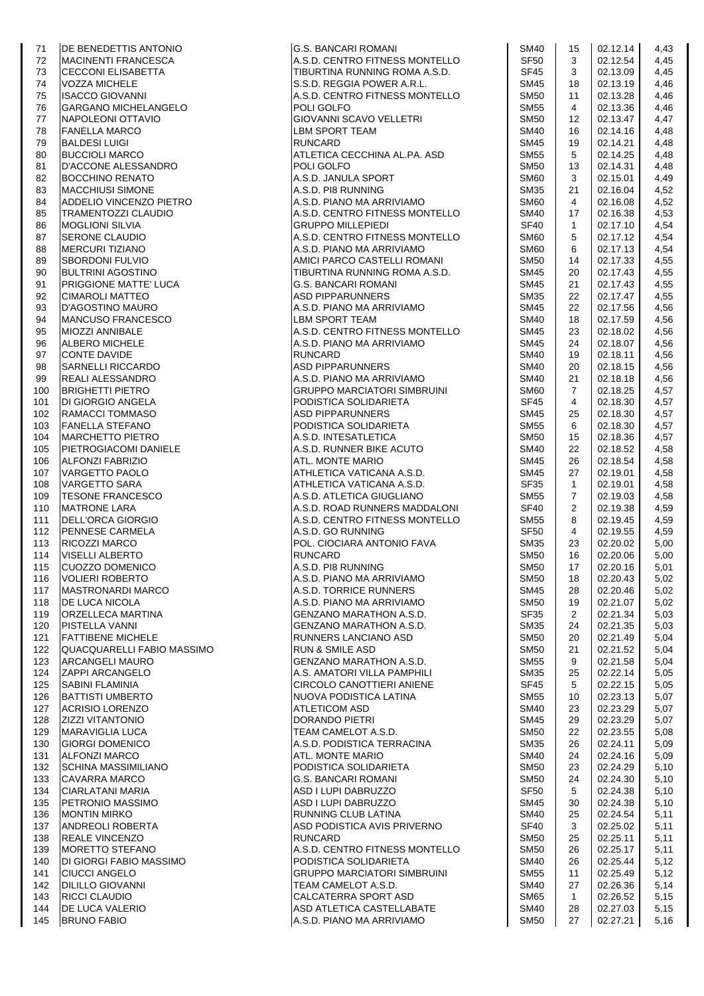| 71         | <b>DE BENEDETTIS ANTONIO</b>                      | IG.S. BANCARI ROMANI                                        | <b>SM40</b>                | 15             | 02.12.14             | 4,43         |
|------------|---------------------------------------------------|-------------------------------------------------------------|----------------------------|----------------|----------------------|--------------|
| 72         | <b>MACINENTI FRANCESCA</b>                        | A.S.D. CENTRO FITNESS MONTELLO                              | <b>SF50</b>                | 3              | 02.12.54             | 4,45         |
| 73         | <b>CECCONI ELISABETTA</b>                         | TIBURTINA RUNNING ROMA A.S.D.                               | SF <sub>45</sub>           | 3              | 02.13.09             | 4,45         |
| 74         | <b>VOZZA MICHELE</b>                              | S.S.D. REGGIA POWER A.R.L.                                  | <b>SM45</b>                | 18             | 02.13.19             | 4,46         |
| 75         | <b>ISACCO GIOVANNI</b>                            | A.S.D. CENTRO FITNESS MONTELLO                              | <b>SM50</b>                | 11             | 02.13.28             | 4,46         |
| 76         | <b>GARGANO MICHELANGELO</b>                       | POLI GOLFO                                                  | SM55                       | $\overline{4}$ | 02.13.36             | 4,46         |
| 77         | NAPOLEONI OTTAVIO                                 | <b>GIOVANNI SCAVO VELLETRI</b>                              | <b>SM50</b>                | 12             | 02.13.47             | 4,47         |
| 78         | <b>FANELLA MARCO</b>                              | LBM SPORT TEAM                                              | <b>SM40</b>                | 16             | 02.14.16             | 4,48         |
| 79         | <b>BALDESI LUIGI</b>                              | <b>RUNCARD</b>                                              | <b>SM45</b>                | 19             | 02.14.21             | 4,48         |
| 80         | <b>BUCCIOLI MARCO</b>                             | ATLETICA CECCHINA AL.PA. ASD                                | SM55                       | 5              | 02.14.25             | 4,48         |
| 81         | D'ACCONE ALESSANDRO                               | POLI GOLFO                                                  | <b>SM50</b>                | 13             | 02.14.31             | 4,48         |
| 82         | <b>BOCCHINO RENATO</b>                            | A.S.D. JANULA SPORT                                         | SM <sub>60</sub>           | 3              | 02.15.01             | 4,49         |
| 83         | <b>MACCHIUSI SIMONE</b>                           | A.S.D. PI8 RUNNING                                          | <b>SM35</b>                | 21             | 02.16.04             | 4,52         |
| 84         | ADDELIO VINCENZO PIETRO                           | A.S.D. PIANO MA ARRIVIAMO                                   | <b>SM60</b>                | $\overline{4}$ | 02.16.08             | 4,52         |
| 85         | <b>TRAMENTOZZI CLAUDIO</b>                        | A.S.D. CENTRO FITNESS MONTELLO                              | <b>SM40</b>                | 17             | 02.16.38             | 4,53         |
| 86         | <b>MOGLIONI SILVIA</b>                            | <b>GRUPPO MILLEPIEDI</b>                                    | SF40                       | $\mathbf{1}$   | 02.17.10             | 4,54         |
| 87         | <b>SERONE CLAUDIO</b>                             | A.S.D. CENTRO FITNESS MONTELLO                              | <b>SM60</b>                | 5              | 02.17.12             | 4,54         |
| 88         | <b>MERCURI TIZIANO</b>                            | A.S.D. PIANO MA ARRIVIAMO                                   | SM60                       | 6              | 02.17.13             | 4,54         |
| 89         | <b>SBORDONI FULVIO</b>                            | AMICI PARCO CASTELLI ROMANI                                 | <b>SM50</b>                | 14             | 02.17.33             | 4,55         |
| 90         | BULTRINI AGOSTINO                                 | TIBURTINA RUNNING ROMA A.S.D.                               | SM45                       | 20             | 02.17.43             | 4,55         |
| 91         | <b>PRIGGIONE MATTE' LUCA</b>                      | <b>G.S. BANCARI ROMANI</b>                                  | <b>SM45</b>                | 21             | 02.17.43             | 4,55         |
| 92         | <b>CIMAROLI MATTEO</b>                            | <b>ASD PIPPARUNNERS</b>                                     | <b>SM35</b>                | 22             | 02.17.47             | 4,55         |
| 93         | D'AGOSTINO MAURO                                  | A.S.D. PIANO MA ARRIVIAMO                                   | <b>SM45</b>                | 22             | 02.17.56             | 4,56         |
| 94         | <b>MANCUSO FRANCESCO</b>                          | <b>LBM SPORT TEAM</b>                                       | <b>SM40</b>                | 18             | 02.17.59             | 4,56         |
| 95         | <b>MIOZZI ANNIBALE</b><br><b>ALBERO MICHELE</b>   | A.S.D. CENTRO FITNESS MONTELLO<br>A.S.D. PIANO MA ARRIVIAMO | <b>SM45</b><br><b>SM45</b> | 23             | 02.18.02<br>02.18.07 | 4,56         |
| 96<br>97   | <b>CONTE DAVIDE</b>                               | <b>RUNCARD</b>                                              | <b>SM40</b>                | 24<br>19       | 02.18.11             | 4,56<br>4,56 |
| 98         | <b>SARNELLI RICCARDO</b>                          | <b>ASD PIPPARUNNERS</b>                                     | <b>SM40</b>                | 20             | 02.18.15             | 4,56         |
| 99         | REALI ALESSANDRO                                  | A.S.D. PIANO MA ARRIVIAMO                                   | <b>SM40</b>                | 21             | 02.18.18             | 4,56         |
| 100        | <b>BRIGHETTI PIETRO</b>                           | <b>GRUPPO MARCIATORI SIMBRUINI</b>                          | SM60                       | $\overline{7}$ | 02.18.25             | 4,57         |
| 101        | DI GIORGIO ANGELA                                 | PODISTICA SOLIDARIETA                                       | <b>SF45</b>                | $\overline{4}$ | 02.18.30             | 4,57         |
| 102        | RAMACCI TOMMASO                                   | <b>ASD PIPPARUNNERS</b>                                     | SM45                       | 25             | 02.18.30             | 4,57         |
| 103        | <b>FANELLA STEFANO</b>                            | PODISTICA SOLIDARIETA                                       | <b>SM55</b>                | 6              | 02.18.30             | 4,57         |
| 104        | <b>MARCHETTO PIETRO</b>                           | A.S.D. INTESATLETICA                                        | <b>SM50</b>                | 15             | 02.18.36             | 4,57         |
| 105        | PIETROGIACOMI DANIELE                             | A.S.D. RUNNER BIKE ACUTO                                    | <b>SM40</b>                | 22             | 02.18.52             | 4,58         |
| 106        | <b>ALFONZI FABRIZIO</b>                           | ATL. MONTE MARIO                                            | <b>SM45</b>                | 26             | 02.18.54             | 4,58         |
| 107        | VARGETTO PAOLO                                    | ATHLETICA VATICANA A.S.D.                                   | <b>SM45</b>                | 27             | 02.19.01             | 4,58         |
| 108        | <b>VARGETTO SARA</b>                              | ATHLETICA VATICANA A.S.D.                                   | <b>SF35</b>                | $\mathbf{1}$   | 02.19.01             | 4,58         |
| 109        | <b>TESONE FRANCESCO</b>                           | A.S.D. ATLETICA GIUGLIANO                                   | SM55                       | $\overline{7}$ | 02.19.03             | 4,58         |
| 110        | <b>MATRONE LARA</b>                               | A.S.D. ROAD RUNNERS MADDALONI                               | SF <sub>40</sub>           | 2              | 02.19.38             | 4,59         |
| 111        | DELL'ORCA GIORGIO                                 | A.S.D. CENTRO FITNESS MONTELLO                              | SM55                       | 8              | 02.19.45             | 4,59         |
| 112        | PENNESE CARMELA                                   | A.S.D. GO RUNNING                                           | <b>SF50</b>                | 4              | 02.19.55             | 4,59         |
| 113        | RICOZZI MARCO                                     | POL. CIOCIARA ANTONIO FAVA                                  | <b>SM35</b>                | 23             | 02.20.02             | 5,00         |
| 114        | <b>VISELLI ALBERTO</b>                            | <b>RUNCARD</b>                                              | <b>SM50</b>                | 16             | 02.20.06             | 5,00         |
| 115        | <b>CUOZZO DOMENICO</b>                            | A.S.D. PI8 RUNNING                                          | <b>SM50</b>                | 17             | 02.20.16             | 5,01         |
| 116        | <b>VOLIERI ROBERTO</b>                            | A.S.D. PIANO MA ARRIVIAMO                                   | <b>SM50</b>                | 18             | 02.20.43             | 5,02         |
| 117        | <b>MASTRONARDI MARCO</b>                          | A.S.D. TORRICE RUNNERS                                      | SM45                       | 28             | 02.20.46             | 5,02         |
| 118        | <b>DE LUCA NICOLA</b>                             | A.S.D. PIANO MA ARRIVIAMO                                   | <b>SM50</b>                | 19             | 02.21.07             | 5,02         |
| 119        | ORZELLECA MARTINA                                 | GENZANO MARATHON A.S.D.                                     | <b>SF35</b>                | $\overline{2}$ | 02.21.34             | 5,03         |
| 120        | <b>PISTELLA VANNI</b>                             | GENZANO MARATHON A.S.D.                                     | SM35                       | 24             | 02.21.35             | 5,03         |
| 121        | <b>FATTIBENE MICHELE</b>                          | RUNNERS LANCIANO ASD                                        | <b>SM50</b>                | 20             | 02.21.49             | 5,04         |
| 122        | QUACQUARELLI FABIO MASSIMO                        | <b>RUN &amp; SMILE ASD</b>                                  | <b>SM50</b>                | 21             | 02.21.52             | 5,04         |
| 123        | <b>ARCANGELI MAURO</b>                            | GENZANO MARATHON A.S.D.                                     | SM55                       | 9              | 02.21.58             | 5,04         |
| 124        | <b>ZAPPI ARCANGELO</b>                            | A.S. AMATORI VILLA PAMPHILI                                 | <b>SM35</b>                | 25             | 02.22.14             | 5,05         |
| 125        | SABINI FLAMINIA                                   | <b>CIRCOLO CANOTTIERI ANIENE</b>                            | <b>SF45</b>                | 5              | 02.22.15             | 5,05         |
| 126        | <b>BATTISTI UMBERTO</b>                           | NUOVA PODISTICA LATINA                                      | <b>SM55</b>                | 10             | 02.23.13             | 5,07         |
| 127        | <b>ACRISIO LORENZO</b>                            | <b>ATLETICOM ASD</b>                                        | <b>SM40</b>                | 23             | 02.23.29             | 5,07         |
| 128<br>129 | <b>ZIZZI VITANTONIO</b><br><b>MARAVIGLIA LUCA</b> | <b>DORANDO PIETRI</b><br>TEAM CAMELOT A.S.D.                | <b>SM45</b><br><b>SM50</b> | 29<br>22       | 02.23.29<br>02.23.55 | 5,07         |
| 130        | <b>GIORGI DOMENICO</b>                            | A.S.D. PODISTICA TERRACINA                                  | SM35                       | 26             | 02.24.11             | 5,08<br>5,09 |
| 131        | <b>ALFONZI MARCO</b>                              | ATL. MONTE MARIO                                            | <b>SM40</b>                | 24             | 02.24.16             | 5,09         |
| 132        | <b>SCHINA MASSIMILIANO</b>                        | PODISTICA SOLIDARIETA                                       | <b>SM50</b>                | 23             | 02.24.29             | 5,10         |
| 133        | <b>CAVARRA MARCO</b>                              | <b>G.S. BANCARI ROMANI</b>                                  | <b>SM50</b>                | 24             | 02.24.30             | 5,10         |
| 134        | <b>CIARLATANI MARIA</b>                           | ASD I LUPI DABRUZZO                                         | <b>SF50</b>                | 5              | 02.24.38             | 5,10         |
| 135        | <b>PETRONIO MASSIMO</b>                           | ASD I LUPI DABRUZZO                                         | SM45                       | 30             | 02.24.38             | 5,10         |
| 136        | <b>MONTIN MIRKO</b>                               | RUNNING CLUB LATINA                                         | <b>SM40</b>                | 25             | 02.24.54             | 5,11         |
| 137        | <b>ANDREOLI ROBERTA</b>                           | ASD PODISTICA AVIS PRIVERNO                                 | <b>SF40</b>                | 3              | 02.25.02             | 5,11         |
| 138        | <b>REALE VINCENZO</b>                             | <b>RUNCARD</b>                                              | <b>SM50</b>                | 25             | 02.25.11             | 5,11         |
| 139        | <b>MORETTO STEFANO</b>                            | A.S.D. CENTRO FITNESS MONTELLO                              | <b>SM50</b>                | 26             | 02.25.17             | 5,11         |
| 140        | DI GIORGI FABIO MASSIMO                           | PODISTICA SOLIDARIETA                                       | <b>SM40</b>                | 26             | 02.25.44             | 5,12         |
| 141        | <b>CIUCCI ANGELO</b>                              | <b>GRUPPO MARCIATORI SIMBRUINI</b>                          | <b>SM55</b>                | 11             | 02.25.49             | 5,12         |
| 142        | <b>DILILLO GIOVANNI</b>                           | TEAM CAMELOT A.S.D.                                         | <b>SM40</b>                | 27             | 02.26.36             | 5,14         |
| 143        | RICCI CLAUDIO                                     | CALCATERRA SPORT ASD                                        | <b>SM65</b>                | $\mathbf{1}$   | 02.26.52             | 5,15         |
| 144        | DE LUCA VALERIO                                   | ASD ATLETICA CASTELLABATE                                   | <b>SM40</b>                | 28             | 02.27.03             | 5,15         |
| 145        | <b>BRUNO FABIO</b>                                | A.S.D. PIANO MA ARRIVIAMO                                   | <b>SM50</b>                | 27             | 02.27.21             | 5,16         |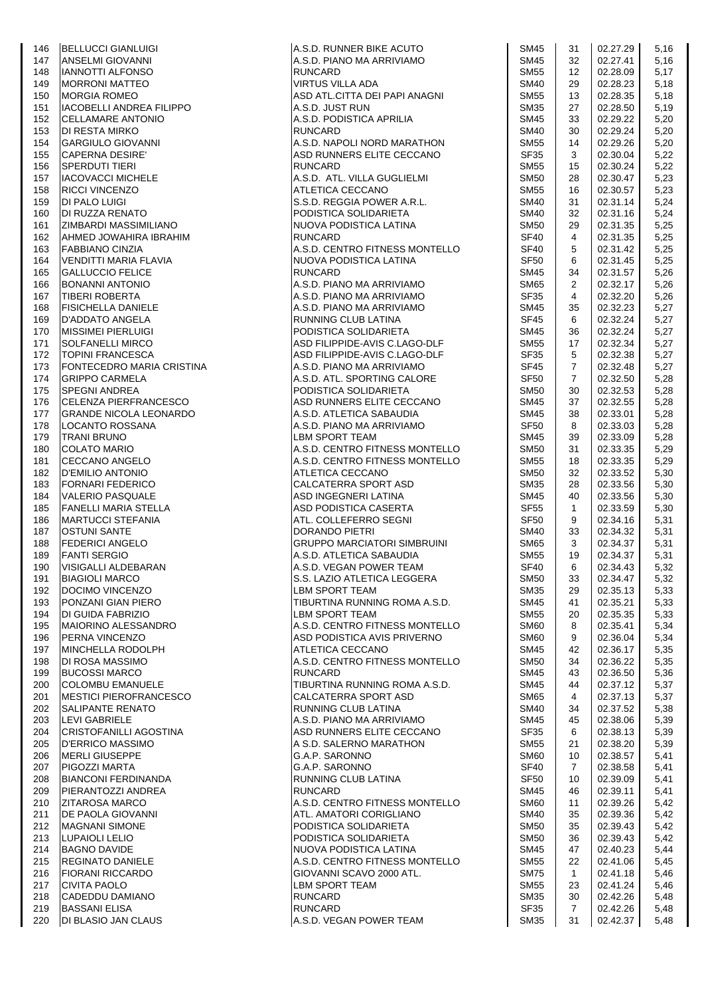|     | BELLUCCI GIANLUIGI<br>ANSELMI GIOVANNI<br>IANNOTTI ALFONSO<br>MORGIA ROMEO<br>MORGIA ROMEO<br>IACOBELLI ANDREA FILIPPO                                                                                                                                             |                                                                                                                             |                  |                   |          |      |
|-----|--------------------------------------------------------------------------------------------------------------------------------------------------------------------------------------------------------------------------------------------------------------------|-----------------------------------------------------------------------------------------------------------------------------|------------------|-------------------|----------|------|
| 146 |                                                                                                                                                                                                                                                                    | A.S.D. RUNNER BIKE ACUTO<br>A.S.D. PIANO MA ARRIVIAMO<br>RUNCARD<br>VIRTUS VILLA ADA<br>ASD ATL.CITTA DEI PAPI ANAGNI       | <b>SM45</b>      | 31                | 02.27.29 | 5,16 |
| 147 |                                                                                                                                                                                                                                                                    |                                                                                                                             | <b>SM45</b>      | 32                | 02.27.41 | 5,16 |
| 148 |                                                                                                                                                                                                                                                                    |                                                                                                                             | <b>SM55</b>      | $12 \overline{ }$ | 02.28.09 | 5,17 |
| 149 |                                                                                                                                                                                                                                                                    |                                                                                                                             | <b>SM40</b>      | 29                | 02.28.23 | 5,18 |
| 150 |                                                                                                                                                                                                                                                                    |                                                                                                                             | <b>SM55</b>      | 13                | 02.28.35 | 5,18 |
| 151 |                                                                                                                                                                                                                                                                    | A.S.D. JUST RUN<br>A.S.D. PODISTICA APRILIA                                                                                 | <b>SM35</b>      | 27                | 02.28.50 | 5,19 |
| 152 | IACOBELLI ANDREA FILIPPO<br>CELLAMARE ANTONIO<br>DI RESTA MIRKO<br>GARGIULO GIOVANNI<br>CAPERNA DESIRE'<br>SPERDUTI TIERI<br>IACOVACCI MICHELE<br>RICCI VINCENZO<br>DI PALO LUIGI<br>DI RUZZA RENATO<br>DI RUZZA RENATO<br>ZIMBARDI MASSIMILIANO<br>AHMED JOWAHIRA |                                                                                                                             | <b>SM45</b>      | 33                | 02.29.22 | 5,20 |
| 153 |                                                                                                                                                                                                                                                                    | <b>RUNCARD</b>                                                                                                              | <b>SM40</b>      | 30                | 02.29.24 |      |
|     |                                                                                                                                                                                                                                                                    |                                                                                                                             |                  |                   |          | 5,20 |
| 154 |                                                                                                                                                                                                                                                                    | A.S.D. NAPOLI NORD MARATHON                                                                                                 | <b>SM55</b>      | 14                | 02.29.26 | 5,20 |
| 155 |                                                                                                                                                                                                                                                                    | ASD RUNNERS ELITE CECCANO                                                                                                   | <b>SF35</b>      | 3                 | 02.30.04 | 5,22 |
| 156 |                                                                                                                                                                                                                                                                    | RUNCARD                                                                                                                     | <b>SM55</b>      | 15                | 02.30.24 | 5,22 |
| 157 |                                                                                                                                                                                                                                                                    | A.S.D. ATL. VILLA GUGLIELMI                                                                                                 | <b>SM50</b>      | 28                | 02.30.47 | 5,23 |
| 158 |                                                                                                                                                                                                                                                                    | ATLETICA CECCANO<br>S.S.D. REGGIA POWER A.R.L.<br>PODISTICA SOLIDARIETA<br>NUOVA PODISTICA LATINA                           | <b>SM55</b>      | 16                | 02.30.57 | 5,23 |
| 159 |                                                                                                                                                                                                                                                                    |                                                                                                                             | <b>SM40</b>      | 31                | 02.31.14 | 5,24 |
|     |                                                                                                                                                                                                                                                                    |                                                                                                                             | <b>SM40</b>      | 32                | 02.31.16 |      |
| 160 |                                                                                                                                                                                                                                                                    |                                                                                                                             |                  |                   |          | 5,24 |
| 161 |                                                                                                                                                                                                                                                                    |                                                                                                                             | <b>SM50</b>      | 29                | 02.31.35 | 5,25 |
| 162 |                                                                                                                                                                                                                                                                    | <b>RUNCARD</b>                                                                                                              | SF <sub>40</sub> | 4                 | 02.31.35 | 5,25 |
| 163 | <b>FABBIANO CINZIA</b>                                                                                                                                                                                                                                             | A.S.D. CENTRO FITNESS MONTELLO                                                                                              | <b>SF40</b>      | 5                 | 02.31.42 | 5,25 |
| 164 | VENDITTI MARIA FLAVIA                                                                                                                                                                                                                                              | NUOVA PODISTICA LATINA                                                                                                      | SF <sub>50</sub> | 6                 | 02.31.45 | 5,25 |
| 165 | <b>GALLUCCIO FELICE</b>                                                                                                                                                                                                                                            | <b>RUNCARD</b>                                                                                                              | <b>SM45</b>      | 34                | 02.31.57 | 5,26 |
| 166 | <b>BONANNI ANTONIO</b>                                                                                                                                                                                                                                             | A.S.D. PIANO MA ARRIVIAMO<br>A.S.D. PIANO MA ARRIVIAMO                                                                      | <b>SM65</b>      | $\overline{2}$    | 02.32.17 | 5,26 |
|     |                                                                                                                                                                                                                                                                    |                                                                                                                             |                  | 4                 |          |      |
| 167 | <b>TIBERI ROBERTA</b>                                                                                                                                                                                                                                              |                                                                                                                             | SF <sub>35</sub> |                   | 02.32.20 | 5,26 |
| 168 | <b>FISICHELLA DANIELE</b>                                                                                                                                                                                                                                          | A.S.D. PIANO MA ARRIVIAMO<br>PUNNING CLUB LATINA                                                                            | <b>SM45</b>      | 35                | 02.32.23 | 5,27 |
| 169 | D'ADDATO ANGELA                                                                                                                                                                                                                                                    | RUNNING CLUB LATINA                                                                                                         | <b>SF45</b>      | 6                 | 02.32.24 | 5,27 |
| 170 | <b>MISSIMEI PIERLUIGI</b>                                                                                                                                                                                                                                          | PODISTICA SOLIDARIETA                                                                                                       | <b>SM45</b>      | 36                | 02.32.24 | 5,27 |
| 171 | <b>SOLFANELLI MIRCO</b>                                                                                                                                                                                                                                            | ASD FILIPPIDE-AVIS C.LAGO-DLF                                                                                               | <b>SM55</b>      | 17                | 02.32.34 | 5,27 |
| 172 | <b>TOPINI FRANCESCA</b>                                                                                                                                                                                                                                            | ASD FILIPPIDE-AVIS C.LAGO-DLF                                                                                               | <b>SF35</b>      | 5                 | 02.32.38 | 5,27 |
| 173 | <b>IFONTECEDRO MARIA CRISTINA</b>                                                                                                                                                                                                                                  | A.S.D. PIANO MA ARRIVIAMO                                                                                                   | SF45             | $\overline{7}$    | 02.32.48 | 5,27 |
|     | <b>GRIPPO CARMELA</b>                                                                                                                                                                                                                                              |                                                                                                                             | <b>SF50</b>      |                   |          |      |
| 174 |                                                                                                                                                                                                                                                                    | A.S.D. ATL. SPORTING CALORE                                                                                                 |                  | $\overline{7}$    | 02.32.50 | 5,28 |
| 175 | <b>SPEGNI ANDREA</b>                                                                                                                                                                                                                                               | PODISTICA SOLIDARIETA                                                                                                       | <b>SM50</b>      | 30                | 02.32.53 | 5,28 |
| 176 | CELENZA PIERFRANCESCO                                                                                                                                                                                                                                              | ASD RUNNERS ELITE CECCANO                                                                                                   | <b>SM45</b>      | 37                | 02.32.55 | 5,28 |
| 177 | <b>GRANDE NICOLA LEONARDO</b>                                                                                                                                                                                                                                      | A.S.D. ATLETICA SABAUDIA                                                                                                    | <b>SM45</b>      | 38                | 02.33.01 | 5,28 |
| 178 |                                                                                                                                                                                                                                                                    | A.S.D. PIANO MA ARRIVIAMO<br>LBM SPORT TEAM                                                                                 | <b>SF50</b>      | 8                 | 02.33.03 | 5,28 |
| 179 |                                                                                                                                                                                                                                                                    | <b>LBM SPORT TEAM</b>                                                                                                       | <b>SM45</b>      | 39                | 02.33.09 | 5,28 |
| 180 |                                                                                                                                                                                                                                                                    | A.S.D. CENTRO FITNESS MONTELLO                                                                                              | <b>SM50</b>      | 31                | 02.33.35 | 5,29 |
| 181 |                                                                                                                                                                                                                                                                    | A.S.D. CENTRO FITNESS MONTELLO                                                                                              | <b>SM55</b>      | 18                | 02.33.35 | 5,29 |
|     |                                                                                                                                                                                                                                                                    |                                                                                                                             |                  |                   |          |      |
| 182 |                                                                                                                                                                                                                                                                    | ATLETICA CECCANO                                                                                                            | <b>SM50</b>      | 32                | 02.33.52 | 5,30 |
| 183 |                                                                                                                                                                                                                                                                    |                                                                                                                             | <b>SM35</b>      | 28                | 02.33.56 | 5,30 |
| 184 |                                                                                                                                                                                                                                                                    | <i>MELLOTERRA SPORT ASD<br/>ASD INGEGNERI LATINA<br/>ASD PODISTICA CASERTA<br/>ATL. COLLEFERRO SEGNI<br/>DORANDO PIETRI</i> | <b>SM45</b>      | 40                | 02.33.56 | 5,30 |
| 185 |                                                                                                                                                                                                                                                                    |                                                                                                                             | <b>SF55</b>      | $\mathbf{1}$      | 02.33.59 | 5,30 |
| 186 |                                                                                                                                                                                                                                                                    |                                                                                                                             | <b>SF50</b>      | 9                 | 02.34.16 | 5,31 |
| 187 |                                                                                                                                                                                                                                                                    |                                                                                                                             | SM40             | 33                | 02.34.32 | 5,31 |
| 188 |                                                                                                                                                                                                                                                                    | IDORANDO PIETRI<br>GRUPPO MARCIATORI SIMBRUINI                                                                              | <b>SM65</b>      | 3                 | 02.34.37 | 5,31 |
| 189 |                                                                                                                                                                                                                                                                    | A.S.D. ATLETICA SABAUDIA                                                                                                    | <b>SM55</b>      | 19                | 02.34.37 | 5,31 |
|     | BETAND THE MANUSCRIPT OF THE MANUSCRIPT OF THE MANUSCRIPT OF THE MANUSCRIPT OF THE MANUSCRIPT OF THE MANUSCRIPT OF THE MANUSCRIPT OF THE MANUSCRIPT OF THE MANUSCRIPT OF THE MANUSCRIPT OF THE MANUSCRIPT OF THE MANUSCRIPT OF                                     |                                                                                                                             |                  |                   |          |      |
| 190 |                                                                                                                                                                                                                                                                    | A.S.D. VEGAN POWER TEAM                                                                                                     | SF40             | 6                 | 02.34.43 | 5,32 |
| 191 | <b>BIAGIOLI MARCO</b>                                                                                                                                                                                                                                              | S.S. LAZIO ATLETICA LEGGERA                                                                                                 | <b>SM50</b>      | 33                | 02.34.47 | 5,32 |
| 192 | DOCIMO VINCENZO                                                                                                                                                                                                                                                    | LBM SPORT TEAM                                                                                                              | <b>SM35</b>      | 29                | 02.35.13 | 5,33 |
| 193 | PONZANI GIAN PIERO                                                                                                                                                                                                                                                 | TIBURTINA RUNNING ROMA A.S.D.                                                                                               | <b>SM45</b>      | 41                | 02.35.21 | 5,33 |
| 194 | <b>DI GUIDA FABRIZIO</b>                                                                                                                                                                                                                                           | LBM SPORT TEAM                                                                                                              | <b>SM55</b>      | 20                | 02.35.35 | 5,33 |
| 195 | MAIORINO ALESSANDRO                                                                                                                                                                                                                                                | A.S.D. CENTRO FITNESS MONTELLO                                                                                              | <b>SM60</b>      | 8                 | 02.35.41 | 5,34 |
| 196 | <b>PERNA VINCENZO</b>                                                                                                                                                                                                                                              | ASD PODISTICA AVIS PRIVERNO                                                                                                 | <b>SM60</b>      | 9                 | 02.36.04 | 5,34 |
| 197 | MINCHELLA RODOLPH                                                                                                                                                                                                                                                  | ATLETICA CECCANO                                                                                                            | <b>SM45</b>      | 42                | 02.36.17 | 5,35 |
|     |                                                                                                                                                                                                                                                                    |                                                                                                                             |                  |                   |          |      |
| 198 | <b>DI ROSA MASSIMO</b>                                                                                                                                                                                                                                             | A.S.D. CENTRO FITNESS MONTELLO                                                                                              | <b>SM50</b>      | 34                | 02.36.22 | 5,35 |
| 199 | <b>BUCOSSI MARCO</b>                                                                                                                                                                                                                                               | <b>RUNCARD</b>                                                                                                              | <b>SM45</b>      | 43                | 02.36.50 | 5,36 |
| 200 | <b>COLOMBU EMANUELE</b>                                                                                                                                                                                                                                            | TIBURTINA RUNNING ROMA A.S.D.                                                                                               | <b>SM45</b>      | 44                | 02.37.12 | 5,37 |
| 201 | <b>MESTICI PIEROFRANCESCO</b>                                                                                                                                                                                                                                      | CALCATERRA SPORT ASD                                                                                                        | <b>SM65</b>      | $\overline{4}$    | 02.37.13 | 5,37 |
| 202 | <b>SALIPANTE RENATO</b>                                                                                                                                                                                                                                            | RUNNING CLUB LATINA                                                                                                         | <b>SM40</b>      | 34                | 02.37.52 | 5,38 |
| 203 | <b>LEVI GABRIELE</b>                                                                                                                                                                                                                                               | A.S.D. PIANO MA ARRIVIAMO                                                                                                   | <b>SM45</b>      | 45                | 02.38.06 | 5,39 |
| 204 | <b>CRISTOFANILLI AGOSTINA</b>                                                                                                                                                                                                                                      | ASD RUNNERS ELITE CECCANO                                                                                                   | <b>SF35</b>      | 6                 | 02.38.13 | 5,39 |
| 205 | <b>D'ERRICO MASSIMO</b>                                                                                                                                                                                                                                            | A S.D. SALERNO MARATHON                                                                                                     | <b>SM55</b>      |                   | 02.38.20 |      |
|     |                                                                                                                                                                                                                                                                    |                                                                                                                             |                  | 21                |          | 5,39 |
| 206 | <b>MERLI GIUSEPPE</b>                                                                                                                                                                                                                                              | G.A.P. SARONNO                                                                                                              | SM60             | 10                | 02.38.57 | 5,41 |
| 207 | PIGOZZI MARTA                                                                                                                                                                                                                                                      | G.A.P. SARONNO                                                                                                              | <b>SF40</b>      | $\overline{7}$    | 02.38.58 | 5,41 |
| 208 | <b>BIANCONI FERDINANDA</b>                                                                                                                                                                                                                                         | RUNNING CLUB LATINA                                                                                                         | SF <sub>50</sub> | 10                | 02.39.09 | 5,41 |
| 209 | PIERANTOZZI ANDREA                                                                                                                                                                                                                                                 | <b>RUNCARD</b>                                                                                                              | SM45             | 46                | 02.39.11 | 5,41 |
| 210 | <b>ZITAROSA MARCO</b>                                                                                                                                                                                                                                              | A.S.D. CENTRO FITNESS MONTELLO                                                                                              | <b>SM60</b>      | 11                | 02.39.26 | 5,42 |
| 211 | <b>DE PAOLA GIOVANNI</b>                                                                                                                                                                                                                                           | ATL. AMATORI CORIGLIANO                                                                                                     | <b>SM40</b>      | 35                | 02.39.36 | 5,42 |
| 212 | <b>MAGNANI SIMONE</b>                                                                                                                                                                                                                                              | PODISTICA SOLIDARIETA                                                                                                       | <b>SM50</b>      | 35                | 02.39.43 | 5,42 |
|     | LUPAIOLI LELIO                                                                                                                                                                                                                                                     | PODISTICA SOLIDARIETA                                                                                                       | <b>SM50</b>      | 36                | 02.39.43 |      |
| 213 |                                                                                                                                                                                                                                                                    |                                                                                                                             |                  |                   |          | 5,42 |
| 214 | <b>BAGNO DAVIDE</b>                                                                                                                                                                                                                                                | NUOVA PODISTICA LATINA                                                                                                      | <b>SM45</b>      | 47                | 02.40.23 | 5,44 |
| 215 | <b>REGINATO DANIELE</b>                                                                                                                                                                                                                                            | A.S.D. CENTRO FITNESS MONTELLO                                                                                              | <b>SM55</b>      | 22                | 02.41.06 | 5,45 |
| 216 | <b>FIORANI RICCARDO</b>                                                                                                                                                                                                                                            | GIOVANNI SCAVO 2000 ATL.                                                                                                    | <b>SM75</b>      | $\mathbf{1}$      | 02.41.18 | 5,46 |
| 217 | <b>CIVITA PAOLO</b>                                                                                                                                                                                                                                                | LBM SPORT TEAM                                                                                                              | <b>SM55</b>      | 23                | 02.41.24 | 5,46 |
| 218 | <b>CADEDDU DAMIANO</b>                                                                                                                                                                                                                                             | <b>RUNCARD</b>                                                                                                              | <b>SM35</b>      | 30                | 02.42.26 | 5,48 |
| 219 | <b>BASSANI ELISA</b>                                                                                                                                                                                                                                               | <b>RUNCARD</b>                                                                                                              | SF35             | $\overline{7}$    | 02.42.26 | 5,48 |
| 220 | <b>DI BLASIO JAN CLAUS</b>                                                                                                                                                                                                                                         | A.S.D. VEGAN POWER TEAM                                                                                                     | <b>SM35</b>      | 31                | 02.42.37 | 5,48 |
|     |                                                                                                                                                                                                                                                                    |                                                                                                                             |                  |                   |          |      |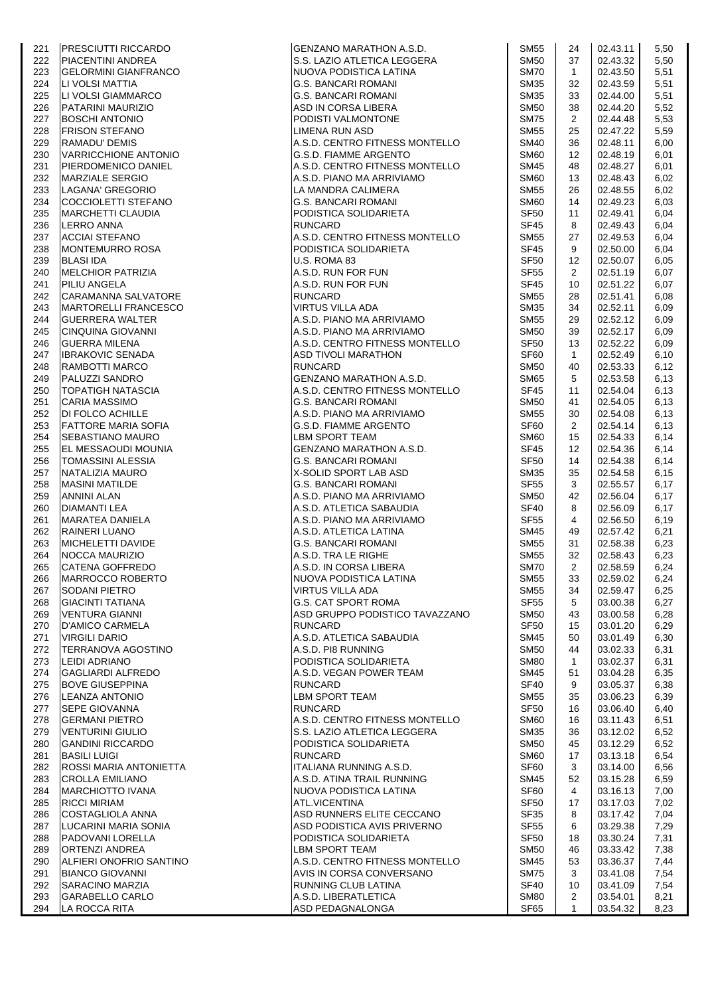| 5,50<br>222<br><b>PIACENTINI ANDREA</b><br>S.S. LAZIO ATLETICA LEGGERA<br><b>SM50</b><br>37<br>02.43.32<br><b>SM70</b><br>02.43.50<br>223<br><b>GELORMINI GIANFRANCO</b><br>NUOVA PODISTICA LATINA<br>$\mathbf{1}$<br>5,51<br>224<br><b>SM35</b><br>02.43.59<br>LI VOLSI MATTIA<br><b>G.S. BANCARI ROMANI</b><br>32<br>5,51<br>225<br>LI VOLSI GIAMMARCO<br><b>G.S. BANCARI ROMANI</b><br><b>SM35</b><br>33<br>02.44.00<br>5,51<br>PATARINI MAURIZIO<br><b>SM50</b><br>02.44.20<br>5,52<br>226<br>ASD IN CORSA LIBERA<br>38<br>227<br><b>SM75</b><br>02.44.48<br><b>BOSCHI ANTONIO</b><br>PODISTI VALMONTONE<br>$\overline{2}$<br>5,53<br>228<br><b>FRISON STEFANO</b><br>LIMENA RUN ASD<br><b>SM55</b><br>25<br>02.47.22<br>5,59<br>A.S.D. CENTRO FITNESS MONTELLO<br><b>SM40</b><br>02.48.11<br>229<br>RAMADU' DEMIS<br>36<br>6,00<br>230<br><b>VARRICCHIONE ANTONIO</b><br>G.S.D. FIAMME ARGENTO<br><b>SM60</b><br>02.48.19<br>$12 \overline{ }$<br>6,01<br>231<br><b>PIERDOMENICO DANIEL</b><br>A.S.D. CENTRO FITNESS MONTELLO<br><b>SM45</b><br>02.48.27<br>6,01<br>48<br><b>SM60</b><br>13<br>02.48.43<br>232<br><b>MARZIALE SERGIO</b><br>A.S.D. PIANO MA ARRIVIAMO<br>6,02<br>233<br>LAGANA' GREGORIO<br>LA MANDRA CALIMERA<br><b>SM55</b><br>26<br>02.48.55<br>6,02<br>234<br>COCCIOLETTI STEFANO<br><b>G.S. BANCARI ROMANI</b><br><b>SM60</b><br>14<br>02.49.23<br>6.03<br><b>SF50</b><br>235<br><b>MARCHETTI CLAUDIA</b><br>PODISTICA SOLIDARIETA<br>11<br>02.49.41<br>6,04<br><b>RUNCARD</b><br>02.49.43<br>236<br><b>LERRO ANNA</b><br><b>SF45</b><br>8<br>6,04<br>A.S.D. CENTRO FITNESS MONTELLO<br>237<br><b>ACCIAI STEFANO</b><br><b>SM55</b><br>27<br>02.49.53<br>6,04<br><b>SF45</b><br>02.50.00<br>238<br><b>MONTEMURRO ROSA</b><br>PODISTICA SOLIDARIETA<br>9<br>6,04<br>02.50.07<br>239<br><b>BLASI IDA</b><br>U.S. ROMA 83<br><b>SF50</b><br>12<br>6,05<br><b>MELCHIOR PATRIZIA</b><br><b>SF55</b><br>240<br>A.S.D. RUN FOR FUN<br>$\mathbf{2}^{\circ}$<br>02.51.19<br>6,07<br>A.S.D. RUN FOR FUN<br>02.51.22<br>241<br>PILIU ANGELA<br><b>SF45</b><br>10<br>6,07<br>242<br><b>CARAMANNA SALVATORE</b><br><b>RUNCARD</b><br><b>SM55</b><br>02.51.41<br>28<br>6,08<br><b>SM35</b><br>243<br>MARTORELLI FRANCESCO<br>VIRTUS VILLA ADA<br>34<br>02.52.11<br>6,09<br>A.S.D. PIANO MA ARRIVIAMO<br><b>SM55</b><br>29<br>02.52.12<br>244<br><b>GUERRERA WALTER</b><br>6,09<br>02.52.17<br>245<br>CINQUINA GIOVANNI<br>A.S.D. PIANO MA ARRIVIAMO<br><b>SM50</b><br>39<br>6,09<br>A.S.D. CENTRO FITNESS MONTELLO<br><b>SF50</b><br>246<br><b>GUERRA MILENA</b><br>13<br>02.52.22<br>6,09<br>SF60<br>247<br><b>IBRAKOVIC SENADA</b><br>ASD TIVOLI MARATHON<br>$\mathbf{1}$<br>02.52.49<br>6,10<br><b>RUNCARD</b><br>02.53.33<br>248<br><b>RAMBOTTI MARCO</b><br><b>SM50</b><br>6,12<br>40<br><b>GENZANO MARATHON A.S.D.</b><br><b>SM65</b><br>02.53.58<br>249<br>PALUZZI SANDRO<br>5<br>6,13<br>A.S.D. CENTRO FITNESS MONTELLO<br><b>SF45</b><br>250<br><b>TOPATIGH NATASCIA</b><br>11<br>02.54.04<br>6,13<br>251<br><b>CARIA MASSIMO</b><br><b>G.S. BANCARI ROMANI</b><br><b>SM50</b><br>02.54.05<br>6,13<br>41<br><b>DI FOLCO ACHILLE</b><br>A.S.D. PIANO MA ARRIVIAMO<br><b>SM55</b><br>252<br>30<br>02.54.08<br>6,13<br>SF60<br>02.54.14<br>253<br><b>FATTORE MARIA SOFIA</b><br>G.S.D. FIAMME ARGENTO<br>$\overline{2}$<br>6,13<br><b>LBM SPORT TEAM</b><br>254<br><b>SEBASTIANO MAURO</b><br><b>SM60</b><br>02.54.33<br>6,14<br>15<br><b>SF45</b><br>255<br>EL MESSAOUDI MOUNIA<br>GENZANO MARATHON A.S.D.<br>$12 \overline{ }$<br>02.54.36<br>6,14<br>256<br><b>TOMASSINI ALESSIA</b><br><b>G.S. BANCARI ROMANI</b><br><b>SF50</b><br>14<br>02.54.38<br>6,14<br>257<br>NATALIZIA MAURO<br>X-SOLID SPORT LAB ASD<br><b>SM35</b><br>35<br>02.54.58<br>6,15<br><b>SF55</b><br>02.55.57<br>258<br><b>MASINI MATILDE</b><br><b>G.S. BANCARI ROMANI</b><br>3<br>6,17<br>259<br><b>ANNINI ALAN</b><br>A.S.D. PIANO MA ARRIVIAMO<br><b>SM50</b><br>42<br>02.56.04<br>6,17<br>A.S.D. ATLETICA SABAUDIA<br><b>SF40</b><br>02.56.09<br>260<br><b>DIAMANTI LEA</b><br>8<br>6,17<br><b>SF55</b><br>261<br><b>MARATEA DANIELA</b><br>A.S.D. PIANO MA ARRIVIAMO<br>4<br>02.56.50<br>6,19<br>262<br><b>RAINERI LUANO</b><br>A.S.D. ATLETICA LATINA<br><b>SM45</b><br>02.57.42<br>6,21<br>49<br>MICHELETTI DAVIDE<br>02.58.38<br>263<br><b>G.S. BANCARI ROMANI</b><br><b>SM55</b><br>31<br>6,23<br><b>SM55</b><br>32<br>264<br>NOCCA MAURIZIO<br>A.S.D. TRA LE RIGHE<br>02.58.43<br>6,23<br>$\overline{2}$<br>02.58.59<br>265<br>CATENA GOFFREDO<br>A.S.D. IN CORSA LIBERA<br><b>SM70</b><br>6,24<br>MARROCCO ROBERTO<br>NUOVA PODISTICA LATINA<br><b>SM55</b><br>02.59.02<br>6,24<br>266<br>33<br>267<br><b>SODANI PIETRO</b><br>VIRTUS VILLA ADA<br><b>SM55</b><br>34<br>02.59.47<br>6,25<br>G.S. CAT SPORT ROMA<br><b>SF55</b><br>268<br><b>GIACINTI TATIANA</b><br>5<br>03.00.38<br>6,27<br>ASD GRUPPO PODISTICO TAVAZZANO<br>VENTURA GIANNI<br><b>SM50</b><br>03.00.58<br>6,28<br>269<br>43<br><b>SF50</b><br>270<br><b>D'AMICO CARMELA</b><br><b>RUNCARD</b><br>15<br>03.01.20<br>6,29<br>A.S.D. ATLETICA SABAUDIA<br><b>SM45</b><br>271<br><b>VIRGILI DARIO</b><br>50<br>03.01.49<br>6,30<br>272<br><b>TERRANOVA AGOSTINO</b><br>A.S.D. PI8 RUNNING<br><b>SM50</b><br>03.02.33<br>44<br>6,31<br>LEIDI ADRIANO<br>PODISTICA SOLIDARIETA<br><b>SM80</b><br>$\mathbf{1}$<br>03.02.37<br>6,31<br>273<br><b>SM45</b><br>274<br><b>GAGLIARDI ALFREDO</b><br>A.S.D. VEGAN POWER TEAM<br>51<br>03.04.28<br>6,35<br>275<br><b>BOVE GIUSEPPINA</b><br><b>RUNCARD</b><br>SF <sub>40</sub><br>03.05.37<br>6,38<br>9<br><b>LEANZA ANTONIO</b><br>LBM SPORT TEAM<br><b>SM55</b><br>03.06.23<br>6,39<br>276<br>35<br><b>RUNCARD</b><br>SF <sub>50</sub><br>277<br><b>SEPE GIOVANNA</b><br>03.06.40<br>6,40<br>16<br>A.S.D. CENTRO FITNESS MONTELLO<br>278<br><b>GERMANI PIETRO</b><br><b>SM60</b><br>03.11.43<br>6,51<br>16<br><b>SM35</b><br>279<br><b>VENTURINI GIULIO</b><br>S.S. LAZIO ATLETICA LEGGERA<br>36<br>03.12.02<br>6,52<br>03.12.29<br>280<br><b>GANDINI RICCARDO</b><br>PODISTICA SOLIDARIETA<br><b>SM50</b><br>45<br>6,52<br><b>BASILI LUIGI</b><br><b>RUNCARD</b><br><b>SM60</b><br>03.13.18<br>6,54<br>281<br>17<br>ITALIANA RUNNING A.S.D.<br>SF60<br>282<br><b>ROSSI MARIA ANTONIETTA</b><br>3<br>03.14.00<br>6,56<br>283<br><b>CROLLA EMILIANO</b><br>A.S.D. ATINA TRAIL RUNNING<br><b>SM45</b><br>52<br>03.15.28<br>6,59<br><b>MARCHIOTTO IVANA</b><br>NUOVA PODISTICA LATINA<br>SF60<br>03.16.13<br>284<br>4<br>7,00<br><b>RICCI MIRIAM</b><br>ATL.VICENTINA<br>285<br>SF <sub>50</sub><br>03.17.03<br>7,02<br>17<br>ASD RUNNERS ELITE CECCANO<br>286<br><b>COSTAGLIOLA ANNA</b><br><b>SF35</b><br>03.17.42<br>7,04<br>8<br>LUCARINI MARIA SONIA<br>ASD PODISTICA AVIS PRIVERNO<br><b>SF55</b><br>6<br>03.29.38<br>7,29<br>287<br>03.30.24<br>288<br>PADOVANI LORELLA<br>PODISTICA SOLIDARIETA<br>SF <sub>50</sub><br>18<br>7,31<br>289<br><b>ORTENZI ANDREA</b><br>LBM SPORT TEAM<br><b>SM50</b><br>03.33.42<br>7,38<br>46<br>A.S.D. CENTRO FITNESS MONTELLO<br>ALFIERI ONOFRIO SANTINO<br><b>SM45</b><br>53<br>03.36.37<br>7,44<br>290<br><b>SM75</b><br><b>BIANCO GIOVANNI</b><br>AVIS IN CORSA CONVERSANO<br>3<br>03.41.08<br>7,54<br>291<br>03.41.09<br>292<br><b>SARACINO MARZIA</b><br>RUNNING CLUB LATINA<br>SF40<br>7,54<br>10<br>293<br><b>GARABELLO CARLO</b><br>A.S.D. LIBERATLETICA<br><b>SM80</b><br>$\overline{2}$<br>03.54.01<br>8,21<br>SF65<br>294<br>LA ROCCA RITA<br>ASD PEDAGNALONGA<br>$\mathbf{1}$<br>03.54.32<br>8,23 | 221 | <b>PRESCIUTTI RICCARDO</b> | GENZANO MARATHON A.S.D. | <b>SM55</b> | 24 | 02.43.11 | 5,50 |
|-----------------------------------------------------------------------------------------------------------------------------------------------------------------------------------------------------------------------------------------------------------------------------------------------------------------------------------------------------------------------------------------------------------------------------------------------------------------------------------------------------------------------------------------------------------------------------------------------------------------------------------------------------------------------------------------------------------------------------------------------------------------------------------------------------------------------------------------------------------------------------------------------------------------------------------------------------------------------------------------------------------------------------------------------------------------------------------------------------------------------------------------------------------------------------------------------------------------------------------------------------------------------------------------------------------------------------------------------------------------------------------------------------------------------------------------------------------------------------------------------------------------------------------------------------------------------------------------------------------------------------------------------------------------------------------------------------------------------------------------------------------------------------------------------------------------------------------------------------------------------------------------------------------------------------------------------------------------------------------------------------------------------------------------------------------------------------------------------------------------------------------------------------------------------------------------------------------------------------------------------------------------------------------------------------------------------------------------------------------------------------------------------------------------------------------------------------------------------------------------------------------------------------------------------------------------------------------------------------------------------------------------------------------------------------------------------------------------------------------------------------------------------------------------------------------------------------------------------------------------------------------------------------------------------------------------------------------------------------------------------------------------------------------------------------------------------------------------------------------------------------------------------------------------------------------------------------------------------------------------------------------------------------------------------------------------------------------------------------------------------------------------------------------------------------------------------------------------------------------------------------------------------------------------------------------------------------------------------------------------------------------------------------------------------------------------------------------------------------------------------------------------------------------------------------------------------------------------------------------------------------------------------------------------------------------------------------------------------------------------------------------------------------------------------------------------------------------------------------------------------------------------------------------------------------------------------------------------------------------------------------------------------------------------------------------------------------------------------------------------------------------------------------------------------------------------------------------------------------------------------------------------------------------------------------------------------------------------------------------------------------------------------------------------------------------------------------------------------------------------------------------------------------------------------------------------------------------------------------------------------------------------------------------------------------------------------------------------------------------------------------------------------------------------------------------------------------------------------------------------------------------------------------------------------------------------------------------------------------------------------------------------------------------------------------------------------------------------------------------------------------------------------------------------------------------------------------------------------------------------------------------------------------------------------------------------------------------------------------------------------------------------------------------------------------------------------------------------------------------------------------------------------------------------------------------------------------------------------------------------------------------------------------------------------------------------------------------------------------------------------------------------------------------------------------------------------------------------------------------------------------------------------------------------------------------------------------------------------------------------------------------------------------------------------------------------------------------------------------------------------------------------------------------------------------------------------------------------------------------------------------------------------------------------------------------------------------------------------------------------------------------------------------------------------------------------------------------------------------------------------------------------------------------------------------------------------------------------------------------------------------------------------------------------------------------------------------------------------------------------------------------------------------------------------------------------------------------------------------------------------------------------------------------------------------------------------------------------------------------------------------------------------------------------------------------------------------------------------------------------------------------------------------------------------------------------------------------------------------------------------------------------------------------------------------------------|-----|----------------------------|-------------------------|-------------|----|----------|------|
|                                                                                                                                                                                                                                                                                                                                                                                                                                                                                                                                                                                                                                                                                                                                                                                                                                                                                                                                                                                                                                                                                                                                                                                                                                                                                                                                                                                                                                                                                                                                                                                                                                                                                                                                                                                                                                                                                                                                                                                                                                                                                                                                                                                                                                                                                                                                                                                                                                                                                                                                                                                                                                                                                                                                                                                                                                                                                                                                                                                                                                                                                                                                                                                                                                                                                                                                                                                                                                                                                                                                                                                                                                                                                                                                                                                                                                                                                                                                                                                                                                                                                                                                                                                                                                                                                                                                                                                                                                                                                                                                                                                                                                                                                                                                                                                                                                                                                                                                                                                                                                                                                                                                                                                                                                                                                                                                                                                                                                                                                                                                                                                                                                                                                                                                                                                                                                                                                                                                                                                                                                                                                                                                                                                                                                                                                                                                                                                                                                                                                                                                                                                                                                                                                                                                                                                                                                                                                                                                                                                                                                                                                                                                                                                                                                                                                                                                                                                                                                                                                                                                                                 |     |                            |                         |             |    |          |      |
|                                                                                                                                                                                                                                                                                                                                                                                                                                                                                                                                                                                                                                                                                                                                                                                                                                                                                                                                                                                                                                                                                                                                                                                                                                                                                                                                                                                                                                                                                                                                                                                                                                                                                                                                                                                                                                                                                                                                                                                                                                                                                                                                                                                                                                                                                                                                                                                                                                                                                                                                                                                                                                                                                                                                                                                                                                                                                                                                                                                                                                                                                                                                                                                                                                                                                                                                                                                                                                                                                                                                                                                                                                                                                                                                                                                                                                                                                                                                                                                                                                                                                                                                                                                                                                                                                                                                                                                                                                                                                                                                                                                                                                                                                                                                                                                                                                                                                                                                                                                                                                                                                                                                                                                                                                                                                                                                                                                                                                                                                                                                                                                                                                                                                                                                                                                                                                                                                                                                                                                                                                                                                                                                                                                                                                                                                                                                                                                                                                                                                                                                                                                                                                                                                                                                                                                                                                                                                                                                                                                                                                                                                                                                                                                                                                                                                                                                                                                                                                                                                                                                                                 |     |                            |                         |             |    |          |      |
|                                                                                                                                                                                                                                                                                                                                                                                                                                                                                                                                                                                                                                                                                                                                                                                                                                                                                                                                                                                                                                                                                                                                                                                                                                                                                                                                                                                                                                                                                                                                                                                                                                                                                                                                                                                                                                                                                                                                                                                                                                                                                                                                                                                                                                                                                                                                                                                                                                                                                                                                                                                                                                                                                                                                                                                                                                                                                                                                                                                                                                                                                                                                                                                                                                                                                                                                                                                                                                                                                                                                                                                                                                                                                                                                                                                                                                                                                                                                                                                                                                                                                                                                                                                                                                                                                                                                                                                                                                                                                                                                                                                                                                                                                                                                                                                                                                                                                                                                                                                                                                                                                                                                                                                                                                                                                                                                                                                                                                                                                                                                                                                                                                                                                                                                                                                                                                                                                                                                                                                                                                                                                                                                                                                                                                                                                                                                                                                                                                                                                                                                                                                                                                                                                                                                                                                                                                                                                                                                                                                                                                                                                                                                                                                                                                                                                                                                                                                                                                                                                                                                                                 |     |                            |                         |             |    |          |      |
|                                                                                                                                                                                                                                                                                                                                                                                                                                                                                                                                                                                                                                                                                                                                                                                                                                                                                                                                                                                                                                                                                                                                                                                                                                                                                                                                                                                                                                                                                                                                                                                                                                                                                                                                                                                                                                                                                                                                                                                                                                                                                                                                                                                                                                                                                                                                                                                                                                                                                                                                                                                                                                                                                                                                                                                                                                                                                                                                                                                                                                                                                                                                                                                                                                                                                                                                                                                                                                                                                                                                                                                                                                                                                                                                                                                                                                                                                                                                                                                                                                                                                                                                                                                                                                                                                                                                                                                                                                                                                                                                                                                                                                                                                                                                                                                                                                                                                                                                                                                                                                                                                                                                                                                                                                                                                                                                                                                                                                                                                                                                                                                                                                                                                                                                                                                                                                                                                                                                                                                                                                                                                                                                                                                                                                                                                                                                                                                                                                                                                                                                                                                                                                                                                                                                                                                                                                                                                                                                                                                                                                                                                                                                                                                                                                                                                                                                                                                                                                                                                                                                                                 |     |                            |                         |             |    |          |      |
|                                                                                                                                                                                                                                                                                                                                                                                                                                                                                                                                                                                                                                                                                                                                                                                                                                                                                                                                                                                                                                                                                                                                                                                                                                                                                                                                                                                                                                                                                                                                                                                                                                                                                                                                                                                                                                                                                                                                                                                                                                                                                                                                                                                                                                                                                                                                                                                                                                                                                                                                                                                                                                                                                                                                                                                                                                                                                                                                                                                                                                                                                                                                                                                                                                                                                                                                                                                                                                                                                                                                                                                                                                                                                                                                                                                                                                                                                                                                                                                                                                                                                                                                                                                                                                                                                                                                                                                                                                                                                                                                                                                                                                                                                                                                                                                                                                                                                                                                                                                                                                                                                                                                                                                                                                                                                                                                                                                                                                                                                                                                                                                                                                                                                                                                                                                                                                                                                                                                                                                                                                                                                                                                                                                                                                                                                                                                                                                                                                                                                                                                                                                                                                                                                                                                                                                                                                                                                                                                                                                                                                                                                                                                                                                                                                                                                                                                                                                                                                                                                                                                                                 |     |                            |                         |             |    |          |      |
|                                                                                                                                                                                                                                                                                                                                                                                                                                                                                                                                                                                                                                                                                                                                                                                                                                                                                                                                                                                                                                                                                                                                                                                                                                                                                                                                                                                                                                                                                                                                                                                                                                                                                                                                                                                                                                                                                                                                                                                                                                                                                                                                                                                                                                                                                                                                                                                                                                                                                                                                                                                                                                                                                                                                                                                                                                                                                                                                                                                                                                                                                                                                                                                                                                                                                                                                                                                                                                                                                                                                                                                                                                                                                                                                                                                                                                                                                                                                                                                                                                                                                                                                                                                                                                                                                                                                                                                                                                                                                                                                                                                                                                                                                                                                                                                                                                                                                                                                                                                                                                                                                                                                                                                                                                                                                                                                                                                                                                                                                                                                                                                                                                                                                                                                                                                                                                                                                                                                                                                                                                                                                                                                                                                                                                                                                                                                                                                                                                                                                                                                                                                                                                                                                                                                                                                                                                                                                                                                                                                                                                                                                                                                                                                                                                                                                                                                                                                                                                                                                                                                                                 |     |                            |                         |             |    |          |      |
|                                                                                                                                                                                                                                                                                                                                                                                                                                                                                                                                                                                                                                                                                                                                                                                                                                                                                                                                                                                                                                                                                                                                                                                                                                                                                                                                                                                                                                                                                                                                                                                                                                                                                                                                                                                                                                                                                                                                                                                                                                                                                                                                                                                                                                                                                                                                                                                                                                                                                                                                                                                                                                                                                                                                                                                                                                                                                                                                                                                                                                                                                                                                                                                                                                                                                                                                                                                                                                                                                                                                                                                                                                                                                                                                                                                                                                                                                                                                                                                                                                                                                                                                                                                                                                                                                                                                                                                                                                                                                                                                                                                                                                                                                                                                                                                                                                                                                                                                                                                                                                                                                                                                                                                                                                                                                                                                                                                                                                                                                                                                                                                                                                                                                                                                                                                                                                                                                                                                                                                                                                                                                                                                                                                                                                                                                                                                                                                                                                                                                                                                                                                                                                                                                                                                                                                                                                                                                                                                                                                                                                                                                                                                                                                                                                                                                                                                                                                                                                                                                                                                                                 |     |                            |                         |             |    |          |      |
|                                                                                                                                                                                                                                                                                                                                                                                                                                                                                                                                                                                                                                                                                                                                                                                                                                                                                                                                                                                                                                                                                                                                                                                                                                                                                                                                                                                                                                                                                                                                                                                                                                                                                                                                                                                                                                                                                                                                                                                                                                                                                                                                                                                                                                                                                                                                                                                                                                                                                                                                                                                                                                                                                                                                                                                                                                                                                                                                                                                                                                                                                                                                                                                                                                                                                                                                                                                                                                                                                                                                                                                                                                                                                                                                                                                                                                                                                                                                                                                                                                                                                                                                                                                                                                                                                                                                                                                                                                                                                                                                                                                                                                                                                                                                                                                                                                                                                                                                                                                                                                                                                                                                                                                                                                                                                                                                                                                                                                                                                                                                                                                                                                                                                                                                                                                                                                                                                                                                                                                                                                                                                                                                                                                                                                                                                                                                                                                                                                                                                                                                                                                                                                                                                                                                                                                                                                                                                                                                                                                                                                                                                                                                                                                                                                                                                                                                                                                                                                                                                                                                                                 |     |                            |                         |             |    |          |      |
|                                                                                                                                                                                                                                                                                                                                                                                                                                                                                                                                                                                                                                                                                                                                                                                                                                                                                                                                                                                                                                                                                                                                                                                                                                                                                                                                                                                                                                                                                                                                                                                                                                                                                                                                                                                                                                                                                                                                                                                                                                                                                                                                                                                                                                                                                                                                                                                                                                                                                                                                                                                                                                                                                                                                                                                                                                                                                                                                                                                                                                                                                                                                                                                                                                                                                                                                                                                                                                                                                                                                                                                                                                                                                                                                                                                                                                                                                                                                                                                                                                                                                                                                                                                                                                                                                                                                                                                                                                                                                                                                                                                                                                                                                                                                                                                                                                                                                                                                                                                                                                                                                                                                                                                                                                                                                                                                                                                                                                                                                                                                                                                                                                                                                                                                                                                                                                                                                                                                                                                                                                                                                                                                                                                                                                                                                                                                                                                                                                                                                                                                                                                                                                                                                                                                                                                                                                                                                                                                                                                                                                                                                                                                                                                                                                                                                                                                                                                                                                                                                                                                                                 |     |                            |                         |             |    |          |      |
|                                                                                                                                                                                                                                                                                                                                                                                                                                                                                                                                                                                                                                                                                                                                                                                                                                                                                                                                                                                                                                                                                                                                                                                                                                                                                                                                                                                                                                                                                                                                                                                                                                                                                                                                                                                                                                                                                                                                                                                                                                                                                                                                                                                                                                                                                                                                                                                                                                                                                                                                                                                                                                                                                                                                                                                                                                                                                                                                                                                                                                                                                                                                                                                                                                                                                                                                                                                                                                                                                                                                                                                                                                                                                                                                                                                                                                                                                                                                                                                                                                                                                                                                                                                                                                                                                                                                                                                                                                                                                                                                                                                                                                                                                                                                                                                                                                                                                                                                                                                                                                                                                                                                                                                                                                                                                                                                                                                                                                                                                                                                                                                                                                                                                                                                                                                                                                                                                                                                                                                                                                                                                                                                                                                                                                                                                                                                                                                                                                                                                                                                                                                                                                                                                                                                                                                                                                                                                                                                                                                                                                                                                                                                                                                                                                                                                                                                                                                                                                                                                                                                                                 |     |                            |                         |             |    |          |      |
|                                                                                                                                                                                                                                                                                                                                                                                                                                                                                                                                                                                                                                                                                                                                                                                                                                                                                                                                                                                                                                                                                                                                                                                                                                                                                                                                                                                                                                                                                                                                                                                                                                                                                                                                                                                                                                                                                                                                                                                                                                                                                                                                                                                                                                                                                                                                                                                                                                                                                                                                                                                                                                                                                                                                                                                                                                                                                                                                                                                                                                                                                                                                                                                                                                                                                                                                                                                                                                                                                                                                                                                                                                                                                                                                                                                                                                                                                                                                                                                                                                                                                                                                                                                                                                                                                                                                                                                                                                                                                                                                                                                                                                                                                                                                                                                                                                                                                                                                                                                                                                                                                                                                                                                                                                                                                                                                                                                                                                                                                                                                                                                                                                                                                                                                                                                                                                                                                                                                                                                                                                                                                                                                                                                                                                                                                                                                                                                                                                                                                                                                                                                                                                                                                                                                                                                                                                                                                                                                                                                                                                                                                                                                                                                                                                                                                                                                                                                                                                                                                                                                                                 |     |                            |                         |             |    |          |      |
|                                                                                                                                                                                                                                                                                                                                                                                                                                                                                                                                                                                                                                                                                                                                                                                                                                                                                                                                                                                                                                                                                                                                                                                                                                                                                                                                                                                                                                                                                                                                                                                                                                                                                                                                                                                                                                                                                                                                                                                                                                                                                                                                                                                                                                                                                                                                                                                                                                                                                                                                                                                                                                                                                                                                                                                                                                                                                                                                                                                                                                                                                                                                                                                                                                                                                                                                                                                                                                                                                                                                                                                                                                                                                                                                                                                                                                                                                                                                                                                                                                                                                                                                                                                                                                                                                                                                                                                                                                                                                                                                                                                                                                                                                                                                                                                                                                                                                                                                                                                                                                                                                                                                                                                                                                                                                                                                                                                                                                                                                                                                                                                                                                                                                                                                                                                                                                                                                                                                                                                                                                                                                                                                                                                                                                                                                                                                                                                                                                                                                                                                                                                                                                                                                                                                                                                                                                                                                                                                                                                                                                                                                                                                                                                                                                                                                                                                                                                                                                                                                                                                                                 |     |                            |                         |             |    |          |      |
|                                                                                                                                                                                                                                                                                                                                                                                                                                                                                                                                                                                                                                                                                                                                                                                                                                                                                                                                                                                                                                                                                                                                                                                                                                                                                                                                                                                                                                                                                                                                                                                                                                                                                                                                                                                                                                                                                                                                                                                                                                                                                                                                                                                                                                                                                                                                                                                                                                                                                                                                                                                                                                                                                                                                                                                                                                                                                                                                                                                                                                                                                                                                                                                                                                                                                                                                                                                                                                                                                                                                                                                                                                                                                                                                                                                                                                                                                                                                                                                                                                                                                                                                                                                                                                                                                                                                                                                                                                                                                                                                                                                                                                                                                                                                                                                                                                                                                                                                                                                                                                                                                                                                                                                                                                                                                                                                                                                                                                                                                                                                                                                                                                                                                                                                                                                                                                                                                                                                                                                                                                                                                                                                                                                                                                                                                                                                                                                                                                                                                                                                                                                                                                                                                                                                                                                                                                                                                                                                                                                                                                                                                                                                                                                                                                                                                                                                                                                                                                                                                                                                                                 |     |                            |                         |             |    |          |      |
|                                                                                                                                                                                                                                                                                                                                                                                                                                                                                                                                                                                                                                                                                                                                                                                                                                                                                                                                                                                                                                                                                                                                                                                                                                                                                                                                                                                                                                                                                                                                                                                                                                                                                                                                                                                                                                                                                                                                                                                                                                                                                                                                                                                                                                                                                                                                                                                                                                                                                                                                                                                                                                                                                                                                                                                                                                                                                                                                                                                                                                                                                                                                                                                                                                                                                                                                                                                                                                                                                                                                                                                                                                                                                                                                                                                                                                                                                                                                                                                                                                                                                                                                                                                                                                                                                                                                                                                                                                                                                                                                                                                                                                                                                                                                                                                                                                                                                                                                                                                                                                                                                                                                                                                                                                                                                                                                                                                                                                                                                                                                                                                                                                                                                                                                                                                                                                                                                                                                                                                                                                                                                                                                                                                                                                                                                                                                                                                                                                                                                                                                                                                                                                                                                                                                                                                                                                                                                                                                                                                                                                                                                                                                                                                                                                                                                                                                                                                                                                                                                                                                                                 |     |                            |                         |             |    |          |      |
|                                                                                                                                                                                                                                                                                                                                                                                                                                                                                                                                                                                                                                                                                                                                                                                                                                                                                                                                                                                                                                                                                                                                                                                                                                                                                                                                                                                                                                                                                                                                                                                                                                                                                                                                                                                                                                                                                                                                                                                                                                                                                                                                                                                                                                                                                                                                                                                                                                                                                                                                                                                                                                                                                                                                                                                                                                                                                                                                                                                                                                                                                                                                                                                                                                                                                                                                                                                                                                                                                                                                                                                                                                                                                                                                                                                                                                                                                                                                                                                                                                                                                                                                                                                                                                                                                                                                                                                                                                                                                                                                                                                                                                                                                                                                                                                                                                                                                                                                                                                                                                                                                                                                                                                                                                                                                                                                                                                                                                                                                                                                                                                                                                                                                                                                                                                                                                                                                                                                                                                                                                                                                                                                                                                                                                                                                                                                                                                                                                                                                                                                                                                                                                                                                                                                                                                                                                                                                                                                                                                                                                                                                                                                                                                                                                                                                                                                                                                                                                                                                                                                                                 |     |                            |                         |             |    |          |      |
|                                                                                                                                                                                                                                                                                                                                                                                                                                                                                                                                                                                                                                                                                                                                                                                                                                                                                                                                                                                                                                                                                                                                                                                                                                                                                                                                                                                                                                                                                                                                                                                                                                                                                                                                                                                                                                                                                                                                                                                                                                                                                                                                                                                                                                                                                                                                                                                                                                                                                                                                                                                                                                                                                                                                                                                                                                                                                                                                                                                                                                                                                                                                                                                                                                                                                                                                                                                                                                                                                                                                                                                                                                                                                                                                                                                                                                                                                                                                                                                                                                                                                                                                                                                                                                                                                                                                                                                                                                                                                                                                                                                                                                                                                                                                                                                                                                                                                                                                                                                                                                                                                                                                                                                                                                                                                                                                                                                                                                                                                                                                                                                                                                                                                                                                                                                                                                                                                                                                                                                                                                                                                                                                                                                                                                                                                                                                                                                                                                                                                                                                                                                                                                                                                                                                                                                                                                                                                                                                                                                                                                                                                                                                                                                                                                                                                                                                                                                                                                                                                                                                                                 |     |                            |                         |             |    |          |      |
|                                                                                                                                                                                                                                                                                                                                                                                                                                                                                                                                                                                                                                                                                                                                                                                                                                                                                                                                                                                                                                                                                                                                                                                                                                                                                                                                                                                                                                                                                                                                                                                                                                                                                                                                                                                                                                                                                                                                                                                                                                                                                                                                                                                                                                                                                                                                                                                                                                                                                                                                                                                                                                                                                                                                                                                                                                                                                                                                                                                                                                                                                                                                                                                                                                                                                                                                                                                                                                                                                                                                                                                                                                                                                                                                                                                                                                                                                                                                                                                                                                                                                                                                                                                                                                                                                                                                                                                                                                                                                                                                                                                                                                                                                                                                                                                                                                                                                                                                                                                                                                                                                                                                                                                                                                                                                                                                                                                                                                                                                                                                                                                                                                                                                                                                                                                                                                                                                                                                                                                                                                                                                                                                                                                                                                                                                                                                                                                                                                                                                                                                                                                                                                                                                                                                                                                                                                                                                                                                                                                                                                                                                                                                                                                                                                                                                                                                                                                                                                                                                                                                                                 |     |                            |                         |             |    |          |      |
|                                                                                                                                                                                                                                                                                                                                                                                                                                                                                                                                                                                                                                                                                                                                                                                                                                                                                                                                                                                                                                                                                                                                                                                                                                                                                                                                                                                                                                                                                                                                                                                                                                                                                                                                                                                                                                                                                                                                                                                                                                                                                                                                                                                                                                                                                                                                                                                                                                                                                                                                                                                                                                                                                                                                                                                                                                                                                                                                                                                                                                                                                                                                                                                                                                                                                                                                                                                                                                                                                                                                                                                                                                                                                                                                                                                                                                                                                                                                                                                                                                                                                                                                                                                                                                                                                                                                                                                                                                                                                                                                                                                                                                                                                                                                                                                                                                                                                                                                                                                                                                                                                                                                                                                                                                                                                                                                                                                                                                                                                                                                                                                                                                                                                                                                                                                                                                                                                                                                                                                                                                                                                                                                                                                                                                                                                                                                                                                                                                                                                                                                                                                                                                                                                                                                                                                                                                                                                                                                                                                                                                                                                                                                                                                                                                                                                                                                                                                                                                                                                                                                                                 |     |                            |                         |             |    |          |      |
|                                                                                                                                                                                                                                                                                                                                                                                                                                                                                                                                                                                                                                                                                                                                                                                                                                                                                                                                                                                                                                                                                                                                                                                                                                                                                                                                                                                                                                                                                                                                                                                                                                                                                                                                                                                                                                                                                                                                                                                                                                                                                                                                                                                                                                                                                                                                                                                                                                                                                                                                                                                                                                                                                                                                                                                                                                                                                                                                                                                                                                                                                                                                                                                                                                                                                                                                                                                                                                                                                                                                                                                                                                                                                                                                                                                                                                                                                                                                                                                                                                                                                                                                                                                                                                                                                                                                                                                                                                                                                                                                                                                                                                                                                                                                                                                                                                                                                                                                                                                                                                                                                                                                                                                                                                                                                                                                                                                                                                                                                                                                                                                                                                                                                                                                                                                                                                                                                                                                                                                                                                                                                                                                                                                                                                                                                                                                                                                                                                                                                                                                                                                                                                                                                                                                                                                                                                                                                                                                                                                                                                                                                                                                                                                                                                                                                                                                                                                                                                                                                                                                                                 |     |                            |                         |             |    |          |      |
|                                                                                                                                                                                                                                                                                                                                                                                                                                                                                                                                                                                                                                                                                                                                                                                                                                                                                                                                                                                                                                                                                                                                                                                                                                                                                                                                                                                                                                                                                                                                                                                                                                                                                                                                                                                                                                                                                                                                                                                                                                                                                                                                                                                                                                                                                                                                                                                                                                                                                                                                                                                                                                                                                                                                                                                                                                                                                                                                                                                                                                                                                                                                                                                                                                                                                                                                                                                                                                                                                                                                                                                                                                                                                                                                                                                                                                                                                                                                                                                                                                                                                                                                                                                                                                                                                                                                                                                                                                                                                                                                                                                                                                                                                                                                                                                                                                                                                                                                                                                                                                                                                                                                                                                                                                                                                                                                                                                                                                                                                                                                                                                                                                                                                                                                                                                                                                                                                                                                                                                                                                                                                                                                                                                                                                                                                                                                                                                                                                                                                                                                                                                                                                                                                                                                                                                                                                                                                                                                                                                                                                                                                                                                                                                                                                                                                                                                                                                                                                                                                                                                                                 |     |                            |                         |             |    |          |      |
|                                                                                                                                                                                                                                                                                                                                                                                                                                                                                                                                                                                                                                                                                                                                                                                                                                                                                                                                                                                                                                                                                                                                                                                                                                                                                                                                                                                                                                                                                                                                                                                                                                                                                                                                                                                                                                                                                                                                                                                                                                                                                                                                                                                                                                                                                                                                                                                                                                                                                                                                                                                                                                                                                                                                                                                                                                                                                                                                                                                                                                                                                                                                                                                                                                                                                                                                                                                                                                                                                                                                                                                                                                                                                                                                                                                                                                                                                                                                                                                                                                                                                                                                                                                                                                                                                                                                                                                                                                                                                                                                                                                                                                                                                                                                                                                                                                                                                                                                                                                                                                                                                                                                                                                                                                                                                                                                                                                                                                                                                                                                                                                                                                                                                                                                                                                                                                                                                                                                                                                                                                                                                                                                                                                                                                                                                                                                                                                                                                                                                                                                                                                                                                                                                                                                                                                                                                                                                                                                                                                                                                                                                                                                                                                                                                                                                                                                                                                                                                                                                                                                                                 |     |                            |                         |             |    |          |      |
|                                                                                                                                                                                                                                                                                                                                                                                                                                                                                                                                                                                                                                                                                                                                                                                                                                                                                                                                                                                                                                                                                                                                                                                                                                                                                                                                                                                                                                                                                                                                                                                                                                                                                                                                                                                                                                                                                                                                                                                                                                                                                                                                                                                                                                                                                                                                                                                                                                                                                                                                                                                                                                                                                                                                                                                                                                                                                                                                                                                                                                                                                                                                                                                                                                                                                                                                                                                                                                                                                                                                                                                                                                                                                                                                                                                                                                                                                                                                                                                                                                                                                                                                                                                                                                                                                                                                                                                                                                                                                                                                                                                                                                                                                                                                                                                                                                                                                                                                                                                                                                                                                                                                                                                                                                                                                                                                                                                                                                                                                                                                                                                                                                                                                                                                                                                                                                                                                                                                                                                                                                                                                                                                                                                                                                                                                                                                                                                                                                                                                                                                                                                                                                                                                                                                                                                                                                                                                                                                                                                                                                                                                                                                                                                                                                                                                                                                                                                                                                                                                                                                                                 |     |                            |                         |             |    |          |      |
|                                                                                                                                                                                                                                                                                                                                                                                                                                                                                                                                                                                                                                                                                                                                                                                                                                                                                                                                                                                                                                                                                                                                                                                                                                                                                                                                                                                                                                                                                                                                                                                                                                                                                                                                                                                                                                                                                                                                                                                                                                                                                                                                                                                                                                                                                                                                                                                                                                                                                                                                                                                                                                                                                                                                                                                                                                                                                                                                                                                                                                                                                                                                                                                                                                                                                                                                                                                                                                                                                                                                                                                                                                                                                                                                                                                                                                                                                                                                                                                                                                                                                                                                                                                                                                                                                                                                                                                                                                                                                                                                                                                                                                                                                                                                                                                                                                                                                                                                                                                                                                                                                                                                                                                                                                                                                                                                                                                                                                                                                                                                                                                                                                                                                                                                                                                                                                                                                                                                                                                                                                                                                                                                                                                                                                                                                                                                                                                                                                                                                                                                                                                                                                                                                                                                                                                                                                                                                                                                                                                                                                                                                                                                                                                                                                                                                                                                                                                                                                                                                                                                                                 |     |                            |                         |             |    |          |      |
|                                                                                                                                                                                                                                                                                                                                                                                                                                                                                                                                                                                                                                                                                                                                                                                                                                                                                                                                                                                                                                                                                                                                                                                                                                                                                                                                                                                                                                                                                                                                                                                                                                                                                                                                                                                                                                                                                                                                                                                                                                                                                                                                                                                                                                                                                                                                                                                                                                                                                                                                                                                                                                                                                                                                                                                                                                                                                                                                                                                                                                                                                                                                                                                                                                                                                                                                                                                                                                                                                                                                                                                                                                                                                                                                                                                                                                                                                                                                                                                                                                                                                                                                                                                                                                                                                                                                                                                                                                                                                                                                                                                                                                                                                                                                                                                                                                                                                                                                                                                                                                                                                                                                                                                                                                                                                                                                                                                                                                                                                                                                                                                                                                                                                                                                                                                                                                                                                                                                                                                                                                                                                                                                                                                                                                                                                                                                                                                                                                                                                                                                                                                                                                                                                                                                                                                                                                                                                                                                                                                                                                                                                                                                                                                                                                                                                                                                                                                                                                                                                                                                                                 |     |                            |                         |             |    |          |      |
|                                                                                                                                                                                                                                                                                                                                                                                                                                                                                                                                                                                                                                                                                                                                                                                                                                                                                                                                                                                                                                                                                                                                                                                                                                                                                                                                                                                                                                                                                                                                                                                                                                                                                                                                                                                                                                                                                                                                                                                                                                                                                                                                                                                                                                                                                                                                                                                                                                                                                                                                                                                                                                                                                                                                                                                                                                                                                                                                                                                                                                                                                                                                                                                                                                                                                                                                                                                                                                                                                                                                                                                                                                                                                                                                                                                                                                                                                                                                                                                                                                                                                                                                                                                                                                                                                                                                                                                                                                                                                                                                                                                                                                                                                                                                                                                                                                                                                                                                                                                                                                                                                                                                                                                                                                                                                                                                                                                                                                                                                                                                                                                                                                                                                                                                                                                                                                                                                                                                                                                                                                                                                                                                                                                                                                                                                                                                                                                                                                                                                                                                                                                                                                                                                                                                                                                                                                                                                                                                                                                                                                                                                                                                                                                                                                                                                                                                                                                                                                                                                                                                                                 |     |                            |                         |             |    |          |      |
|                                                                                                                                                                                                                                                                                                                                                                                                                                                                                                                                                                                                                                                                                                                                                                                                                                                                                                                                                                                                                                                                                                                                                                                                                                                                                                                                                                                                                                                                                                                                                                                                                                                                                                                                                                                                                                                                                                                                                                                                                                                                                                                                                                                                                                                                                                                                                                                                                                                                                                                                                                                                                                                                                                                                                                                                                                                                                                                                                                                                                                                                                                                                                                                                                                                                                                                                                                                                                                                                                                                                                                                                                                                                                                                                                                                                                                                                                                                                                                                                                                                                                                                                                                                                                                                                                                                                                                                                                                                                                                                                                                                                                                                                                                                                                                                                                                                                                                                                                                                                                                                                                                                                                                                                                                                                                                                                                                                                                                                                                                                                                                                                                                                                                                                                                                                                                                                                                                                                                                                                                                                                                                                                                                                                                                                                                                                                                                                                                                                                                                                                                                                                                                                                                                                                                                                                                                                                                                                                                                                                                                                                                                                                                                                                                                                                                                                                                                                                                                                                                                                                                                 |     |                            |                         |             |    |          |      |
|                                                                                                                                                                                                                                                                                                                                                                                                                                                                                                                                                                                                                                                                                                                                                                                                                                                                                                                                                                                                                                                                                                                                                                                                                                                                                                                                                                                                                                                                                                                                                                                                                                                                                                                                                                                                                                                                                                                                                                                                                                                                                                                                                                                                                                                                                                                                                                                                                                                                                                                                                                                                                                                                                                                                                                                                                                                                                                                                                                                                                                                                                                                                                                                                                                                                                                                                                                                                                                                                                                                                                                                                                                                                                                                                                                                                                                                                                                                                                                                                                                                                                                                                                                                                                                                                                                                                                                                                                                                                                                                                                                                                                                                                                                                                                                                                                                                                                                                                                                                                                                                                                                                                                                                                                                                                                                                                                                                                                                                                                                                                                                                                                                                                                                                                                                                                                                                                                                                                                                                                                                                                                                                                                                                                                                                                                                                                                                                                                                                                                                                                                                                                                                                                                                                                                                                                                                                                                                                                                                                                                                                                                                                                                                                                                                                                                                                                                                                                                                                                                                                                                                 |     |                            |                         |             |    |          |      |
|                                                                                                                                                                                                                                                                                                                                                                                                                                                                                                                                                                                                                                                                                                                                                                                                                                                                                                                                                                                                                                                                                                                                                                                                                                                                                                                                                                                                                                                                                                                                                                                                                                                                                                                                                                                                                                                                                                                                                                                                                                                                                                                                                                                                                                                                                                                                                                                                                                                                                                                                                                                                                                                                                                                                                                                                                                                                                                                                                                                                                                                                                                                                                                                                                                                                                                                                                                                                                                                                                                                                                                                                                                                                                                                                                                                                                                                                                                                                                                                                                                                                                                                                                                                                                                                                                                                                                                                                                                                                                                                                                                                                                                                                                                                                                                                                                                                                                                                                                                                                                                                                                                                                                                                                                                                                                                                                                                                                                                                                                                                                                                                                                                                                                                                                                                                                                                                                                                                                                                                                                                                                                                                                                                                                                                                                                                                                                                                                                                                                                                                                                                                                                                                                                                                                                                                                                                                                                                                                                                                                                                                                                                                                                                                                                                                                                                                                                                                                                                                                                                                                                                 |     |                            |                         |             |    |          |      |
|                                                                                                                                                                                                                                                                                                                                                                                                                                                                                                                                                                                                                                                                                                                                                                                                                                                                                                                                                                                                                                                                                                                                                                                                                                                                                                                                                                                                                                                                                                                                                                                                                                                                                                                                                                                                                                                                                                                                                                                                                                                                                                                                                                                                                                                                                                                                                                                                                                                                                                                                                                                                                                                                                                                                                                                                                                                                                                                                                                                                                                                                                                                                                                                                                                                                                                                                                                                                                                                                                                                                                                                                                                                                                                                                                                                                                                                                                                                                                                                                                                                                                                                                                                                                                                                                                                                                                                                                                                                                                                                                                                                                                                                                                                                                                                                                                                                                                                                                                                                                                                                                                                                                                                                                                                                                                                                                                                                                                                                                                                                                                                                                                                                                                                                                                                                                                                                                                                                                                                                                                                                                                                                                                                                                                                                                                                                                                                                                                                                                                                                                                                                                                                                                                                                                                                                                                                                                                                                                                                                                                                                                                                                                                                                                                                                                                                                                                                                                                                                                                                                                                                 |     |                            |                         |             |    |          |      |
|                                                                                                                                                                                                                                                                                                                                                                                                                                                                                                                                                                                                                                                                                                                                                                                                                                                                                                                                                                                                                                                                                                                                                                                                                                                                                                                                                                                                                                                                                                                                                                                                                                                                                                                                                                                                                                                                                                                                                                                                                                                                                                                                                                                                                                                                                                                                                                                                                                                                                                                                                                                                                                                                                                                                                                                                                                                                                                                                                                                                                                                                                                                                                                                                                                                                                                                                                                                                                                                                                                                                                                                                                                                                                                                                                                                                                                                                                                                                                                                                                                                                                                                                                                                                                                                                                                                                                                                                                                                                                                                                                                                                                                                                                                                                                                                                                                                                                                                                                                                                                                                                                                                                                                                                                                                                                                                                                                                                                                                                                                                                                                                                                                                                                                                                                                                                                                                                                                                                                                                                                                                                                                                                                                                                                                                                                                                                                                                                                                                                                                                                                                                                                                                                                                                                                                                                                                                                                                                                                                                                                                                                                                                                                                                                                                                                                                                                                                                                                                                                                                                                                                 |     |                            |                         |             |    |          |      |
|                                                                                                                                                                                                                                                                                                                                                                                                                                                                                                                                                                                                                                                                                                                                                                                                                                                                                                                                                                                                                                                                                                                                                                                                                                                                                                                                                                                                                                                                                                                                                                                                                                                                                                                                                                                                                                                                                                                                                                                                                                                                                                                                                                                                                                                                                                                                                                                                                                                                                                                                                                                                                                                                                                                                                                                                                                                                                                                                                                                                                                                                                                                                                                                                                                                                                                                                                                                                                                                                                                                                                                                                                                                                                                                                                                                                                                                                                                                                                                                                                                                                                                                                                                                                                                                                                                                                                                                                                                                                                                                                                                                                                                                                                                                                                                                                                                                                                                                                                                                                                                                                                                                                                                                                                                                                                                                                                                                                                                                                                                                                                                                                                                                                                                                                                                                                                                                                                                                                                                                                                                                                                                                                                                                                                                                                                                                                                                                                                                                                                                                                                                                                                                                                                                                                                                                                                                                                                                                                                                                                                                                                                                                                                                                                                                                                                                                                                                                                                                                                                                                                                                 |     |                            |                         |             |    |          |      |
|                                                                                                                                                                                                                                                                                                                                                                                                                                                                                                                                                                                                                                                                                                                                                                                                                                                                                                                                                                                                                                                                                                                                                                                                                                                                                                                                                                                                                                                                                                                                                                                                                                                                                                                                                                                                                                                                                                                                                                                                                                                                                                                                                                                                                                                                                                                                                                                                                                                                                                                                                                                                                                                                                                                                                                                                                                                                                                                                                                                                                                                                                                                                                                                                                                                                                                                                                                                                                                                                                                                                                                                                                                                                                                                                                                                                                                                                                                                                                                                                                                                                                                                                                                                                                                                                                                                                                                                                                                                                                                                                                                                                                                                                                                                                                                                                                                                                                                                                                                                                                                                                                                                                                                                                                                                                                                                                                                                                                                                                                                                                                                                                                                                                                                                                                                                                                                                                                                                                                                                                                                                                                                                                                                                                                                                                                                                                                                                                                                                                                                                                                                                                                                                                                                                                                                                                                                                                                                                                                                                                                                                                                                                                                                                                                                                                                                                                                                                                                                                                                                                                                                 |     |                            |                         |             |    |          |      |
|                                                                                                                                                                                                                                                                                                                                                                                                                                                                                                                                                                                                                                                                                                                                                                                                                                                                                                                                                                                                                                                                                                                                                                                                                                                                                                                                                                                                                                                                                                                                                                                                                                                                                                                                                                                                                                                                                                                                                                                                                                                                                                                                                                                                                                                                                                                                                                                                                                                                                                                                                                                                                                                                                                                                                                                                                                                                                                                                                                                                                                                                                                                                                                                                                                                                                                                                                                                                                                                                                                                                                                                                                                                                                                                                                                                                                                                                                                                                                                                                                                                                                                                                                                                                                                                                                                                                                                                                                                                                                                                                                                                                                                                                                                                                                                                                                                                                                                                                                                                                                                                                                                                                                                                                                                                                                                                                                                                                                                                                                                                                                                                                                                                                                                                                                                                                                                                                                                                                                                                                                                                                                                                                                                                                                                                                                                                                                                                                                                                                                                                                                                                                                                                                                                                                                                                                                                                                                                                                                                                                                                                                                                                                                                                                                                                                                                                                                                                                                                                                                                                                                                 |     |                            |                         |             |    |          |      |
|                                                                                                                                                                                                                                                                                                                                                                                                                                                                                                                                                                                                                                                                                                                                                                                                                                                                                                                                                                                                                                                                                                                                                                                                                                                                                                                                                                                                                                                                                                                                                                                                                                                                                                                                                                                                                                                                                                                                                                                                                                                                                                                                                                                                                                                                                                                                                                                                                                                                                                                                                                                                                                                                                                                                                                                                                                                                                                                                                                                                                                                                                                                                                                                                                                                                                                                                                                                                                                                                                                                                                                                                                                                                                                                                                                                                                                                                                                                                                                                                                                                                                                                                                                                                                                                                                                                                                                                                                                                                                                                                                                                                                                                                                                                                                                                                                                                                                                                                                                                                                                                                                                                                                                                                                                                                                                                                                                                                                                                                                                                                                                                                                                                                                                                                                                                                                                                                                                                                                                                                                                                                                                                                                                                                                                                                                                                                                                                                                                                                                                                                                                                                                                                                                                                                                                                                                                                                                                                                                                                                                                                                                                                                                                                                                                                                                                                                                                                                                                                                                                                                                                 |     |                            |                         |             |    |          |      |
|                                                                                                                                                                                                                                                                                                                                                                                                                                                                                                                                                                                                                                                                                                                                                                                                                                                                                                                                                                                                                                                                                                                                                                                                                                                                                                                                                                                                                                                                                                                                                                                                                                                                                                                                                                                                                                                                                                                                                                                                                                                                                                                                                                                                                                                                                                                                                                                                                                                                                                                                                                                                                                                                                                                                                                                                                                                                                                                                                                                                                                                                                                                                                                                                                                                                                                                                                                                                                                                                                                                                                                                                                                                                                                                                                                                                                                                                                                                                                                                                                                                                                                                                                                                                                                                                                                                                                                                                                                                                                                                                                                                                                                                                                                                                                                                                                                                                                                                                                                                                                                                                                                                                                                                                                                                                                                                                                                                                                                                                                                                                                                                                                                                                                                                                                                                                                                                                                                                                                                                                                                                                                                                                                                                                                                                                                                                                                                                                                                                                                                                                                                                                                                                                                                                                                                                                                                                                                                                                                                                                                                                                                                                                                                                                                                                                                                                                                                                                                                                                                                                                                                 |     |                            |                         |             |    |          |      |
|                                                                                                                                                                                                                                                                                                                                                                                                                                                                                                                                                                                                                                                                                                                                                                                                                                                                                                                                                                                                                                                                                                                                                                                                                                                                                                                                                                                                                                                                                                                                                                                                                                                                                                                                                                                                                                                                                                                                                                                                                                                                                                                                                                                                                                                                                                                                                                                                                                                                                                                                                                                                                                                                                                                                                                                                                                                                                                                                                                                                                                                                                                                                                                                                                                                                                                                                                                                                                                                                                                                                                                                                                                                                                                                                                                                                                                                                                                                                                                                                                                                                                                                                                                                                                                                                                                                                                                                                                                                                                                                                                                                                                                                                                                                                                                                                                                                                                                                                                                                                                                                                                                                                                                                                                                                                                                                                                                                                                                                                                                                                                                                                                                                                                                                                                                                                                                                                                                                                                                                                                                                                                                                                                                                                                                                                                                                                                                                                                                                                                                                                                                                                                                                                                                                                                                                                                                                                                                                                                                                                                                                                                                                                                                                                                                                                                                                                                                                                                                                                                                                                                                 |     |                            |                         |             |    |          |      |
|                                                                                                                                                                                                                                                                                                                                                                                                                                                                                                                                                                                                                                                                                                                                                                                                                                                                                                                                                                                                                                                                                                                                                                                                                                                                                                                                                                                                                                                                                                                                                                                                                                                                                                                                                                                                                                                                                                                                                                                                                                                                                                                                                                                                                                                                                                                                                                                                                                                                                                                                                                                                                                                                                                                                                                                                                                                                                                                                                                                                                                                                                                                                                                                                                                                                                                                                                                                                                                                                                                                                                                                                                                                                                                                                                                                                                                                                                                                                                                                                                                                                                                                                                                                                                                                                                                                                                                                                                                                                                                                                                                                                                                                                                                                                                                                                                                                                                                                                                                                                                                                                                                                                                                                                                                                                                                                                                                                                                                                                                                                                                                                                                                                                                                                                                                                                                                                                                                                                                                                                                                                                                                                                                                                                                                                                                                                                                                                                                                                                                                                                                                                                                                                                                                                                                                                                                                                                                                                                                                                                                                                                                                                                                                                                                                                                                                                                                                                                                                                                                                                                                                 |     |                            |                         |             |    |          |      |
|                                                                                                                                                                                                                                                                                                                                                                                                                                                                                                                                                                                                                                                                                                                                                                                                                                                                                                                                                                                                                                                                                                                                                                                                                                                                                                                                                                                                                                                                                                                                                                                                                                                                                                                                                                                                                                                                                                                                                                                                                                                                                                                                                                                                                                                                                                                                                                                                                                                                                                                                                                                                                                                                                                                                                                                                                                                                                                                                                                                                                                                                                                                                                                                                                                                                                                                                                                                                                                                                                                                                                                                                                                                                                                                                                                                                                                                                                                                                                                                                                                                                                                                                                                                                                                                                                                                                                                                                                                                                                                                                                                                                                                                                                                                                                                                                                                                                                                                                                                                                                                                                                                                                                                                                                                                                                                                                                                                                                                                                                                                                                                                                                                                                                                                                                                                                                                                                                                                                                                                                                                                                                                                                                                                                                                                                                                                                                                                                                                                                                                                                                                                                                                                                                                                                                                                                                                                                                                                                                                                                                                                                                                                                                                                                                                                                                                                                                                                                                                                                                                                                                                 |     |                            |                         |             |    |          |      |
|                                                                                                                                                                                                                                                                                                                                                                                                                                                                                                                                                                                                                                                                                                                                                                                                                                                                                                                                                                                                                                                                                                                                                                                                                                                                                                                                                                                                                                                                                                                                                                                                                                                                                                                                                                                                                                                                                                                                                                                                                                                                                                                                                                                                                                                                                                                                                                                                                                                                                                                                                                                                                                                                                                                                                                                                                                                                                                                                                                                                                                                                                                                                                                                                                                                                                                                                                                                                                                                                                                                                                                                                                                                                                                                                                                                                                                                                                                                                                                                                                                                                                                                                                                                                                                                                                                                                                                                                                                                                                                                                                                                                                                                                                                                                                                                                                                                                                                                                                                                                                                                                                                                                                                                                                                                                                                                                                                                                                                                                                                                                                                                                                                                                                                                                                                                                                                                                                                                                                                                                                                                                                                                                                                                                                                                                                                                                                                                                                                                                                                                                                                                                                                                                                                                                                                                                                                                                                                                                                                                                                                                                                                                                                                                                                                                                                                                                                                                                                                                                                                                                                                 |     |                            |                         |             |    |          |      |
|                                                                                                                                                                                                                                                                                                                                                                                                                                                                                                                                                                                                                                                                                                                                                                                                                                                                                                                                                                                                                                                                                                                                                                                                                                                                                                                                                                                                                                                                                                                                                                                                                                                                                                                                                                                                                                                                                                                                                                                                                                                                                                                                                                                                                                                                                                                                                                                                                                                                                                                                                                                                                                                                                                                                                                                                                                                                                                                                                                                                                                                                                                                                                                                                                                                                                                                                                                                                                                                                                                                                                                                                                                                                                                                                                                                                                                                                                                                                                                                                                                                                                                                                                                                                                                                                                                                                                                                                                                                                                                                                                                                                                                                                                                                                                                                                                                                                                                                                                                                                                                                                                                                                                                                                                                                                                                                                                                                                                                                                                                                                                                                                                                                                                                                                                                                                                                                                                                                                                                                                                                                                                                                                                                                                                                                                                                                                                                                                                                                                                                                                                                                                                                                                                                                                                                                                                                                                                                                                                                                                                                                                                                                                                                                                                                                                                                                                                                                                                                                                                                                                                                 |     |                            |                         |             |    |          |      |
|                                                                                                                                                                                                                                                                                                                                                                                                                                                                                                                                                                                                                                                                                                                                                                                                                                                                                                                                                                                                                                                                                                                                                                                                                                                                                                                                                                                                                                                                                                                                                                                                                                                                                                                                                                                                                                                                                                                                                                                                                                                                                                                                                                                                                                                                                                                                                                                                                                                                                                                                                                                                                                                                                                                                                                                                                                                                                                                                                                                                                                                                                                                                                                                                                                                                                                                                                                                                                                                                                                                                                                                                                                                                                                                                                                                                                                                                                                                                                                                                                                                                                                                                                                                                                                                                                                                                                                                                                                                                                                                                                                                                                                                                                                                                                                                                                                                                                                                                                                                                                                                                                                                                                                                                                                                                                                                                                                                                                                                                                                                                                                                                                                                                                                                                                                                                                                                                                                                                                                                                                                                                                                                                                                                                                                                                                                                                                                                                                                                                                                                                                                                                                                                                                                                                                                                                                                                                                                                                                                                                                                                                                                                                                                                                                                                                                                                                                                                                                                                                                                                                                                 |     |                            |                         |             |    |          |      |
|                                                                                                                                                                                                                                                                                                                                                                                                                                                                                                                                                                                                                                                                                                                                                                                                                                                                                                                                                                                                                                                                                                                                                                                                                                                                                                                                                                                                                                                                                                                                                                                                                                                                                                                                                                                                                                                                                                                                                                                                                                                                                                                                                                                                                                                                                                                                                                                                                                                                                                                                                                                                                                                                                                                                                                                                                                                                                                                                                                                                                                                                                                                                                                                                                                                                                                                                                                                                                                                                                                                                                                                                                                                                                                                                                                                                                                                                                                                                                                                                                                                                                                                                                                                                                                                                                                                                                                                                                                                                                                                                                                                                                                                                                                                                                                                                                                                                                                                                                                                                                                                                                                                                                                                                                                                                                                                                                                                                                                                                                                                                                                                                                                                                                                                                                                                                                                                                                                                                                                                                                                                                                                                                                                                                                                                                                                                                                                                                                                                                                                                                                                                                                                                                                                                                                                                                                                                                                                                                                                                                                                                                                                                                                                                                                                                                                                                                                                                                                                                                                                                                                                 |     |                            |                         |             |    |          |      |
|                                                                                                                                                                                                                                                                                                                                                                                                                                                                                                                                                                                                                                                                                                                                                                                                                                                                                                                                                                                                                                                                                                                                                                                                                                                                                                                                                                                                                                                                                                                                                                                                                                                                                                                                                                                                                                                                                                                                                                                                                                                                                                                                                                                                                                                                                                                                                                                                                                                                                                                                                                                                                                                                                                                                                                                                                                                                                                                                                                                                                                                                                                                                                                                                                                                                                                                                                                                                                                                                                                                                                                                                                                                                                                                                                                                                                                                                                                                                                                                                                                                                                                                                                                                                                                                                                                                                                                                                                                                                                                                                                                                                                                                                                                                                                                                                                                                                                                                                                                                                                                                                                                                                                                                                                                                                                                                                                                                                                                                                                                                                                                                                                                                                                                                                                                                                                                                                                                                                                                                                                                                                                                                                                                                                                                                                                                                                                                                                                                                                                                                                                                                                                                                                                                                                                                                                                                                                                                                                                                                                                                                                                                                                                                                                                                                                                                                                                                                                                                                                                                                                                                 |     |                            |                         |             |    |          |      |
|                                                                                                                                                                                                                                                                                                                                                                                                                                                                                                                                                                                                                                                                                                                                                                                                                                                                                                                                                                                                                                                                                                                                                                                                                                                                                                                                                                                                                                                                                                                                                                                                                                                                                                                                                                                                                                                                                                                                                                                                                                                                                                                                                                                                                                                                                                                                                                                                                                                                                                                                                                                                                                                                                                                                                                                                                                                                                                                                                                                                                                                                                                                                                                                                                                                                                                                                                                                                                                                                                                                                                                                                                                                                                                                                                                                                                                                                                                                                                                                                                                                                                                                                                                                                                                                                                                                                                                                                                                                                                                                                                                                                                                                                                                                                                                                                                                                                                                                                                                                                                                                                                                                                                                                                                                                                                                                                                                                                                                                                                                                                                                                                                                                                                                                                                                                                                                                                                                                                                                                                                                                                                                                                                                                                                                                                                                                                                                                                                                                                                                                                                                                                                                                                                                                                                                                                                                                                                                                                                                                                                                                                                                                                                                                                                                                                                                                                                                                                                                                                                                                                                                 |     |                            |                         |             |    |          |      |
|                                                                                                                                                                                                                                                                                                                                                                                                                                                                                                                                                                                                                                                                                                                                                                                                                                                                                                                                                                                                                                                                                                                                                                                                                                                                                                                                                                                                                                                                                                                                                                                                                                                                                                                                                                                                                                                                                                                                                                                                                                                                                                                                                                                                                                                                                                                                                                                                                                                                                                                                                                                                                                                                                                                                                                                                                                                                                                                                                                                                                                                                                                                                                                                                                                                                                                                                                                                                                                                                                                                                                                                                                                                                                                                                                                                                                                                                                                                                                                                                                                                                                                                                                                                                                                                                                                                                                                                                                                                                                                                                                                                                                                                                                                                                                                                                                                                                                                                                                                                                                                                                                                                                                                                                                                                                                                                                                                                                                                                                                                                                                                                                                                                                                                                                                                                                                                                                                                                                                                                                                                                                                                                                                                                                                                                                                                                                                                                                                                                                                                                                                                                                                                                                                                                                                                                                                                                                                                                                                                                                                                                                                                                                                                                                                                                                                                                                                                                                                                                                                                                                                                 |     |                            |                         |             |    |          |      |
|                                                                                                                                                                                                                                                                                                                                                                                                                                                                                                                                                                                                                                                                                                                                                                                                                                                                                                                                                                                                                                                                                                                                                                                                                                                                                                                                                                                                                                                                                                                                                                                                                                                                                                                                                                                                                                                                                                                                                                                                                                                                                                                                                                                                                                                                                                                                                                                                                                                                                                                                                                                                                                                                                                                                                                                                                                                                                                                                                                                                                                                                                                                                                                                                                                                                                                                                                                                                                                                                                                                                                                                                                                                                                                                                                                                                                                                                                                                                                                                                                                                                                                                                                                                                                                                                                                                                                                                                                                                                                                                                                                                                                                                                                                                                                                                                                                                                                                                                                                                                                                                                                                                                                                                                                                                                                                                                                                                                                                                                                                                                                                                                                                                                                                                                                                                                                                                                                                                                                                                                                                                                                                                                                                                                                                                                                                                                                                                                                                                                                                                                                                                                                                                                                                                                                                                                                                                                                                                                                                                                                                                                                                                                                                                                                                                                                                                                                                                                                                                                                                                                                                 |     |                            |                         |             |    |          |      |
|                                                                                                                                                                                                                                                                                                                                                                                                                                                                                                                                                                                                                                                                                                                                                                                                                                                                                                                                                                                                                                                                                                                                                                                                                                                                                                                                                                                                                                                                                                                                                                                                                                                                                                                                                                                                                                                                                                                                                                                                                                                                                                                                                                                                                                                                                                                                                                                                                                                                                                                                                                                                                                                                                                                                                                                                                                                                                                                                                                                                                                                                                                                                                                                                                                                                                                                                                                                                                                                                                                                                                                                                                                                                                                                                                                                                                                                                                                                                                                                                                                                                                                                                                                                                                                                                                                                                                                                                                                                                                                                                                                                                                                                                                                                                                                                                                                                                                                                                                                                                                                                                                                                                                                                                                                                                                                                                                                                                                                                                                                                                                                                                                                                                                                                                                                                                                                                                                                                                                                                                                                                                                                                                                                                                                                                                                                                                                                                                                                                                                                                                                                                                                                                                                                                                                                                                                                                                                                                                                                                                                                                                                                                                                                                                                                                                                                                                                                                                                                                                                                                                                                 |     |                            |                         |             |    |          |      |
|                                                                                                                                                                                                                                                                                                                                                                                                                                                                                                                                                                                                                                                                                                                                                                                                                                                                                                                                                                                                                                                                                                                                                                                                                                                                                                                                                                                                                                                                                                                                                                                                                                                                                                                                                                                                                                                                                                                                                                                                                                                                                                                                                                                                                                                                                                                                                                                                                                                                                                                                                                                                                                                                                                                                                                                                                                                                                                                                                                                                                                                                                                                                                                                                                                                                                                                                                                                                                                                                                                                                                                                                                                                                                                                                                                                                                                                                                                                                                                                                                                                                                                                                                                                                                                                                                                                                                                                                                                                                                                                                                                                                                                                                                                                                                                                                                                                                                                                                                                                                                                                                                                                                                                                                                                                                                                                                                                                                                                                                                                                                                                                                                                                                                                                                                                                                                                                                                                                                                                                                                                                                                                                                                                                                                                                                                                                                                                                                                                                                                                                                                                                                                                                                                                                                                                                                                                                                                                                                                                                                                                                                                                                                                                                                                                                                                                                                                                                                                                                                                                                                                                 |     |                            |                         |             |    |          |      |
|                                                                                                                                                                                                                                                                                                                                                                                                                                                                                                                                                                                                                                                                                                                                                                                                                                                                                                                                                                                                                                                                                                                                                                                                                                                                                                                                                                                                                                                                                                                                                                                                                                                                                                                                                                                                                                                                                                                                                                                                                                                                                                                                                                                                                                                                                                                                                                                                                                                                                                                                                                                                                                                                                                                                                                                                                                                                                                                                                                                                                                                                                                                                                                                                                                                                                                                                                                                                                                                                                                                                                                                                                                                                                                                                                                                                                                                                                                                                                                                                                                                                                                                                                                                                                                                                                                                                                                                                                                                                                                                                                                                                                                                                                                                                                                                                                                                                                                                                                                                                                                                                                                                                                                                                                                                                                                                                                                                                                                                                                                                                                                                                                                                                                                                                                                                                                                                                                                                                                                                                                                                                                                                                                                                                                                                                                                                                                                                                                                                                                                                                                                                                                                                                                                                                                                                                                                                                                                                                                                                                                                                                                                                                                                                                                                                                                                                                                                                                                                                                                                                                                                 |     |                            |                         |             |    |          |      |
|                                                                                                                                                                                                                                                                                                                                                                                                                                                                                                                                                                                                                                                                                                                                                                                                                                                                                                                                                                                                                                                                                                                                                                                                                                                                                                                                                                                                                                                                                                                                                                                                                                                                                                                                                                                                                                                                                                                                                                                                                                                                                                                                                                                                                                                                                                                                                                                                                                                                                                                                                                                                                                                                                                                                                                                                                                                                                                                                                                                                                                                                                                                                                                                                                                                                                                                                                                                                                                                                                                                                                                                                                                                                                                                                                                                                                                                                                                                                                                                                                                                                                                                                                                                                                                                                                                                                                                                                                                                                                                                                                                                                                                                                                                                                                                                                                                                                                                                                                                                                                                                                                                                                                                                                                                                                                                                                                                                                                                                                                                                                                                                                                                                                                                                                                                                                                                                                                                                                                                                                                                                                                                                                                                                                                                                                                                                                                                                                                                                                                                                                                                                                                                                                                                                                                                                                                                                                                                                                                                                                                                                                                                                                                                                                                                                                                                                                                                                                                                                                                                                                                                 |     |                            |                         |             |    |          |      |
|                                                                                                                                                                                                                                                                                                                                                                                                                                                                                                                                                                                                                                                                                                                                                                                                                                                                                                                                                                                                                                                                                                                                                                                                                                                                                                                                                                                                                                                                                                                                                                                                                                                                                                                                                                                                                                                                                                                                                                                                                                                                                                                                                                                                                                                                                                                                                                                                                                                                                                                                                                                                                                                                                                                                                                                                                                                                                                                                                                                                                                                                                                                                                                                                                                                                                                                                                                                                                                                                                                                                                                                                                                                                                                                                                                                                                                                                                                                                                                                                                                                                                                                                                                                                                                                                                                                                                                                                                                                                                                                                                                                                                                                                                                                                                                                                                                                                                                                                                                                                                                                                                                                                                                                                                                                                                                                                                                                                                                                                                                                                                                                                                                                                                                                                                                                                                                                                                                                                                                                                                                                                                                                                                                                                                                                                                                                                                                                                                                                                                                                                                                                                                                                                                                                                                                                                                                                                                                                                                                                                                                                                                                                                                                                                                                                                                                                                                                                                                                                                                                                                                                 |     |                            |                         |             |    |          |      |
|                                                                                                                                                                                                                                                                                                                                                                                                                                                                                                                                                                                                                                                                                                                                                                                                                                                                                                                                                                                                                                                                                                                                                                                                                                                                                                                                                                                                                                                                                                                                                                                                                                                                                                                                                                                                                                                                                                                                                                                                                                                                                                                                                                                                                                                                                                                                                                                                                                                                                                                                                                                                                                                                                                                                                                                                                                                                                                                                                                                                                                                                                                                                                                                                                                                                                                                                                                                                                                                                                                                                                                                                                                                                                                                                                                                                                                                                                                                                                                                                                                                                                                                                                                                                                                                                                                                                                                                                                                                                                                                                                                                                                                                                                                                                                                                                                                                                                                                                                                                                                                                                                                                                                                                                                                                                                                                                                                                                                                                                                                                                                                                                                                                                                                                                                                                                                                                                                                                                                                                                                                                                                                                                                                                                                                                                                                                                                                                                                                                                                                                                                                                                                                                                                                                                                                                                                                                                                                                                                                                                                                                                                                                                                                                                                                                                                                                                                                                                                                                                                                                                                                 |     |                            |                         |             |    |          |      |
|                                                                                                                                                                                                                                                                                                                                                                                                                                                                                                                                                                                                                                                                                                                                                                                                                                                                                                                                                                                                                                                                                                                                                                                                                                                                                                                                                                                                                                                                                                                                                                                                                                                                                                                                                                                                                                                                                                                                                                                                                                                                                                                                                                                                                                                                                                                                                                                                                                                                                                                                                                                                                                                                                                                                                                                                                                                                                                                                                                                                                                                                                                                                                                                                                                                                                                                                                                                                                                                                                                                                                                                                                                                                                                                                                                                                                                                                                                                                                                                                                                                                                                                                                                                                                                                                                                                                                                                                                                                                                                                                                                                                                                                                                                                                                                                                                                                                                                                                                                                                                                                                                                                                                                                                                                                                                                                                                                                                                                                                                                                                                                                                                                                                                                                                                                                                                                                                                                                                                                                                                                                                                                                                                                                                                                                                                                                                                                                                                                                                                                                                                                                                                                                                                                                                                                                                                                                                                                                                                                                                                                                                                                                                                                                                                                                                                                                                                                                                                                                                                                                                                                 |     |                            |                         |             |    |          |      |
|                                                                                                                                                                                                                                                                                                                                                                                                                                                                                                                                                                                                                                                                                                                                                                                                                                                                                                                                                                                                                                                                                                                                                                                                                                                                                                                                                                                                                                                                                                                                                                                                                                                                                                                                                                                                                                                                                                                                                                                                                                                                                                                                                                                                                                                                                                                                                                                                                                                                                                                                                                                                                                                                                                                                                                                                                                                                                                                                                                                                                                                                                                                                                                                                                                                                                                                                                                                                                                                                                                                                                                                                                                                                                                                                                                                                                                                                                                                                                                                                                                                                                                                                                                                                                                                                                                                                                                                                                                                                                                                                                                                                                                                                                                                                                                                                                                                                                                                                                                                                                                                                                                                                                                                                                                                                                                                                                                                                                                                                                                                                                                                                                                                                                                                                                                                                                                                                                                                                                                                                                                                                                                                                                                                                                                                                                                                                                                                                                                                                                                                                                                                                                                                                                                                                                                                                                                                                                                                                                                                                                                                                                                                                                                                                                                                                                                                                                                                                                                                                                                                                                                 |     |                            |                         |             |    |          |      |
|                                                                                                                                                                                                                                                                                                                                                                                                                                                                                                                                                                                                                                                                                                                                                                                                                                                                                                                                                                                                                                                                                                                                                                                                                                                                                                                                                                                                                                                                                                                                                                                                                                                                                                                                                                                                                                                                                                                                                                                                                                                                                                                                                                                                                                                                                                                                                                                                                                                                                                                                                                                                                                                                                                                                                                                                                                                                                                                                                                                                                                                                                                                                                                                                                                                                                                                                                                                                                                                                                                                                                                                                                                                                                                                                                                                                                                                                                                                                                                                                                                                                                                                                                                                                                                                                                                                                                                                                                                                                                                                                                                                                                                                                                                                                                                                                                                                                                                                                                                                                                                                                                                                                                                                                                                                                                                                                                                                                                                                                                                                                                                                                                                                                                                                                                                                                                                                                                                                                                                                                                                                                                                                                                                                                                                                                                                                                                                                                                                                                                                                                                                                                                                                                                                                                                                                                                                                                                                                                                                                                                                                                                                                                                                                                                                                                                                                                                                                                                                                                                                                                                                 |     |                            |                         |             |    |          |      |
|                                                                                                                                                                                                                                                                                                                                                                                                                                                                                                                                                                                                                                                                                                                                                                                                                                                                                                                                                                                                                                                                                                                                                                                                                                                                                                                                                                                                                                                                                                                                                                                                                                                                                                                                                                                                                                                                                                                                                                                                                                                                                                                                                                                                                                                                                                                                                                                                                                                                                                                                                                                                                                                                                                                                                                                                                                                                                                                                                                                                                                                                                                                                                                                                                                                                                                                                                                                                                                                                                                                                                                                                                                                                                                                                                                                                                                                                                                                                                                                                                                                                                                                                                                                                                                                                                                                                                                                                                                                                                                                                                                                                                                                                                                                                                                                                                                                                                                                                                                                                                                                                                                                                                                                                                                                                                                                                                                                                                                                                                                                                                                                                                                                                                                                                                                                                                                                                                                                                                                                                                                                                                                                                                                                                                                                                                                                                                                                                                                                                                                                                                                                                                                                                                                                                                                                                                                                                                                                                                                                                                                                                                                                                                                                                                                                                                                                                                                                                                                                                                                                                                                 |     |                            |                         |             |    |          |      |
|                                                                                                                                                                                                                                                                                                                                                                                                                                                                                                                                                                                                                                                                                                                                                                                                                                                                                                                                                                                                                                                                                                                                                                                                                                                                                                                                                                                                                                                                                                                                                                                                                                                                                                                                                                                                                                                                                                                                                                                                                                                                                                                                                                                                                                                                                                                                                                                                                                                                                                                                                                                                                                                                                                                                                                                                                                                                                                                                                                                                                                                                                                                                                                                                                                                                                                                                                                                                                                                                                                                                                                                                                                                                                                                                                                                                                                                                                                                                                                                                                                                                                                                                                                                                                                                                                                                                                                                                                                                                                                                                                                                                                                                                                                                                                                                                                                                                                                                                                                                                                                                                                                                                                                                                                                                                                                                                                                                                                                                                                                                                                                                                                                                                                                                                                                                                                                                                                                                                                                                                                                                                                                                                                                                                                                                                                                                                                                                                                                                                                                                                                                                                                                                                                                                                                                                                                                                                                                                                                                                                                                                                                                                                                                                                                                                                                                                                                                                                                                                                                                                                                                 |     |                            |                         |             |    |          |      |
|                                                                                                                                                                                                                                                                                                                                                                                                                                                                                                                                                                                                                                                                                                                                                                                                                                                                                                                                                                                                                                                                                                                                                                                                                                                                                                                                                                                                                                                                                                                                                                                                                                                                                                                                                                                                                                                                                                                                                                                                                                                                                                                                                                                                                                                                                                                                                                                                                                                                                                                                                                                                                                                                                                                                                                                                                                                                                                                                                                                                                                                                                                                                                                                                                                                                                                                                                                                                                                                                                                                                                                                                                                                                                                                                                                                                                                                                                                                                                                                                                                                                                                                                                                                                                                                                                                                                                                                                                                                                                                                                                                                                                                                                                                                                                                                                                                                                                                                                                                                                                                                                                                                                                                                                                                                                                                                                                                                                                                                                                                                                                                                                                                                                                                                                                                                                                                                                                                                                                                                                                                                                                                                                                                                                                                                                                                                                                                                                                                                                                                                                                                                                                                                                                                                                                                                                                                                                                                                                                                                                                                                                                                                                                                                                                                                                                                                                                                                                                                                                                                                                                                 |     |                            |                         |             |    |          |      |
|                                                                                                                                                                                                                                                                                                                                                                                                                                                                                                                                                                                                                                                                                                                                                                                                                                                                                                                                                                                                                                                                                                                                                                                                                                                                                                                                                                                                                                                                                                                                                                                                                                                                                                                                                                                                                                                                                                                                                                                                                                                                                                                                                                                                                                                                                                                                                                                                                                                                                                                                                                                                                                                                                                                                                                                                                                                                                                                                                                                                                                                                                                                                                                                                                                                                                                                                                                                                                                                                                                                                                                                                                                                                                                                                                                                                                                                                                                                                                                                                                                                                                                                                                                                                                                                                                                                                                                                                                                                                                                                                                                                                                                                                                                                                                                                                                                                                                                                                                                                                                                                                                                                                                                                                                                                                                                                                                                                                                                                                                                                                                                                                                                                                                                                                                                                                                                                                                                                                                                                                                                                                                                                                                                                                                                                                                                                                                                                                                                                                                                                                                                                                                                                                                                                                                                                                                                                                                                                                                                                                                                                                                                                                                                                                                                                                                                                                                                                                                                                                                                                                                                 |     |                            |                         |             |    |          |      |
|                                                                                                                                                                                                                                                                                                                                                                                                                                                                                                                                                                                                                                                                                                                                                                                                                                                                                                                                                                                                                                                                                                                                                                                                                                                                                                                                                                                                                                                                                                                                                                                                                                                                                                                                                                                                                                                                                                                                                                                                                                                                                                                                                                                                                                                                                                                                                                                                                                                                                                                                                                                                                                                                                                                                                                                                                                                                                                                                                                                                                                                                                                                                                                                                                                                                                                                                                                                                                                                                                                                                                                                                                                                                                                                                                                                                                                                                                                                                                                                                                                                                                                                                                                                                                                                                                                                                                                                                                                                                                                                                                                                                                                                                                                                                                                                                                                                                                                                                                                                                                                                                                                                                                                                                                                                                                                                                                                                                                                                                                                                                                                                                                                                                                                                                                                                                                                                                                                                                                                                                                                                                                                                                                                                                                                                                                                                                                                                                                                                                                                                                                                                                                                                                                                                                                                                                                                                                                                                                                                                                                                                                                                                                                                                                                                                                                                                                                                                                                                                                                                                                                                 |     |                            |                         |             |    |          |      |
|                                                                                                                                                                                                                                                                                                                                                                                                                                                                                                                                                                                                                                                                                                                                                                                                                                                                                                                                                                                                                                                                                                                                                                                                                                                                                                                                                                                                                                                                                                                                                                                                                                                                                                                                                                                                                                                                                                                                                                                                                                                                                                                                                                                                                                                                                                                                                                                                                                                                                                                                                                                                                                                                                                                                                                                                                                                                                                                                                                                                                                                                                                                                                                                                                                                                                                                                                                                                                                                                                                                                                                                                                                                                                                                                                                                                                                                                                                                                                                                                                                                                                                                                                                                                                                                                                                                                                                                                                                                                                                                                                                                                                                                                                                                                                                                                                                                                                                                                                                                                                                                                                                                                                                                                                                                                                                                                                                                                                                                                                                                                                                                                                                                                                                                                                                                                                                                                                                                                                                                                                                                                                                                                                                                                                                                                                                                                                                                                                                                                                                                                                                                                                                                                                                                                                                                                                                                                                                                                                                                                                                                                                                                                                                                                                                                                                                                                                                                                                                                                                                                                                                 |     |                            |                         |             |    |          |      |
|                                                                                                                                                                                                                                                                                                                                                                                                                                                                                                                                                                                                                                                                                                                                                                                                                                                                                                                                                                                                                                                                                                                                                                                                                                                                                                                                                                                                                                                                                                                                                                                                                                                                                                                                                                                                                                                                                                                                                                                                                                                                                                                                                                                                                                                                                                                                                                                                                                                                                                                                                                                                                                                                                                                                                                                                                                                                                                                                                                                                                                                                                                                                                                                                                                                                                                                                                                                                                                                                                                                                                                                                                                                                                                                                                                                                                                                                                                                                                                                                                                                                                                                                                                                                                                                                                                                                                                                                                                                                                                                                                                                                                                                                                                                                                                                                                                                                                                                                                                                                                                                                                                                                                                                                                                                                                                                                                                                                                                                                                                                                                                                                                                                                                                                                                                                                                                                                                                                                                                                                                                                                                                                                                                                                                                                                                                                                                                                                                                                                                                                                                                                                                                                                                                                                                                                                                                                                                                                                                                                                                                                                                                                                                                                                                                                                                                                                                                                                                                                                                                                                                                 |     |                            |                         |             |    |          |      |
|                                                                                                                                                                                                                                                                                                                                                                                                                                                                                                                                                                                                                                                                                                                                                                                                                                                                                                                                                                                                                                                                                                                                                                                                                                                                                                                                                                                                                                                                                                                                                                                                                                                                                                                                                                                                                                                                                                                                                                                                                                                                                                                                                                                                                                                                                                                                                                                                                                                                                                                                                                                                                                                                                                                                                                                                                                                                                                                                                                                                                                                                                                                                                                                                                                                                                                                                                                                                                                                                                                                                                                                                                                                                                                                                                                                                                                                                                                                                                                                                                                                                                                                                                                                                                                                                                                                                                                                                                                                                                                                                                                                                                                                                                                                                                                                                                                                                                                                                                                                                                                                                                                                                                                                                                                                                                                                                                                                                                                                                                                                                                                                                                                                                                                                                                                                                                                                                                                                                                                                                                                                                                                                                                                                                                                                                                                                                                                                                                                                                                                                                                                                                                                                                                                                                                                                                                                                                                                                                                                                                                                                                                                                                                                                                                                                                                                                                                                                                                                                                                                                                                                 |     |                            |                         |             |    |          |      |
|                                                                                                                                                                                                                                                                                                                                                                                                                                                                                                                                                                                                                                                                                                                                                                                                                                                                                                                                                                                                                                                                                                                                                                                                                                                                                                                                                                                                                                                                                                                                                                                                                                                                                                                                                                                                                                                                                                                                                                                                                                                                                                                                                                                                                                                                                                                                                                                                                                                                                                                                                                                                                                                                                                                                                                                                                                                                                                                                                                                                                                                                                                                                                                                                                                                                                                                                                                                                                                                                                                                                                                                                                                                                                                                                                                                                                                                                                                                                                                                                                                                                                                                                                                                                                                                                                                                                                                                                                                                                                                                                                                                                                                                                                                                                                                                                                                                                                                                                                                                                                                                                                                                                                                                                                                                                                                                                                                                                                                                                                                                                                                                                                                                                                                                                                                                                                                                                                                                                                                                                                                                                                                                                                                                                                                                                                                                                                                                                                                                                                                                                                                                                                                                                                                                                                                                                                                                                                                                                                                                                                                                                                                                                                                                                                                                                                                                                                                                                                                                                                                                                                                 |     |                            |                         |             |    |          |      |
|                                                                                                                                                                                                                                                                                                                                                                                                                                                                                                                                                                                                                                                                                                                                                                                                                                                                                                                                                                                                                                                                                                                                                                                                                                                                                                                                                                                                                                                                                                                                                                                                                                                                                                                                                                                                                                                                                                                                                                                                                                                                                                                                                                                                                                                                                                                                                                                                                                                                                                                                                                                                                                                                                                                                                                                                                                                                                                                                                                                                                                                                                                                                                                                                                                                                                                                                                                                                                                                                                                                                                                                                                                                                                                                                                                                                                                                                                                                                                                                                                                                                                                                                                                                                                                                                                                                                                                                                                                                                                                                                                                                                                                                                                                                                                                                                                                                                                                                                                                                                                                                                                                                                                                                                                                                                                                                                                                                                                                                                                                                                                                                                                                                                                                                                                                                                                                                                                                                                                                                                                                                                                                                                                                                                                                                                                                                                                                                                                                                                                                                                                                                                                                                                                                                                                                                                                                                                                                                                                                                                                                                                                                                                                                                                                                                                                                                                                                                                                                                                                                                                                                 |     |                            |                         |             |    |          |      |
|                                                                                                                                                                                                                                                                                                                                                                                                                                                                                                                                                                                                                                                                                                                                                                                                                                                                                                                                                                                                                                                                                                                                                                                                                                                                                                                                                                                                                                                                                                                                                                                                                                                                                                                                                                                                                                                                                                                                                                                                                                                                                                                                                                                                                                                                                                                                                                                                                                                                                                                                                                                                                                                                                                                                                                                                                                                                                                                                                                                                                                                                                                                                                                                                                                                                                                                                                                                                                                                                                                                                                                                                                                                                                                                                                                                                                                                                                                                                                                                                                                                                                                                                                                                                                                                                                                                                                                                                                                                                                                                                                                                                                                                                                                                                                                                                                                                                                                                                                                                                                                                                                                                                                                                                                                                                                                                                                                                                                                                                                                                                                                                                                                                                                                                                                                                                                                                                                                                                                                                                                                                                                                                                                                                                                                                                                                                                                                                                                                                                                                                                                                                                                                                                                                                                                                                                                                                                                                                                                                                                                                                                                                                                                                                                                                                                                                                                                                                                                                                                                                                                                                 |     |                            |                         |             |    |          |      |
|                                                                                                                                                                                                                                                                                                                                                                                                                                                                                                                                                                                                                                                                                                                                                                                                                                                                                                                                                                                                                                                                                                                                                                                                                                                                                                                                                                                                                                                                                                                                                                                                                                                                                                                                                                                                                                                                                                                                                                                                                                                                                                                                                                                                                                                                                                                                                                                                                                                                                                                                                                                                                                                                                                                                                                                                                                                                                                                                                                                                                                                                                                                                                                                                                                                                                                                                                                                                                                                                                                                                                                                                                                                                                                                                                                                                                                                                                                                                                                                                                                                                                                                                                                                                                                                                                                                                                                                                                                                                                                                                                                                                                                                                                                                                                                                                                                                                                                                                                                                                                                                                                                                                                                                                                                                                                                                                                                                                                                                                                                                                                                                                                                                                                                                                                                                                                                                                                                                                                                                                                                                                                                                                                                                                                                                                                                                                                                                                                                                                                                                                                                                                                                                                                                                                                                                                                                                                                                                                                                                                                                                                                                                                                                                                                                                                                                                                                                                                                                                                                                                                                                 |     |                            |                         |             |    |          |      |
|                                                                                                                                                                                                                                                                                                                                                                                                                                                                                                                                                                                                                                                                                                                                                                                                                                                                                                                                                                                                                                                                                                                                                                                                                                                                                                                                                                                                                                                                                                                                                                                                                                                                                                                                                                                                                                                                                                                                                                                                                                                                                                                                                                                                                                                                                                                                                                                                                                                                                                                                                                                                                                                                                                                                                                                                                                                                                                                                                                                                                                                                                                                                                                                                                                                                                                                                                                                                                                                                                                                                                                                                                                                                                                                                                                                                                                                                                                                                                                                                                                                                                                                                                                                                                                                                                                                                                                                                                                                                                                                                                                                                                                                                                                                                                                                                                                                                                                                                                                                                                                                                                                                                                                                                                                                                                                                                                                                                                                                                                                                                                                                                                                                                                                                                                                                                                                                                                                                                                                                                                                                                                                                                                                                                                                                                                                                                                                                                                                                                                                                                                                                                                                                                                                                                                                                                                                                                                                                                                                                                                                                                                                                                                                                                                                                                                                                                                                                                                                                                                                                                                                 |     |                            |                         |             |    |          |      |
|                                                                                                                                                                                                                                                                                                                                                                                                                                                                                                                                                                                                                                                                                                                                                                                                                                                                                                                                                                                                                                                                                                                                                                                                                                                                                                                                                                                                                                                                                                                                                                                                                                                                                                                                                                                                                                                                                                                                                                                                                                                                                                                                                                                                                                                                                                                                                                                                                                                                                                                                                                                                                                                                                                                                                                                                                                                                                                                                                                                                                                                                                                                                                                                                                                                                                                                                                                                                                                                                                                                                                                                                                                                                                                                                                                                                                                                                                                                                                                                                                                                                                                                                                                                                                                                                                                                                                                                                                                                                                                                                                                                                                                                                                                                                                                                                                                                                                                                                                                                                                                                                                                                                                                                                                                                                                                                                                                                                                                                                                                                                                                                                                                                                                                                                                                                                                                                                                                                                                                                                                                                                                                                                                                                                                                                                                                                                                                                                                                                                                                                                                                                                                                                                                                                                                                                                                                                                                                                                                                                                                                                                                                                                                                                                                                                                                                                                                                                                                                                                                                                                                                 |     |                            |                         |             |    |          |      |
|                                                                                                                                                                                                                                                                                                                                                                                                                                                                                                                                                                                                                                                                                                                                                                                                                                                                                                                                                                                                                                                                                                                                                                                                                                                                                                                                                                                                                                                                                                                                                                                                                                                                                                                                                                                                                                                                                                                                                                                                                                                                                                                                                                                                                                                                                                                                                                                                                                                                                                                                                                                                                                                                                                                                                                                                                                                                                                                                                                                                                                                                                                                                                                                                                                                                                                                                                                                                                                                                                                                                                                                                                                                                                                                                                                                                                                                                                                                                                                                                                                                                                                                                                                                                                                                                                                                                                                                                                                                                                                                                                                                                                                                                                                                                                                                                                                                                                                                                                                                                                                                                                                                                                                                                                                                                                                                                                                                                                                                                                                                                                                                                                                                                                                                                                                                                                                                                                                                                                                                                                                                                                                                                                                                                                                                                                                                                                                                                                                                                                                                                                                                                                                                                                                                                                                                                                                                                                                                                                                                                                                                                                                                                                                                                                                                                                                                                                                                                                                                                                                                                                                 |     |                            |                         |             |    |          |      |
|                                                                                                                                                                                                                                                                                                                                                                                                                                                                                                                                                                                                                                                                                                                                                                                                                                                                                                                                                                                                                                                                                                                                                                                                                                                                                                                                                                                                                                                                                                                                                                                                                                                                                                                                                                                                                                                                                                                                                                                                                                                                                                                                                                                                                                                                                                                                                                                                                                                                                                                                                                                                                                                                                                                                                                                                                                                                                                                                                                                                                                                                                                                                                                                                                                                                                                                                                                                                                                                                                                                                                                                                                                                                                                                                                                                                                                                                                                                                                                                                                                                                                                                                                                                                                                                                                                                                                                                                                                                                                                                                                                                                                                                                                                                                                                                                                                                                                                                                                                                                                                                                                                                                                                                                                                                                                                                                                                                                                                                                                                                                                                                                                                                                                                                                                                                                                                                                                                                                                                                                                                                                                                                                                                                                                                                                                                                                                                                                                                                                                                                                                                                                                                                                                                                                                                                                                                                                                                                                                                                                                                                                                                                                                                                                                                                                                                                                                                                                                                                                                                                                                                 |     |                            |                         |             |    |          |      |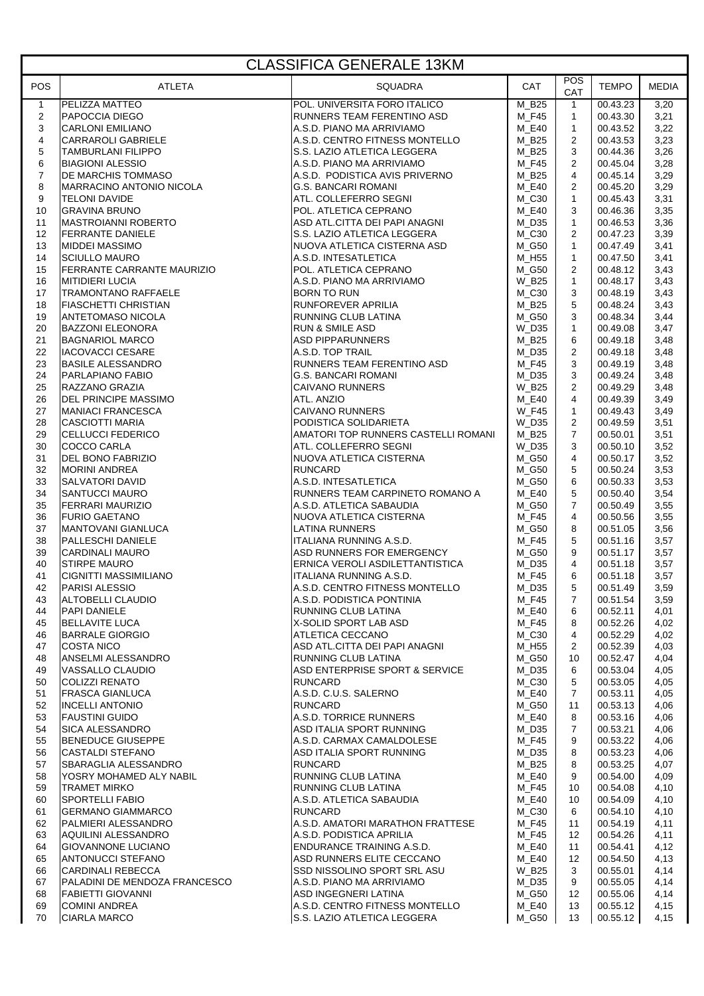|                          | <b>CLASSIFICA GENERALE 13KM</b>                           |                                                              |                            |                                |                      |              |  |  |  |
|--------------------------|-----------------------------------------------------------|--------------------------------------------------------------|----------------------------|--------------------------------|----------------------|--------------|--|--|--|
| <b>POS</b>               | <b>ATLETA</b>                                             | <b>SQUADRA</b>                                               | <b>CAT</b>                 | POS<br>CAT                     | <b>TEMPO</b>         | <b>MEDIA</b> |  |  |  |
| $\mathbf{1}$             | PELIZZA MATTEO                                            | POL. UNIVERSITA FORO ITALICO                                 | $M_B25$                    | $\mathbf{1}$                   | 00.43.23             | 3,20         |  |  |  |
| 2                        | <b>PAPOCCIA DIEGO</b>                                     | RUNNERS TEAM FERENTINO ASD                                   | M F45                      | $\mathbf{1}$                   | 00.43.30             | 3,21         |  |  |  |
| 3                        | <b>CARLONI EMILIANO</b>                                   | A.S.D. PIANO MA ARRIVIAMO                                    | M_E40                      | $\mathbf{1}$                   | 00.43.52             | 3,22         |  |  |  |
| $\overline{4}$           | CARRAROLI GABRIELE                                        | A.S.D. CENTRO FITNESS MONTELLO                               | M_B25                      | 2                              | 00.43.53             | 3,23         |  |  |  |
| 5                        | TAMBURLANI FILIPPO                                        | S.S. LAZIO ATLETICA LEGGERA                                  | M B25                      | 3                              | 00.44.36             | 3,26         |  |  |  |
| 6                        | <b>BIAGIONI ALESSIO</b>                                   | A.S.D. PIANO MA ARRIVIAMO                                    | M F45                      | $\overline{2}$                 | 00.45.04             | 3,28         |  |  |  |
| $\overline{7}$<br>$\bf8$ | DE MARCHIS TOMMASO<br>MARRACINO ANTONIO NICOLA            | A.S.D. PODISTICA AVIS PRIVERNO<br><b>G.S. BANCARI ROMANI</b> | M_B25                      | $\overline{4}$                 | 00.45.14<br>00.45.20 | 3,29         |  |  |  |
| 9                        | <b>TELONI DAVIDE</b>                                      | ATL. COLLEFERRO SEGNI                                        | M E40<br>M_C30             | $\overline{2}$<br>$\mathbf{1}$ | 00.45.43             | 3,29<br>3,31 |  |  |  |
| 10                       | <b>GRAVINA BRUNO</b>                                      | POL. ATLETICA CEPRANO                                        | M_E40                      | 3                              | 00.46.36             | 3,35         |  |  |  |
| 11                       | MASTROIANNI ROBERTO                                       | ASD ATL.CITTA DEI PAPI ANAGNI                                | M D35                      | $\mathbf{1}$                   | 00.46.53             | 3,36         |  |  |  |
| 12                       | <b>FERRANTE DANIELE</b>                                   | S.S. LAZIO ATLETICA LEGGERA                                  | M_C30                      | $\overline{2}$                 | 00.47.23             | 3,39         |  |  |  |
| 13                       | <b>MIDDEI MASSIMO</b>                                     | NUOVA ATLETICA CISTERNA ASD                                  | M_G50                      | $\mathbf{1}$                   | 00.47.49             | 3,41         |  |  |  |
| 14                       | <b>SCIULLO MAURO</b>                                      | A.S.D. INTESATLETICA                                         | M_H55                      | $\mathbf{1}$                   | 00.47.50             | 3,41         |  |  |  |
| 15                       | FERRANTE CARRANTE MAURIZIO                                | POL. ATLETICA CEPRANO                                        | M_G50                      | 2                              | 00.48.12             | 3,43         |  |  |  |
| 16                       | <b>MITIDIERI LUCIA</b>                                    | A.S.D. PIANO MA ARRIVIAMO                                    | W_B25                      | $\mathbf{1}$                   | 00.48.17             | 3,43         |  |  |  |
| 17                       | <b>TRAMONTANO RAFFAELE</b>                                | <b>BORN TO RUN</b>                                           | $M_C30$                    | 3                              | 00.48.19             | 3,43         |  |  |  |
| 18                       | <b>FIASCHETTI CHRISTIAN</b>                               | <b>RUNFOREVER APRILIA</b>                                    | $M_B25$                    | 5                              | 00.48.24             | 3,43         |  |  |  |
| 19                       | ANTETOMASO NICOLA                                         | RUNNING CLUB LATINA                                          | M_G50                      | 3                              | 00.48.34             | 3,44         |  |  |  |
| 20                       | <b>BAZZONI ELEONORA</b>                                   | <b>RUN &amp; SMILE ASD</b>                                   | W D35                      | $\mathbf{1}$                   | 00.49.08             | 3,47         |  |  |  |
| 21                       | <b>BAGNARIOL MARCO</b>                                    | <b>ASD PIPPARUNNERS</b><br>A.S.D. TOP TRAIL                  | M_B25                      | 6                              | 00.49.18             | 3,48         |  |  |  |
| 22<br>23                 | IACOVACCI CESARE<br><b>BASILE ALESSANDRO</b>              | RUNNERS TEAM FERENTINO ASD                                   | M D35<br>M F45             | $\overline{2}$<br>3            | 00.49.18<br>00.49.19 | 3,48<br>3,48 |  |  |  |
| 24                       | PARLAPIANO FABIO                                          | G.S. BANCARI ROMANI                                          | M_D35                      | 3                              | 00.49.24             | 3,48         |  |  |  |
| 25                       | RAZZANO GRAZIA                                            | <b>CAIVANO RUNNERS</b>                                       | W_B25                      | $\overline{2}$                 | 00.49.29             | 3,48         |  |  |  |
| 26                       | DEL PRINCIPE MASSIMO                                      | ATL. ANZIO                                                   | M E40                      | $\overline{4}$                 | 00.49.39             | 3,49         |  |  |  |
| 27                       | <b>MANIACI FRANCESCA</b>                                  | <b>CAIVANO RUNNERS</b>                                       | <b>W_F45</b>               | $\mathbf{1}$                   | 00.49.43             | 3,49         |  |  |  |
| 28                       | <b>CASCIOTTI MARIA</b>                                    | PODISTICA SOLIDARIETA                                        | <b>W_D35</b>               | $\overline{2}$                 | 00.49.59             | 3,51         |  |  |  |
| 29                       | <b>CELLUCCI FEDERICO</b>                                  | AMATORI TOP RUNNERS CASTELLI ROMANI                          | M B25                      | $\overline{7}$                 | 00.50.01             | 3,51         |  |  |  |
| 30                       | COCCO CARLA                                               | ATL. COLLEFERRO SEGNI                                        | W_D35                      | 3                              | 00.50.10             | 3,52         |  |  |  |
| 31                       | DEL BONO FABRIZIO                                         | NUOVA ATLETICA CISTERNA                                      | M_G50                      | 4                              | 00.50.17             | 3,52         |  |  |  |
| 32                       | <b>MORINI ANDREA</b>                                      | <b>RUNCARD</b>                                               | M G50                      | 5                              | 00.50.24             | 3,53         |  |  |  |
| 33                       | SALVATORI DAVID                                           | A.S.D. INTESATLETICA                                         | M G50                      | 6                              | 00.50.33             | 3,53         |  |  |  |
| 34<br>35                 | SANTUCCI MAURO<br>FERRARI MAURIZIO                        | RUNNERS TEAM CARPINETO ROMANO A<br>A.S.D. ATLETICA SABAUDIA  | M_E40<br>M G50             | 5<br>$\overline{7}$            | 00.50.40<br>00.50.49 | 3,54<br>3,55 |  |  |  |
| 36                       | <b>FURIO GAETANO</b>                                      | NUOVA ATLETICA CISTERNA                                      | M F45                      | $\overline{4}$                 | 00.50.56             | 3,55         |  |  |  |
| 37                       | MANTOVANI GIANLUCA                                        | <b>LATINA RUNNERS</b>                                        | M_G50                      | 8                              | 00.51.05             | 3,56         |  |  |  |
| 38                       | <b>PALLESCHI DANIELE</b>                                  | IITALIANA RUNNING A.S.D.                                     | M F45                      | 5                              | 00.51.16             | 3,57         |  |  |  |
| 39                       | <b>CARDINALI MAURO</b>                                    | ASD RUNNERS FOR EMERGENCY                                    | M_G50                      | 9                              | 00.51.17             | 3,57         |  |  |  |
| 40                       | <b>STIRPE MAURO</b>                                       | ERNICA VEROLI ASDILETTANTISTICA                              | M D35                      | $\overline{4}$                 | 00.51.18             | 3,57         |  |  |  |
| 41                       | <b>CIGNITTI MASSIMILIANO</b>                              | ITALIANA RUNNING A.S.D.                                      | M_F45                      | 6                              | 00.51.18             | 3,57         |  |  |  |
| 42                       | PARISI ALESSIO                                            | A.S.D. CENTRO FITNESS MONTELLO                               | $M_D35$                    | 5 <sup>5</sup>                 | 00.51.49             | 3,59         |  |  |  |
| 43                       | ALTOBELLI CLAUDIO                                         | A.S.D. PODISTICA PONTINIA                                    | M_F45                      | $\overline{7}$                 | 00.51.54             | 3,59         |  |  |  |
| 44                       | PAPI DANIELE                                              | RUNNING CLUB LATINA                                          | M_E40                      | 6                              | 00.52.11             | 4,01         |  |  |  |
| 45<br>46                 | <b>BELLAVITE LUCA</b><br><b>BARRALE GIORGIO</b>           | X-SOLID SPORT LAB ASD<br>ATLETICA CECCANO                    | <b>M_F45</b><br>$M_{}$ C30 | 8<br>4                         | 00.52.26<br>00.52.29 | 4,02<br>4,02 |  |  |  |
| 47                       | <b>COSTA NICO</b>                                         | ASD ATL.CITTA DEI PAPI ANAGNI                                | M_H55                      | 2                              | 00.52.39             | 4,03         |  |  |  |
| 48                       | ANSELMI ALESSANDRO                                        | <b>RUNNING CLUB LATINA</b>                                   | M_G50                      | 10                             | 00.52.47             | 4,04         |  |  |  |
| 49                       | VASSALLO CLAUDIO                                          | ASD ENTERPRISE SPORT & SERVICE                               | M_D35                      | 6                              | 00.53.04             | 4,05         |  |  |  |
| 50                       | <b>COLIZZI RENATO</b>                                     | <b>RUNCARD</b>                                               | $M_{}$ C30                 | 5                              | 00.53.05             | 4,05         |  |  |  |
| 51                       | <b>FRASCA GIANLUCA</b>                                    | A.S.D. C.U.S. SALERNO                                        | $M_E40$                    | $\overline{7}$                 | 00.53.11             | 4,05         |  |  |  |
| 52                       | <b>INCELLI ANTONIO</b>                                    | <b>RUNCARD</b>                                               | M G50                      | 11                             | 00.53.13             | 4,06         |  |  |  |
| 53                       | <b>FAUSTINI GUIDO</b>                                     | A.S.D. TORRICE RUNNERS                                       | M_E40                      | 8                              | 00.53.16             | 4,06         |  |  |  |
| 54                       | <b>SICA ALESSANDRO</b>                                    | ASD ITALIA SPORT RUNNING                                     | M_D35                      | $\overline{7}$                 | 00.53.21             | 4,06         |  |  |  |
| 55                       | <b>BENEDUCE GIUSEPPE</b>                                  | A.S.D. CARMAX CAMALDOLESE                                    | M F45                      | 9                              | 00.53.22             | 4,06         |  |  |  |
| 56<br>57                 | <b>CASTALDI STEFANO</b><br>SBARAGLIA ALESSANDRO           | ASD ITALIA SPORT RUNNING<br><b>RUNCARD</b>                   | M_D35<br>M_B25             | 8<br>8                         | 00.53.23<br>00.53.25 | 4,06<br>4,07 |  |  |  |
| 58                       | YOSRY MOHAMED ALY NABIL                                   | <b>RUNNING CLUB LATINA</b>                                   | M E40                      | 9                              | 00.54.00             | 4,09         |  |  |  |
| 59                       | <b>TRAMET MIRKO</b>                                       | <b>RUNNING CLUB LATINA</b>                                   | M_F45                      | 10                             | 00.54.08             | 4,10         |  |  |  |
| 60                       | <b>SPORTELLI FABIO</b>                                    | A.S.D. ATLETICA SABAUDIA                                     | M_E40                      | 10                             | 00.54.09             | 4,10         |  |  |  |
| 61                       | <b>GERMANO GIAMMARCO</b>                                  | <b>RUNCARD</b>                                               | M C30                      | 6                              | 00.54.10             | 4,10         |  |  |  |
| 62                       | PALMIERI ALESSANDRO                                       | A.S.D. AMATORI MARATHON FRATTESE                             | M_F45                      | 11                             | 00.54.19             | 4,11         |  |  |  |
| 63                       | AQUILINI ALESSANDRO                                       | A.S.D. PODISTICA APRILIA                                     | M_F45                      | 12                             | 00.54.26             | 4,11         |  |  |  |
| 64                       | <b>GIOVANNONE LUCIANO</b>                                 | ENDURANCE TRAINING A.S.D.                                    | M_E40                      | 11                             | 00.54.41             | 4,12         |  |  |  |
| 65                       | ANTONUCCI STEFANO                                         | ASD RUNNERS ELITE CECCANO                                    | M_E40                      | 12                             | 00.54.50             | 4,13         |  |  |  |
| 66<br>67                 | <b>CARDINALI REBECCA</b><br>PALADINI DE MENDOZA FRANCESCO | ISSD NISSOLINO SPORT SRL ASU<br>A.S.D. PIANO MA ARRIVIAMO    | <b>W_B25</b><br>M_D35      | 3<br>9                         | 00.55.01<br>00.55.05 | 4,14<br>4,14 |  |  |  |
| 68                       | <b>FABIETTI GIOVANNI</b>                                  | ASD INGEGNERI LATINA                                         | M_G50                      | 12                             | 00.55.06             | 4,14         |  |  |  |
| 69                       | <b>COMINI ANDREA</b>                                      | A.S.D. CENTRO FITNESS MONTELLO                               | M_E40                      | 13                             | 00.55.12             | 4,15         |  |  |  |
| 70                       | <b>CIARLA MARCO</b>                                       | S.S. LAZIO ATLETICA LEGGERA                                  | M_G50                      | 13                             | 00.55.12             | 4,15         |  |  |  |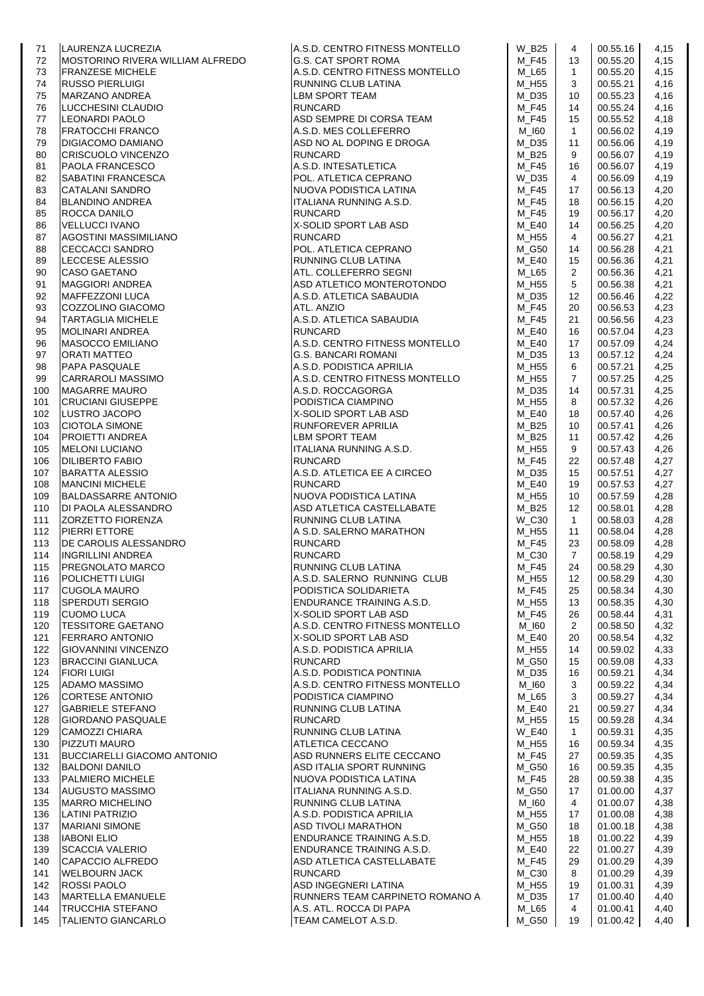| 71         | LAURENZA LUCREZIA                                 | A.S.D. CENTRO FITNESS MONTELLO                               | W_B25                 | 4                  | 00.55.16             | 4,15         |
|------------|---------------------------------------------------|--------------------------------------------------------------|-----------------------|--------------------|----------------------|--------------|
| 72         | MOSTORINO RIVERA WILLIAM ALFREDO                  | G.S. CAT SPORT ROMA                                          | M_F45                 | 13                 | 00.55.20             | 4,15         |
| 73         | <b>FRANZESE MICHELE</b>                           | A.S.D. CENTRO FITNESS MONTELLO                               | M_L65                 | $\mathbf{1}$       | 00.55.20             | 4,15         |
| 74<br>75   | <b>RUSSO PIERLUIGI</b><br><b>MARZANO ANDREA</b>   | RUNNING CLUB LATINA<br><b>LBM SPORT TEAM</b>                 | M_H55<br>M_D35        | 3<br>10            | 00.55.21<br>00.55.23 | 4,16<br>4,16 |
| 76         | LUCCHESINI CLAUDIO                                | <b>RUNCARD</b>                                               | M_F45                 | 14                 | 00.55.24             | 4,16         |
| 77         | <b>LEONARDI PAOLO</b>                             | ASD SEMPRE DI CORSA TEAM                                     | M F45                 | 15                 | 00.55.52             | 4,18         |
| 78         | <b>FRATOCCHI FRANCO</b>                           | A.S.D. MES COLLEFERRO                                        | $M_l$ 160             | $\mathbf{1}$       | 00.56.02             | 4,19         |
| 79         | DIGIACOMO DAMIANO                                 | ASD NO AL DOPING E DROGA                                     | $M_D35$               | 11                 | 00.56.06             | 4,19         |
| 80         | <b>CRISCUOLO VINCENZO</b>                         | <b>RUNCARD</b>                                               | M B25                 | 9                  | 00.56.07             | 4,19         |
| 81         | PAOLA FRANCESCO                                   | A.S.D. INTESATLETICA                                         | M_F45                 | 16                 | 00.56.07             | 4,19         |
| 82         | SABATINI FRANCESCA                                | POL. ATLETICA CEPRANO                                        | W_D35                 | $\overline{4}$     | 00.56.09             | 4,19         |
| 83         | <b>CATALANI SANDRO</b>                            | NUOVA PODISTICA LATINA                                       | M_F45                 | 17                 | 00.56.13             | 4,20         |
| 84         | <b>BLANDINO ANDREA</b><br>ROCCA DANILO            | ITALIANA RUNNING A.S.D.<br><b>RUNCARD</b>                    | M_F45<br>M_F45        | 18                 | 00.56.15<br>00.56.17 | 4,20         |
| 85<br>86   | <b>VELLUCCI IVANO</b>                             | X-SOLID SPORT LAB ASD                                        | M_E40                 | 19<br>14           | 00.56.25             | 4,20<br>4,20 |
| 87         | AGOSTINI MASSIMILIANO                             | <b>RUNCARD</b>                                               | M_H55                 | $\overline{4}$     | 00.56.27             | 4,21         |
| 88         | <b>CECCACCI SANDRO</b>                            | POL. ATLETICA CEPRANO                                        | M_G50                 | 14                 | 00.56.28             | 4,21         |
| 89         | LECCESE ALESSIO                                   | RUNNING CLUB LATINA                                          | M_E40                 | 15                 | 00.56.36             | 4,21         |
| 90         | <b>CASO GAETANO</b>                               | ATL. COLLEFERRO SEGNI                                        | M_L65                 | $\overline{2}$     | 00.56.36             | 4,21         |
| 91         | <b>MAGGIORI ANDREA</b>                            | ASD ATLETICO MONTEROTONDO                                    | M_H55                 | 5                  | 00.56.38             | 4,21         |
| 92         | <b>MAFFEZZONI LUCA</b>                            | A.S.D. ATLETICA SABAUDIA                                     | M_D35                 | 12                 | 00.56.46             | 4,22         |
| 93         | COZZOLINO GIACOMO                                 | ATL. ANZIO                                                   | M_F45                 | 20                 | 00.56.53             | 4,23         |
| 94         | <b>TARTAGLIA MICHELE</b>                          | A.S.D. ATLETICA SABAUDIA                                     | M F45                 | 21                 | 00.56.56             | 4,23         |
| 95         | <b>MOLINARI ANDREA</b>                            | <b>RUNCARD</b>                                               | M_E40                 | 16                 | 00.57.04             | 4,23         |
| 96<br>97   | <b>MASOCCO EMILIANO</b><br><b>ORATI MATTEO</b>    | A.S.D. CENTRO FITNESS MONTELLO<br><b>G.S. BANCARI ROMANI</b> | M_E40<br>M_D35        | 17<br>13           | 00.57.09<br>00.57.12 | 4,24<br>4,24 |
| 98         | <b>PAPA PASQUALE</b>                              | A.S.D. PODISTICA APRILIA                                     | M_H55                 | 6                  | 00.57.21             | 4,25         |
| 99         | <b>CARRAROLI MASSIMO</b>                          | A.S.D. CENTRO FITNESS MONTELLO                               | M_H55                 | $\overline{7}$     | 00.57.25             | 4,25         |
| 100        | <b>MAGARRE MAURO</b>                              | A.S.D. ROCCAGORGA                                            | $M_D35$               | 14                 | 00.57.31             | 4,25         |
| 101        | <b>CRUCIANI GIUSEPPE</b>                          | PODISTICA CIAMPINO                                           | M_H55                 | 8                  | 00.57.32             | 4,26         |
| 102        | LUSTRO JACOPO                                     | X-SOLID SPORT LAB ASD                                        | M_E40                 | 18                 | 00.57.40             | 4,26         |
| 103        | <b>CIOTOLA SIMONE</b>                             | RUNFOREVER APRILIA                                           | M_B25                 | 10                 | 00.57.41             | 4,26         |
| 104        | <b>PROJETTI ANDREA</b>                            | LBM SPORT TEAM                                               | M_B25                 | 11                 | 00.57.42             | 4,26         |
| 105        | <b>MELONI LUCIANO</b>                             | ITALIANA RUNNING A.S.D.                                      | M_H55                 | 9                  | 00.57.43             | 4,26         |
| 106        | <b>DILIBERTO FABIO</b>                            | <b>RUNCARD</b>                                               | M_F45                 | 22                 | 00.57.48             | 4,27         |
| 107<br>108 | <b>BARATTA ALESSIO</b><br><b>MANCINI MICHELE</b>  | A.S.D. ATLETICA EE A CIRCEO<br><b>RUNCARD</b>                | $M_D35$<br>M_E40      | 15<br>19           | 00.57.51<br>00.57.53 | 4,27<br>4,27 |
| 109        | <b>BALDASSARRE ANTONIO</b>                        | NUOVA PODISTICA LATINA                                       | M_H55                 | 10                 | 00.57.59             | 4,28         |
| 110        | DI PAOLA ALESSANDRO                               | ASD ATLETICA CASTELLABATE                                    | M_B25                 | $12 \overline{ }$  | 00.58.01             | 4,28         |
| 111        | ZORZETTO FIORENZA                                 | RUNNING CLUB LATINA                                          | W_C30                 | $\mathbf{1}$       | 00.58.03             | 4,28         |
| 112        | PIERRI ETTORE                                     | A S.D. SALERNO MARATHON                                      | M_H55                 | 11                 | 00.58.04             | 4,28         |
| 113        | DE CAROLIS ALESSANDRO                             | <b>RUNCARD</b>                                               | M_F45                 | 23                 | 00.58.09             | 4,28         |
| 114        | <b>INGRILLINI ANDREA</b>                          | <b>RUNCARD</b>                                               | $M_{}$ C30            | $\overline{7}$     | 00.58.19             | 4,29         |
| 115        | PREGNOLATO MARCO                                  | RUNNING CLUB LATINA                                          | <b>M_F45</b>          | 24                 | 00.58.29             | 4,30         |
| 116        | <b>POLICHETTI LUIGI</b>                           | A.S.D. SALERNO RUNNING CLUB                                  | $M_H55$               | 12                 | 00.58.29             | 4,30         |
| 117        | <b>CUGOLA MAURO</b>                               | PODISTICA SOLIDARIETA                                        | M_F45                 | 25                 | 00.58.34             | 4,30         |
| 118<br>119 | SPERDUTI SERGIO<br><b>CUOMO LUCA</b>              | ENDURANCE TRAINING A.S.D.<br>X-SOLID SPORT LAB ASD           | M_H55<br>M F45        | 13<br>26           | 00.58.35<br>00.58.44 | 4,30<br>4,31 |
| 120        | <b>TESSITORE GAETANO</b>                          | A.S.D. CENTRO FITNESS MONTELLO                               | M_I60                 | 2                  | 00.58.50             | 4,32         |
| 121        | <b>FERRARO ANTONIO</b>                            | X-SOLID SPORT LAB ASD                                        | M E40                 | 20                 | 00.58.54             | 4,32         |
| 122        | <b>GIOVANNINI VINCENZO</b>                        | A.S.D. PODISTICA APRILIA                                     | M_H55                 | 14                 | 00.59.02             | 4,33         |
| 123        | <b>BRACCINI GIANLUCA</b>                          | <b>RUNCARD</b>                                               | M_G50                 | 15                 | 00.59.08             | 4,33         |
| 124        | <b>FIORI LUIGI</b>                                | A.S.D. PODISTICA PONTINIA                                    | M D35                 | 16                 | 00.59.21             | 4,34         |
| 125        | <b>ADAMO MASSIMO</b>                              | A.S.D. CENTRO FITNESS MONTELLO                               | M_I60                 | 3                  | 00.59.22             | 4,34         |
| 126        | <b>CORTESE ANTONIO</b>                            | PODISTICA CIAMPINO                                           | M_L65                 | 3                  | 00.59.27             | 4,34         |
| 127        | <b>GABRIELE STEFANO</b>                           | RUNNING CLUB LATINA                                          | M_E40                 | 21                 | 00.59.27             | 4,34         |
| 128<br>129 | <b>GIORDANO PASQUALE</b><br><b>CAMOZZI CHIARA</b> | <b>RUNCARD</b><br>RUNNING CLUB LATINA                        | M_H55<br><b>W_E40</b> | 15<br>$\mathbf{1}$ | 00.59.28<br>00.59.31 | 4,34<br>4,35 |
| 130        | PIZZUTI MAURO                                     | ATLETICA CECCANO                                             | M H55                 | 16                 | 00.59.34             | 4,35         |
| 131        | <b>BUCCIARELLI GIACOMO ANTONIO</b>                | ASD RUNNERS ELITE CECCANO                                    | M_F45                 | 27                 | 00.59.35             | 4,35         |
| 132        | <b>BALDONI DANILO</b>                             | ASD ITALIA SPORT RUNNING                                     | M_G50                 | 16                 | 00.59.35             | 4,35         |
| 133        | PALMIERO MICHELE                                  | NUOVA PODISTICA LATINA                                       | M F45                 | 28                 | 00.59.38             | 4,35         |
| 134        | <b>AUGUSTO MASSIMO</b>                            | ITALIANA RUNNING A.S.D.                                      | M_G50                 | 17                 | 01.00.00             | 4,37         |
| 135        | <b>MARRO MICHELINO</b>                            | RUNNING CLUB LATINA                                          | M_I60                 | 4                  | 01.00.07             | 4,38         |
| 136        | <b>LATINI PATRIZIO</b>                            | A.S.D. PODISTICA APRILIA                                     | M_H55                 | 17                 | 01.00.08             | 4,38         |
| 137        | <b>MARIANI SIMONE</b>                             | <b>ASD TIVOLI MARATHON</b>                                   | M_G50                 | 18                 | 01.00.18             | 4,38         |
| 138        | <b>IABONI ELIO</b>                                | ENDURANCE TRAINING A.S.D.                                    | M_H55                 | 18                 | 01.00.22             | 4,39         |
| 139        | <b>SCACCIA VALERIO</b><br>CAPACCIO ALFREDO        | ENDURANCE TRAINING A.S.D.<br>ASD ATLETICA CASTELLABATE       | M_E40<br>M_F45        | 22<br>29           | 01.00.27<br>01.00.29 | 4,39<br>4,39 |
| 140<br>141 | <b>WELBOURN JACK</b>                              | <b>RUNCARD</b>                                               | $M_{}$ C30            | 8                  | 01.00.29             | 4,39         |
| 142        | <b>ROSSI PAOLO</b>                                | ASD INGEGNERI LATINA                                         | M_H55                 | 19                 | 01.00.31             | 4,39         |
| 143        | <b>MARTELLA EMANUELE</b>                          | RUNNERS TEAM CARPINETO ROMANO A                              | $M_D35$               | 17                 | 01.00.40             | 4,40         |
| 144        | <b>TRUCCHIA STEFANO</b>                           | A.S. ATL. ROCCA DI PAPA                                      | M_L65                 | 4                  | 01.00.41             | 4,40         |
| 145        | <b>TALIENTO GIANCARLO</b>                         | TEAM CAMELOT A.S.D.                                          | M_G50                 | 19                 | 01.00.42             | 4,40         |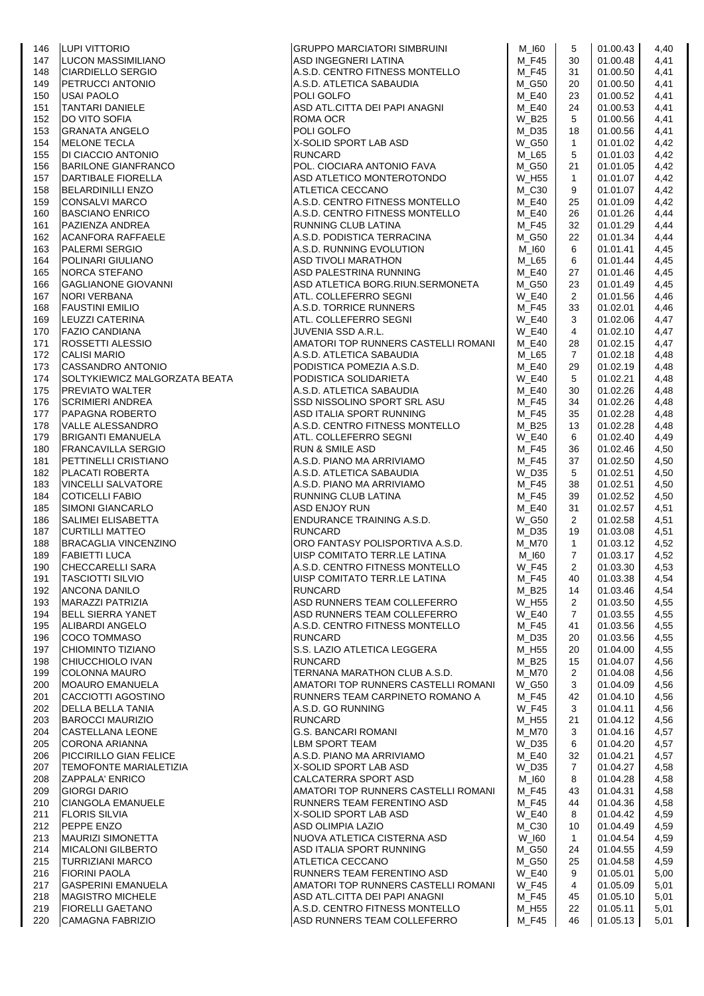| 146        | LUPI VITTORIO                                     | <b>GRUPPO MARCIATORI SIMBRUINI</b>                      | M_I60          | 5              | 01.00.43             | 4,40         |
|------------|---------------------------------------------------|---------------------------------------------------------|----------------|----------------|----------------------|--------------|
| 147        | LUCON MASSIMILIANO                                | ASD INGEGNERI LATINA                                    | <b>M_F45</b>   | 30             | 01.00.48             | 4,41         |
| 148        | <b>CIARDIELLO SERGIO</b>                          | A.S.D. CENTRO FITNESS MONTELLO                          | M_F45          | 31             | 01.00.50             | 4,41         |
| 149        | PETRUCCI ANTONIO                                  | A.S.D. ATLETICA SABAUDIA                                | M_G50          | 20             | 01.00.50             | 4,41         |
| 150        | <b>USAI PAOLO</b>                                 | POLI GOLFO                                              | M_E40          | 23             | 01.00.52             | 4,41         |
| 151        | <b>TANTARI DANIELE</b>                            | ASD ATL.CITTA DEI PAPI ANAGNI                           | M_E40          | 24             | 01.00.53             | 4,41         |
| 152        | <b>DO VITO SOFIA</b>                              | ROMA OCR                                                | W B25          | 5              | 01.00.56             | 4,41         |
| 153        | <b>GRANATA ANGELO</b>                             | POLI GOLFO                                              | M_D35          | 18             | 01.00.56             | 4,41         |
| 154        | <b>MELONE TECLA</b>                               | X-SOLID SPORT LAB ASD                                   | <b>W_G50</b>   | $\mathbf{1}$   | 01.01.02             | 4,42         |
| 155        | DI CIACCIO ANTONIO                                | <b>RUNCARD</b>                                          | M L65          | 5              | 01.01.03             | 4,42         |
| 156        | <b>BARILONE GIANFRANCO</b>                        | POL. CIOCIARA ANTONIO FAVA                              | M_G50          | 21             | 01.01.05             | 4,42         |
| 157        | <b>DARTIBALE FIORELLA</b>                         | ASD ATLETICO MONTEROTONDO                               | W_H55          | $\mathbf{1}$   | 01.01.07             | 4,42         |
| 158        | <b>BELARDINILLI ENZO</b>                          | ATLETICA CECCANO                                        | M_C30          | 9              | 01.01.07             | 4,42         |
| 159        | <b>CONSALVI MARCO</b>                             | A.S.D. CENTRO FITNESS MONTELLO                          | M E40          | 25             | 01.01.09             | 4,42         |
| 160        | <b>BASCIANO ENRICO</b>                            | A.S.D. CENTRO FITNESS MONTELLO                          | M_E40          | 26             | 01.01.26             | 4,44         |
| 161        | PAZIENZA ANDREA                                   | RUNNING CLUB LATINA                                     | M_F45          | 32             | 01.01.29             | 4,44         |
| 162        | <b>ACANFORA RAFFAELE</b>                          | A.S.D. PODISTICA TERRACINA                              | M_G50          | 22             | 01.01.34             | 4,44         |
| 163        | PALERMI SERGIO                                    | A.S.D. RUNNING EVOLUTION                                | M_I60          | 6              | 01.01.41             | 4,45         |
| 164        | POLINARI GIULIANO                                 | <b>ASD TIVOLI MARATHON</b>                              | M_L65          | 6              | 01.01.44             | 4,45         |
| 165        | NORCA STEFANO                                     | ASD PALESTRINA RUNNING                                  | M_E40          | 27             | 01.01.46             | 4,45         |
| 166        | <b>GAGLIANONE GIOVANNI</b>                        | ASD ATLETICA BORG.RIUN.SERMONETA                        | M G50          | 23             | 01.01.49             | 4,45         |
| 167        | <b>NORI VERBANA</b>                               | ATL. COLLEFERRO SEGNI                                   | <b>W_E40</b>   | 2              | 01.01.56             | 4,46         |
| 168        | <b>FAUSTINI EMILIO</b>                            | A.S.D. TORRICE RUNNERS                                  | M_F45          | 33             | 01.02.01             | 4,46         |
| 169        | LEUZZI CATERINA                                   | ATL. COLLEFERRO SEGNI                                   | <b>W E40</b>   | 3              | 01.02.06             | 4,47         |
| 170        | <b>FAZIO CANDIANA</b>                             | JUVENIA SSD A.R.L.                                      | <b>W_E40</b>   | 4              | 01.02.10             | 4,47         |
| 171        | <b>ROSSETTI ALESSIO</b>                           | AMATORI TOP RUNNERS CASTELLI ROMANI                     | M_E40          | 28             | 01.02.15             | 4,47         |
| 172        | <b>CALISI MARIO</b>                               | A.S.D. ATLETICA SABAUDIA                                | M_L65          | $\overline{7}$ | 01.02.18             | 4,48         |
| 173        | <b>CASSANDRO ANTONIO</b>                          | PODISTICA POMEZIA A.S.D.                                | M E40          | 29             | 01.02.19             | 4,48         |
| 174        | SOLTYKIEWICZ MALGORZATA BEATA                     | PODISTICA SOLIDARIETA<br>A.S.D. ATLETICA SABAUDIA       | <b>W_E40</b>   | 5              | 01.02.21             | 4,48         |
| 175        | <b>PREVIATO WALTER</b>                            |                                                         | M_E40          | 30             | 01.02.26             | 4,48         |
| 176        | <b>SCRIMIERI ANDREA</b>                           | SSD NISSOLINO SPORT SRL ASU                             | $M_F45$        | 34             | 01.02.26             | 4,48         |
| 177        | PAPAGNA ROBERTO                                   | ASD ITALIA SPORT RUNNING                                | M_F45          | 35             | 01.02.28             | 4,48         |
| 178        | VALLE ALESSANDRO                                  | A.S.D. CENTRO FITNESS MONTELLO                          | M_B25          | 13             | 01.02.28             | 4,48         |
| 179        | <b>BRIGANTI EMANUELA</b>                          | ATL. COLLEFERRO SEGNI                                   | <b>W_E40</b>   | 6              | 01.02.40             | 4,49         |
| 180        | <b>FRANCAVILLA SERGIO</b><br>PETTINELLI CRISTIANO | <b>RUN &amp; SMILE ASD</b><br>A.S.D. PIANO MA ARRIVIAMO | M F45<br>M_F45 | 36<br>37       | 01.02.46<br>01.02.50 | 4,50         |
| 181        | <b>PLACATI ROBERTA</b>                            | A.S.D. ATLETICA SABAUDIA                                | W_D35          | 5              | 01.02.51             | 4,50         |
| 182<br>183 | <b>VINCELLI SALVATORE</b>                         |                                                         | M_F45          | 38             | 01.02.51             | 4,50<br>4,50 |
| 184        | <b>COTICELLI FABIO</b>                            | A.S.D. AILETION ONE IN ARRIVIAMO<br>RUNNING CLUB LATINA | M_F45          | 39             | 01.02.52             | 4,50         |
| 185        | <b>SIMONI GIANCARLO</b>                           | ASD ENJOY RUN                                           | M_E40          | 31             | 01.02.57             | 4,51         |
| 186        | SALIMEI ELISABETTA                                |                                                         | <b>W_G50</b>   | 2              | 01.02.58             | 4,51         |
| 187        | <b>CURTILLI MATTEO</b>                            | ENDURANCE TRAINING A.S.D.<br><b>RUNCARD</b>             | M_D35          | 19             | 01.03.08             | 4,51         |
| 188        | <b>BRACAGLIA VINCENZINO</b>                       | ORO FANTASY POLISPORTIVA A.S.D.                         | M_M70          | $\mathbf{1}$   | 01.03.12             | 4,52         |
| 189        | <b>FABIETTI LUCA</b>                              | UISP COMITATO TERR.LE LATINA                            | M_I60          | $\overline{7}$ | 01.03.17             | 4,52         |
| 190        | <b>CHECCARELLI SARA</b>                           | A.S.D. CENTRO FITNESS MONTELLO                          | $W_F45$        | $\overline{2}$ | 01.03.30             | 4,53         |
| 191        | TASCIOTTI SILVIO                                  | UISP COMITATO TERR.LE LATINA                            | $M_F45$        | 40             | 01.03.38             | 4,54         |
| 192        | <b>ANCONA DANILO</b>                              | <b>RUNCARD</b>                                          | $M_B25$        | 14             | 01.03.46             | 4,54         |
| 193        | <b>MARAZZI PATRIZIA</b>                           | ASD RUNNERS TEAM COLLEFERRO                             | W_H55          | $\overline{2}$ | 01.03.50             | 4,55         |
| 194        | <b>BELL SIERRA YANET</b>                          | ASD RUNNERS TEAM COLLEFERRO                             | <b>W E40</b>   | $\overline{7}$ | 01.03.55             | 4,55         |
| 195        | ALIBARDI ANGELO                                   | A.S.D. CENTRO FITNESS MONTELLO                          | M_F45          | 41             | 01.03.56             | 4,55         |
| 196        | <b>COCO TOMMASO</b>                               | <b>RUNCARD</b>                                          | M D35          | 20             | 01.03.56             | 4,55         |
| 197        | CHIOMINTO TIZIANO                                 | S.S. LAZIO ATLETICA LEGGERA                             | M_H55          | 20             | 01.04.00             | 4,55         |
| 198        | CHIUCCHIOLO IVAN                                  | <b>RUNCARD</b>                                          | $M_B25$        | 15             | 01.04.07             | 4,56         |
| 199        | <b>COLONNA MAURO</b>                              | TERNANA MARATHON CLUB A.S.D.                            | M M70          | 2              | 01.04.08             | 4,56         |
| 200        | <b>MOAURO EMANUELA</b>                            | AMATORI TOP RUNNERS CASTELLI ROMANI                     | W_G50          | 3              | 01.04.09             | 4,56         |
| 201        | CACCIOTTI AGOSTINO                                | RUNNERS TEAM CARPINETO ROMANO A                         | M_F45          | 42             | 01.04.10             | 4,56         |
| 202        | <b>DELLA BELLA TANIA</b>                          | A.S.D. GO RUNNING                                       | <b>W_F45</b>   | 3              | 01.04.11             | 4,56         |
| 203        | <b>BAROCCI MAURIZIO</b>                           | <b>RUNCARD</b>                                          | M_H55          | 21             | 01.04.12             | 4,56         |
| 204        | <b>CASTELLANA LEONE</b>                           | <b>G.S. BANCARI ROMANI</b>                              | M_M70          | 3              | 01.04.16             | 4,57         |
| 205        | <b>CORONA ARIANNA</b>                             | <b>LBM SPORT TEAM</b>                                   | W_D35          | 6              | 01.04.20             | 4,57         |
| 206        | PICCIRILLO GIAN FELICE                            | A.S.D. PIANO MA ARRIVIAMO                               | M_E40          | 32             | 01.04.21             | 4,57         |
| 207        | TEMOFONTE MARIALETIZIA                            | X-SOLID SPORT LAB ASD                                   | W_D35          | $\overline{7}$ | 01.04.27             | 4,58         |
| 208        | <b>ZAPPALA' ENRICO</b>                            | CALCATERRA SPORT ASD                                    | M 160          | 8              | 01.04.28             | 4,58         |
| 209        | <b>GIORGI DARIO</b>                               | AMATORI TOP RUNNERS CASTELLI ROMANI                     | M_F45          | 43             | 01.04.31             | 4,58         |
| 210        | <b>CIANGOLA EMANUELE</b>                          | RUNNERS TEAM FERENTINO ASD                              | M_F45          | 44             | 01.04.36             | 4,58         |
| 211        | <b>FLORIS SILVIA</b>                              | X-SOLID SPORT LAB ASD                                   | <b>W_E40</b>   | 8              | 01.04.42             | 4,59         |
| 212        | PEPPE ENZO                                        | ASD OLIMPIA LAZIO                                       | $M_{}$ C30     | 10             | 01.04.49             | 4,59         |
| 213        | <b>MAURIZI SIMONETTA</b>                          | NUOVA ATLETICA CISTERNA ASD                             | $W_l$ 160      | $\mathbf{1}$   | 01.04.54             | 4,59         |
| 214        | <b>MICALONI GILBERTO</b>                          | ASD ITALIA SPORT RUNNING                                | M_G50          | 24             | 01.04.55             | 4,59         |
| 215        | <b>TURRIZIANI MARCO</b>                           | ATLETICA CECCANO                                        | M G50          | 25             | 01.04.58             | 4,59         |
| 216        | <b>FIORINI PAOLA</b>                              | RUNNERS TEAM FERENTINO ASD                              | <b>W_E40</b>   | 9              | 01.05.01             | 5,00         |
| 217        | <b>GASPERINI EMANUELA</b>                         | AMATORI TOP RUNNERS CASTELLI ROMANI                     | <b>W F45</b>   | 4              | 01.05.09             | 5,01         |
| 218        | <b>MAGISTRO MICHELE</b>                           | ASD ATL.CITTA DEI PAPI ANAGNI                           | M_F45          | 45             | 01.05.10             | 5,01         |
| 219        | <b>FIORELLI GAETANO</b>                           | A.S.D. CENTRO FITNESS MONTELLO                          | M_H55          | 22             | 01.05.11             | 5,01         |
| 220        | <b>CAMAGNA FABRIZIO</b>                           | ASD RUNNERS TEAM COLLEFERRO                             | M_F45          | 46             | 01.05.13             | 5,01         |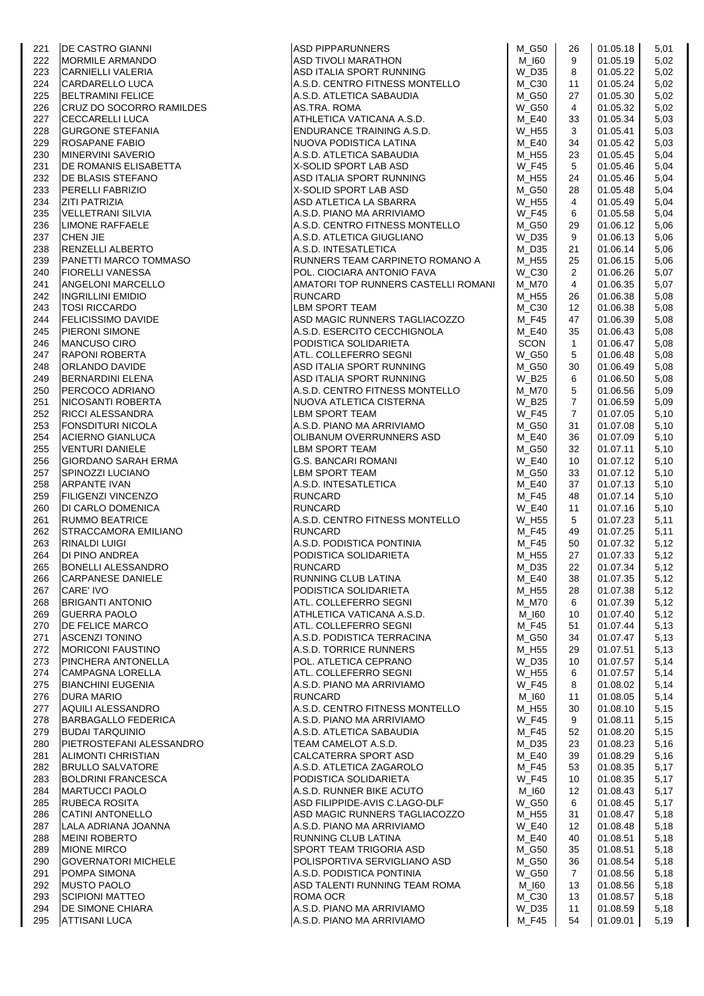|     | DE CASTRO GIANNI<br>MORMILE ARMANDO<br>CARNIELLI VALERIA<br>CARDARELLO LUCA<br>BELTRAMINI FELICE<br>CRUZ DO SOCORRO RAMILDES<br>CECCARELLI LUCA<br>GURGONE STEFANIA<br>ROSAPANE FABIO<br>MINERVINI SAVERIO<br>DE ROMANIS ELISABETTA<br>DE BLASIS STE   | ASD PIPPARUNNERS<br>ASD TIVOLI MARATHON<br>ASD IT WAS ARRELIAN                                               |              |                   |          |      |
|-----|--------------------------------------------------------------------------------------------------------------------------------------------------------------------------------------------------------------------------------------------------------|--------------------------------------------------------------------------------------------------------------|--------------|-------------------|----------|------|
| 221 |                                                                                                                                                                                                                                                        |                                                                                                              | M G50        | 26                | 01.05.18 | 5,01 |
| 222 |                                                                                                                                                                                                                                                        |                                                                                                              | $M_l$ 160    | 9                 | 01.05.19 | 5,02 |
| 223 |                                                                                                                                                                                                                                                        | ASD ITALIA SPORT RUNNING                                                                                     | W_D35        | 8                 | 01.05.22 | 5,02 |
| 224 |                                                                                                                                                                                                                                                        | A.S.D. CENTRO FITNESS MONTELLO                                                                               | M C30        | 11                | 01.05.24 | 5,02 |
| 225 |                                                                                                                                                                                                                                                        | A.S.D. ATLETICA SABAUDIA                                                                                     | M_G50        | 27                | 01.05.30 | 5,02 |
|     |                                                                                                                                                                                                                                                        |                                                                                                              |              |                   |          |      |
| 226 |                                                                                                                                                                                                                                                        | AS.TRA. ROMA                                                                                                 | <b>W_G50</b> | 4                 | 01.05.32 | 5,02 |
| 227 |                                                                                                                                                                                                                                                        | ATHLETICA VATICANA A.S.D.<br>ATHLETICA VALIDAIN USE.<br>ENDURANCE TRAINING A.S.D.                            | M E40        | 33                | 01.05.34 | 5,03 |
| 228 |                                                                                                                                                                                                                                                        |                                                                                                              | W_H55        | 3                 | 01.05.41 | 5,03 |
| 229 |                                                                                                                                                                                                                                                        | NUOVA PODISTICA LATINA                                                                                       | M_E40        | 34                | 01.05.42 | 5,03 |
| 230 |                                                                                                                                                                                                                                                        | A.S.D. ATLETICA SABAUDIA                                                                                     | M H55        | 23                | 01.05.45 | 5,04 |
|     |                                                                                                                                                                                                                                                        |                                                                                                              |              |                   |          |      |
| 231 |                                                                                                                                                                                                                                                        | X-SOLID SPORT LAB ASD<br>שבא שהג ו גורי ג'<br>ASD ITALIA SPORT RUNNING<br>X-SOL ID SPORT                     | <b>W_F45</b> | 5                 | 01.05.46 | 5,04 |
| 232 |                                                                                                                                                                                                                                                        |                                                                                                              | M H55        | 24                | 01.05.46 | 5,04 |
| 233 |                                                                                                                                                                                                                                                        | X-SOLID SPORT LAB ASD                                                                                        | M_G50        | 28                | 01.05.48 | 5,04 |
| 234 |                                                                                                                                                                                                                                                        | ASD ATLETICA LA SBARRA                                                                                       | W_H55        | 4                 | 01.05.49 | 5,04 |
|     |                                                                                                                                                                                                                                                        |                                                                                                              |              |                   |          |      |
| 235 |                                                                                                                                                                                                                                                        | A.S.D. PIANO MA ARRIVIAMO                                                                                    | <b>W_F45</b> | 6                 | 01.05.58 | 5,04 |
| 236 |                                                                                                                                                                                                                                                        | A.S.D. CENTRO FITNESS MONTELLO                                                                               | $M_G50$      | 29                | 01.06.12 | 5,06 |
| 237 |                                                                                                                                                                                                                                                        | A.S.D. ATLETICA GIUGLIANO                                                                                    | $W_D35$      | 9                 | 01.06.13 | 5,06 |
| 238 |                                                                                                                                                                                                                                                        | A.S.D. INTESATLETICA                                                                                         | M_D35        | 21                | 01.06.14 | 5,06 |
|     |                                                                                                                                                                                                                                                        |                                                                                                              |              |                   |          |      |
| 239 |                                                                                                                                                                                                                                                        | RUNNERS TEAM CARPINETO ROMANO A                                                                              | M H55        | 25                | 01.06.15 | 5,06 |
| 240 |                                                                                                                                                                                                                                                        | POL. CIOCIARA ANTONIO FAVA                                                                                   | W_C30        | 2                 | 01.06.26 | 5,07 |
| 241 |                                                                                                                                                                                                                                                        | AMATORI TOP RUNNERS CASTELLI ROMANI                                                                          | M_M70        | $\overline{4}$    | 01.06.35 | 5,07 |
| 242 |                                                                                                                                                                                                                                                        | <b>RUNCARD</b>                                                                                               | M_H55        | 26                | 01.06.38 | 5,08 |
| 243 |                                                                                                                                                                                                                                                        | LBM SPORT TEAM                                                                                               | $M_{}$ C30   | $12 \overline{ }$ | 01.06.38 | 5,08 |
|     |                                                                                                                                                                                                                                                        |                                                                                                              |              |                   |          |      |
| 244 |                                                                                                                                                                                                                                                        | ASD MAGIC RUNNERS TAGLIACOZZO                                                                                | M F45        | 47                | 01.06.39 | 5,08 |
| 245 |                                                                                                                                                                                                                                                        | A.S.D. ESERCITO CECCHIGNOLA                                                                                  | M_E40        | 35                | 01.06.43 | 5,08 |
| 246 |                                                                                                                                                                                                                                                        | PODISTICA SOLIDARIETA                                                                                        | SCON         | $\mathbf{1}$      | 01.06.47 | 5,08 |
| 247 |                                                                                                                                                                                                                                                        | ATL. COLLEFERRO SEGNI                                                                                        | <b>W_G50</b> | 5                 | 01.06.48 | 5,08 |
|     |                                                                                                                                                                                                                                                        |                                                                                                              |              |                   |          |      |
| 248 |                                                                                                                                                                                                                                                        | ASD ITALIA SPORT RUNNING                                                                                     | M_G50        | 30                | 01.06.49 | 5,08 |
| 249 |                                                                                                                                                                                                                                                        | ASD ITALIA SPORT RUNNING                                                                                     | W_B25        | 6                 | 01.06.50 | 5,08 |
| 250 |                                                                                                                                                                                                                                                        | A.S.D. CENTRO FITNESS MONTELLO                                                                               | <b>M_M70</b> | 5                 | 01.06.56 | 5,09 |
| 251 |                                                                                                                                                                                                                                                        | NUOVA ATLETICA CISTERNA                                                                                      | <b>W_B25</b> | $\overline{7}$    | 01.06.59 | 5,09 |
|     |                                                                                                                                                                                                                                                        |                                                                                                              |              |                   |          |      |
| 252 |                                                                                                                                                                                                                                                        | LBM SPORT TEAM                                                                                               | <b>W F45</b> | $\overline{7}$    | 01.07.05 | 5,10 |
| 253 |                                                                                                                                                                                                                                                        | A.S.D. PIANO MA ARRIVIAMO                                                                                    | M G50        | 31                | 01.07.08 | 5,10 |
| 254 |                                                                                                                                                                                                                                                        | OLIBANUM OVERRUNNERS ASD                                                                                     | M_E40        | 36                | 01.07.09 | 5,10 |
| 255 |                                                                                                                                                                                                                                                        |                                                                                                              | M G50        | 32                | 01.07.11 | 5,10 |
| 256 |                                                                                                                                                                                                                                                        |                                                                                                              | <b>W_E40</b> | 10                | 01.07.12 | 5,10 |
|     |                                                                                                                                                                                                                                                        |                                                                                                              |              |                   |          |      |
| 257 |                                                                                                                                                                                                                                                        |                                                                                                              | M_G50        | 33                | 01.07.12 | 5,10 |
| 258 |                                                                                                                                                                                                                                                        |                                                                                                              | M E40        | 37                | 01.07.13 | 5,10 |
| 259 | PANETTI MARCO TOMMASO<br>FIORELLI VANESSA<br>ANGELONI MARCO TOMMASO<br>TEORELLI VANESSA<br>MGELONI MARCELLO<br>INGRILLINI EMIDIO<br>TOSI RICCARDO<br>FELICISSIMO DAVIDE<br>PIERONI SIMONE<br>MANCUSO CIRO<br>RAPONI ROBERTA<br>ORLANDO DAVIDE<br>BERNA | LBM SPORT TEAM<br>G.S. BANCARI ROMANI<br>LBM SPORT TEAM<br>A.S.D. INTESATLETICA<br>RUNCARD<br><b>RUNCARD</b> | M_F45        | 48                | 01.07.14 | 5,10 |
| 260 |                                                                                                                                                                                                                                                        | <b>RUNCARD</b>                                                                                               | <b>W_E40</b> | 11                | 01.07.16 | 5,10 |
|     |                                                                                                                                                                                                                                                        |                                                                                                              | W_H55        | 5                 |          |      |
| 261 |                                                                                                                                                                                                                                                        | A.S.D. CENTRO FITNESS MONTELLO                                                                               |              |                   | 01.07.23 | 5,11 |
| 262 |                                                                                                                                                                                                                                                        | <b>RUNCARD</b>                                                                                               | M F45        | 49                | 01.07.25 | 5,11 |
| 263 |                                                                                                                                                                                                                                                        | A.S.D. PODISTICA PONTINIA<br>A.S.D. PODISTICA PONTINIA<br>PODISTICA SOLIDARIETA<br>IRUNCARD                  | M_F45        | 50                | 01.07.32 | 5,12 |
| 264 |                                                                                                                                                                                                                                                        |                                                                                                              | M_H55        | 27                | 01.07.33 | 5,12 |
| 265 |                                                                                                                                                                                                                                                        | RUNCARD                                                                                                      | $M_D35$      | 22                | 01.07.34 | 5,12 |
|     |                                                                                                                                                                                                                                                        |                                                                                                              |              |                   |          |      |
| 266 | CARPANESE DANIELE                                                                                                                                                                                                                                      | RUNNING CLUB LATINA                                                                                          | M_E40        | 38                | 01.07.35 | 5,12 |
| 267 | CARE' IVO                                                                                                                                                                                                                                              | PODISTICA SOLIDARIETA                                                                                        | M_H55        | 28                | 01.07.38 | 5,12 |
| 268 | <b>BRIGANTI ANTONIO</b>                                                                                                                                                                                                                                | ATL. COLLEFERRO SEGNI                                                                                        | M_M70        | 6                 | 01.07.39 | 5,12 |
| 269 | <b>GUERRA PAOLO</b>                                                                                                                                                                                                                                    | ATHLETICA VATICANA A.S.D.                                                                                    | M_I60        | 10                | 01.07.40 | 5,12 |
|     | <b>DE FELICE MARCO</b>                                                                                                                                                                                                                                 |                                                                                                              |              |                   |          |      |
| 270 |                                                                                                                                                                                                                                                        | ATL. COLLEFERRO SEGNI                                                                                        | M_F45        | 51                | 01.07.44 | 5,13 |
| 271 | <b>ASCENZI TONINO</b>                                                                                                                                                                                                                                  | A.S.D. PODISTICA TERRACINA                                                                                   | M G50        | 34                | 01.07.47 | 5,13 |
| 272 | <b>MORICONI FAUSTINO</b>                                                                                                                                                                                                                               | A.S.D. TORRICE RUNNERS                                                                                       | M_H55        | 29                | 01.07.51 | 5,13 |
| 273 | <b>PINCHERA ANTONELLA</b>                                                                                                                                                                                                                              | POL. ATLETICA CEPRANO                                                                                        | W_D35        | 10                | 01.07.57 | 5,14 |
| 274 | CAMPAGNA LORELLA                                                                                                                                                                                                                                       | ATL. COLLEFERRO SEGNI                                                                                        | W_H55        | 6                 | 01.07.57 | 5,14 |
|     |                                                                                                                                                                                                                                                        |                                                                                                              |              |                   |          |      |
| 275 | <b>BIANCHINI EUGENIA</b>                                                                                                                                                                                                                               | A.S.D. PIANO MA ARRIVIAMO                                                                                    | <b>W_F45</b> | 8                 | 01.08.02 | 5,14 |
| 276 | <b>DURA MARIO</b>                                                                                                                                                                                                                                      | <b>RUNCARD</b>                                                                                               | M_I60        | 11                | 01.08.05 | 5,14 |
| 277 | AQUILI ALESSANDRO                                                                                                                                                                                                                                      | A.S.D. CENTRO FITNESS MONTELLO                                                                               | M_H55        | 30                | 01.08.10 | 5,15 |
| 278 | <b>BARBAGALLO FEDERICA</b>                                                                                                                                                                                                                             | A.S.D. PIANO MA ARRIVIAMO                                                                                    | W F45        | 9                 | 01.08.11 | 5,15 |
| 279 | <b>BUDAI TARQUINIO</b>                                                                                                                                                                                                                                 | A.S.D. ATLETICA SABAUDIA                                                                                     |              |                   |          |      |
|     |                                                                                                                                                                                                                                                        |                                                                                                              | $M_F45$      | 52                | 01.08.20 | 5,15 |
| 280 | PIETROSTEFANI ALESSANDRO                                                                                                                                                                                                                               | TEAM CAMELOT A.S.D.                                                                                          | M D35        | 23                | 01.08.23 | 5,16 |
| 281 | <b>ALIMONTI CHRISTIAN</b>                                                                                                                                                                                                                              | CALCATERRA SPORT ASD                                                                                         | M_E40        | 39                | 01.08.29 | 5,16 |
| 282 | <b>BRULLO SALVATORE</b>                                                                                                                                                                                                                                | A.S.D. ATLETICA ZAGAROLO                                                                                     | M_F45        | 53                | 01.08.35 | 5,17 |
| 283 | <b>BOLDRINI FRANCESCA</b>                                                                                                                                                                                                                              | PODISTICA SOLIDARIETA                                                                                        | W F45        | 10                | 01.08.35 | 5,17 |
|     |                                                                                                                                                                                                                                                        |                                                                                                              |              |                   |          |      |
| 284 | <b>MARTUCCI PAOLO</b>                                                                                                                                                                                                                                  | A.S.D. RUNNER BIKE ACUTO                                                                                     | M_I60        | 12                | 01.08.43 | 5,17 |
| 285 | <b>RUBECA ROSITA</b>                                                                                                                                                                                                                                   | ASD FILIPPIDE-AVIS C.LAGO-DLF                                                                                | $W_G50$      | 6                 | 01.08.45 | 5,17 |
| 286 | <b>CATINI ANTONELLO</b>                                                                                                                                                                                                                                | ASD MAGIC RUNNERS TAGLIACOZZO                                                                                | M_H55        | 31                | 01.08.47 | 5,18 |
| 287 | LALA ADRIANA JOANNA                                                                                                                                                                                                                                    | A.S.D. PIANO MA ARRIVIAMO                                                                                    | <b>W_E40</b> | 12                | 01.08.48 | 5,18 |
|     |                                                                                                                                                                                                                                                        |                                                                                                              |              |                   |          |      |
| 288 | <b>MEINI ROBERTO</b>                                                                                                                                                                                                                                   | RUNNING CLUB LATINA                                                                                          | M_E40        | 40                | 01.08.51 | 5,18 |
| 289 | <b>MIONE MIRCO</b>                                                                                                                                                                                                                                     | SPORT TEAM TRIGORIA ASD                                                                                      | M_G50        | 35                | 01.08.51 | 5,18 |
| 290 | <b>GOVERNATORI MICHELE</b>                                                                                                                                                                                                                             | POLISPORTIVA SERVIGLIANO ASD                                                                                 | M_G50        | 36                | 01.08.54 | 5,18 |
| 291 | POMPA SIMONA                                                                                                                                                                                                                                           | A.S.D. PODISTICA PONTINIA                                                                                    | <b>W_G50</b> | $\overline{7}$    | 01.08.56 | 5,18 |
|     |                                                                                                                                                                                                                                                        |                                                                                                              |              |                   |          |      |
| 292 | <b>MUSTO PAOLO</b>                                                                                                                                                                                                                                     | ASD TALENTI RUNNING TEAM ROMA                                                                                | M_I60        | 13                | 01.08.56 | 5,18 |
| 293 | <b>SCIPIONI MATTEO</b>                                                                                                                                                                                                                                 | ROMA OCR                                                                                                     | $M_{C}30$    | 13                | 01.08.57 | 5,18 |
| 294 | <b>IDE SIMONE CHIARA</b>                                                                                                                                                                                                                               | A.S.D. PIANO MA ARRIVIAMO                                                                                    | $W_D35$      | 11                | 01.08.59 | 5,18 |
| 295 | <b>ATTISANI LUCA</b>                                                                                                                                                                                                                                   | A.S.D. PIANO MA ARRIVIAMO                                                                                    | $M_F45$      | 54                | 01.09.01 | 5,19 |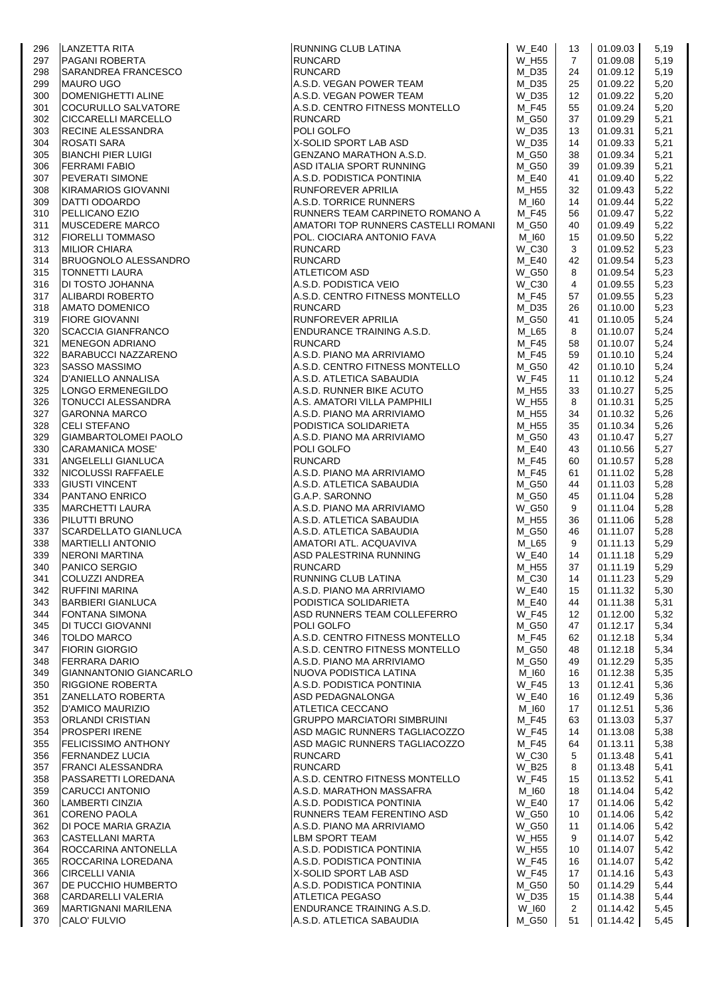|     | LANZETTA RITA<br>PAGANI ROBERTA<br>SARANDREA FRANCESCO<br>MAURO UGO<br>DOMENIGHETTI ALINE<br>COCURULLO SALVATORE<br>CICCARELLI MARCELLO |                                     |              |                |          |      |
|-----|-----------------------------------------------------------------------------------------------------------------------------------------|-------------------------------------|--------------|----------------|----------|------|
| 296 |                                                                                                                                         | RUNNING CLUB LATINA<br>RUNCARD      | <b>W E40</b> | 13             | 01.09.03 | 5,19 |
| 297 |                                                                                                                                         | <b>RUNCARD</b>                      | W H55        | $\overline{7}$ | 01.09.08 | 5,19 |
| 298 |                                                                                                                                         | <b>RUNCARD</b>                      | M D35        | 24             | 01.09.12 | 5,19 |
| 299 |                                                                                                                                         | A.S.D. VEGAN POWER TEAM             | M D35        | 25             | 01.09.22 | 5,20 |
| 300 |                                                                                                                                         |                                     |              |                |          |      |
|     |                                                                                                                                         | A.S.D. VEGAN POWER TEAM             | W D35        | 12             | 01.09.22 | 5,20 |
| 301 |                                                                                                                                         | A.S.D. CENTRO FITNESS MONTELLO      | $M_F45$      | 55             | 01.09.24 | 5,20 |
| 302 |                                                                                                                                         | <b>RUNCARD</b>                      | M_G50        | 37             | 01.09.29 | 5,21 |
| 303 | <b>RECINE ALESSANDRA</b>                                                                                                                | POLI GOLFO                          | W_D35        | 13             | 01.09.31 | 5,21 |
| 304 | <b>ROSATI SARA</b>                                                                                                                      | X-SOLID SPORT LAB ASD               | W_D35        | 14             | 01.09.33 | 5,21 |
|     |                                                                                                                                         | GENZANO MARATHON A.S.D.             |              |                |          |      |
| 305 | <b>BIANCHI PIER LUIGI</b>                                                                                                               |                                     | M G50        | 38             | 01.09.34 | 5,21 |
| 306 | <b>FERRAMI FABIO</b>                                                                                                                    | ASD ITALIA SPORT RUNNING            | M_G50        | 39             | 01.09.39 | 5,21 |
| 307 | PEVERATI SIMONE                                                                                                                         | A.S.D. PODISTICA PONTINIA           | M E40        | 41             | 01.09.40 | 5,22 |
| 308 | KIRAMARIOS GIOVANNI                                                                                                                     | RUNFOREVER APRILIA                  | M_H55        | 32             | 01.09.43 | 5,22 |
| 309 | DATTI ODOARDO                                                                                                                           | A.S.D. TORRICE RUNNERS              | M 160        | 14             | 01.09.44 | 5,22 |
|     |                                                                                                                                         |                                     |              |                |          |      |
| 310 | <b>PELLICANO EZIO</b>                                                                                                                   | RUNNERS TEAM CARPINETO ROMANO A     | M_F45        | 56             | 01.09.47 | 5,22 |
| 311 | MUSCEDERE MARCO                                                                                                                         | AMATORI TOP RUNNERS CASTELLI ROMANI | $M_G50$      | 40             | 01.09.49 | 5,22 |
| 312 | <b>FIORELLI TOMMASO</b>                                                                                                                 | POL. CIOCIARA ANTONIO FAVA          | M_I60        | 15             | 01.09.50 | 5,22 |
| 313 | <b>MILIOR CHIARA</b>                                                                                                                    | <b>RUNCARD</b>                      | W_C30        | 3              | 01.09.52 | 5,23 |
| 314 | BRUOGNOLO ALESSANDRO                                                                                                                    | <b>RUNCARD</b>                      | M E40        | 42             | 01.09.54 | 5,23 |
|     |                                                                                                                                         |                                     |              |                |          |      |
| 315 | <b>TONNETTI LAURA</b>                                                                                                                   | ATLETICOM ASD                       | $W_G50$      | 8              | 01.09.54 | 5,23 |
| 316 | DI TOSTO JOHANNA                                                                                                                        | A.S.D. PODISTICA VEIO               | W_C30        | $\overline{4}$ | 01.09.55 | 5,23 |
| 317 | ALIBARDI ROBERTO                                                                                                                        | A.S.D. CENTRO FITNESS MONTELLO      | M F45        | 57             | 01.09.55 | 5,23 |
| 318 | <b>AMATO DOMENICO</b>                                                                                                                   | <b>RUNCARD</b>                      | M_D35        | 26             | 01.10.00 | 5,23 |
|     |                                                                                                                                         |                                     | M_G50        |                |          |      |
| 319 | <b>FIORE GIOVANNI</b>                                                                                                                   | <b>RUNFOREVER APRILIA</b>           |              | 41             | 01.10.05 | 5,24 |
| 320 | <b>ISCACCIA GIANFRANCO</b>                                                                                                              | ENDURANCE TRAINING A.S.D.           | M L65        | 8              | 01.10.07 | 5,24 |
| 321 | <b>MENEGON ADRIANO</b>                                                                                                                  | <b>RUNCARD</b>                      | M F45        | 58             | 01.10.07 | 5,24 |
| 322 | <b>BARABUCCI NAZZARENO</b>                                                                                                              | A.S.D. PIANO MA ARRIVIAMO           | M_F45        | 59             | 01.10.10 | 5,24 |
| 323 | <b>SASSO MASSIMO</b>                                                                                                                    | A.S.D. CENTRO FITNESS MONTELLO      | M G50        | 42             | 01.10.10 | 5,24 |
|     |                                                                                                                                         |                                     |              |                |          |      |
| 324 | <b>D'ANIELLO ANNALISA</b>                                                                                                               | A.S.D. ATLETICA SABAUDIA            | <b>W_F45</b> | 11             | 01.10.12 | 5,24 |
| 325 | LONGO ERMENEGILDO                                                                                                                       | A.S.D. RUNNER BIKE ACUTO            | M_H55        | 33             | 01.10.27 | 5,25 |
| 326 | TONUCCI ALESSANDRA                                                                                                                      | A.S. AMATORI VILLA PAMPHILI         | W_H55        | 8              | 01.10.31 | 5,25 |
| 327 | <b>GARONNA MARCO</b>                                                                                                                    | A.S.D. PIANO MA ARRIVIAMO           | M_H55        | 34             | 01.10.32 | 5,26 |
| 328 | <b>CELI STEFANO</b>                                                                                                                     | PODISTICA SOLIDARIETA               | M_H55        | 35             | 01.10.34 | 5,26 |
|     |                                                                                                                                         |                                     |              |                |          |      |
| 329 | GIAMBARTOLOMEI PAOLO                                                                                                                    | A.S.D. PIANO MA ARRIVIAMO           | M_G50        | 43             | 01.10.47 | 5,27 |
| 330 | <b>CARAMANICA MOSE'</b>                                                                                                                 | POLI GOLFO                          | M_E40        | 43             | 01.10.56 | 5,27 |
| 331 | ANGELELLI GIANLUCA                                                                                                                      | <b>RUNCARD</b>                      | M_F45        | 60             | 01.10.57 | 5,28 |
| 332 | NICOLUSSI RAFFAELE                                                                                                                      | A.S.D. PIANO MA ARRIVIAMO           | M F45        | 61             | 01.11.02 | 5,28 |
|     |                                                                                                                                         |                                     |              |                |          |      |
| 333 | <b>GIUSTI VINCENT</b>                                                                                                                   | A.S.D. ATLETICA SABAUDIA            | M_G50        | 44             | 01.11.03 | 5,28 |
| 334 | <b>PANTANO ENRICO</b>                                                                                                                   | G.A.P. SARONNO                      | M_G50        | 45             | 01.11.04 | 5,28 |
| 335 | <b>MARCHETTI LAURA</b>                                                                                                                  | A.S.D. PIANO MA ARRIVIAMO           | <b>W G50</b> | 9              | 01.11.04 | 5,28 |
| 336 | PILUTTI BRUNO                                                                                                                           | A.S.D. ATLETICA SABAUDIA            | M_H55        | 36             | 01.11.06 | 5,28 |
| 337 | SCARDELLATO GIANLUCA                                                                                                                    | A.S.D. ATLETICA SABAUDIA            | M_G50        | 46             | 01.11.07 | 5,28 |
|     |                                                                                                                                         |                                     |              |                |          |      |
| 338 | <b>MARTIELLI ANTONIO</b>                                                                                                                | AMATORI ATL. ACQUAVIVA              | M_L65        | 9              | 01.11.13 | 5,29 |
| 339 | <b>NERONI MARTINA</b>                                                                                                                   | ASD PALESTRINA RUNNING<br>BUNGARD   | <b>W_E40</b> | 14             | 01.11.18 | 5,29 |
| 340 | PANICO SERGIO                                                                                                                           | <b>RUNCARD</b>                      | M_H55        | 37             | 01.11.19 | 5,29 |
| 341 | <b>COLUZZI ANDREA</b>                                                                                                                   | RUNNING CLUB LATINA                 | $M_{}$ C30   | 14             | 01.11.23 | 5,29 |
| 342 | <b>RUFFINI MARINA</b>                                                                                                                   | A.S.D. PIANO MA ARRIVIAMO           | <b>W_E40</b> | 15             | 01.11.32 | 5,30 |
|     |                                                                                                                                         |                                     |              |                |          |      |
| 343 | <b>BARBIERI GIANLUCA</b>                                                                                                                | PODISTICA SOLIDARIETA               | M_E40        | 44             | 01.11.38 | 5,31 |
| 344 | <b>FONTANA SIMONA</b>                                                                                                                   | ASD RUNNERS TEAM COLLEFERRO         | <b>W_F45</b> | 12             | 01.12.00 | 5,32 |
| 345 | <b>DI TUCCI GIOVANNI</b>                                                                                                                | POLI GOLFO                          | M_G50        | 47             | 01.12.17 | 5,34 |
| 346 | <b>TOLDO MARCO</b>                                                                                                                      | A.S.D. CENTRO FITNESS MONTELLO      | $M_F45$      | 62             | 01.12.18 | 5,34 |
| 347 | <b>FIORIN GIORGIO</b>                                                                                                                   | A.S.D. CENTRO FITNESS MONTELLO      | M_G50        | 48             | 01.12.18 | 5,34 |
|     |                                                                                                                                         |                                     |              |                |          |      |
| 348 | FERRARA DARIO                                                                                                                           | A.S.D. PIANO MA ARRIVIAMO           | M_G50        | 49             | 01.12.29 | 5,35 |
| 349 | GIANNANTONIO GIANCARLO                                                                                                                  | NUOVA PODISTICA LATINA              | M_I60        | 16             | 01.12.38 | 5,35 |
| 350 | <b>RIGGIONE ROBERTA</b>                                                                                                                 | A.S.D. PODISTICA PONTINIA           | <b>W_F45</b> | 13             | 01.12.41 | 5,36 |
| 351 | ZANELLATO ROBERTA                                                                                                                       | ASD PEDAGNALONGA                    | <b>W E40</b> | 16             | 01.12.49 | 5,36 |
| 352 | <b>D'AMICO MAURIZIO</b>                                                                                                                 | ATLETICA CECCANO                    | M_I60        | 17             | 01.12.51 | 5,36 |
|     |                                                                                                                                         |                                     |              |                |          |      |
| 353 | ORLANDI CRISTIAN                                                                                                                        | <b>GRUPPO MARCIATORI SIMBRUINI</b>  | M_F45        | 63             | 01.13.03 | 5,37 |
| 354 | <b>PROSPERI IRENE</b>                                                                                                                   | ASD MAGIC RUNNERS TAGLIACOZZO       | <b>W_F45</b> | 14             | 01.13.08 | 5,38 |
| 355 | <b>FELICISSIMO ANTHONY</b>                                                                                                              | ASD MAGIC RUNNERS TAGLIACOZZO       | M_F45        | 64             | 01.13.11 | 5,38 |
| 356 | <b>FERNANDEZ LUCIA</b>                                                                                                                  | <b>RUNCARD</b>                      | $W_C30$      | 5              | 01.13.48 | 5,41 |
| 357 | <b>FRANCI ALESSANDRA</b>                                                                                                                | <b>RUNCARD</b>                      | W_B25        | 8              | 01.13.48 | 5,41 |
|     |                                                                                                                                         |                                     |              |                |          |      |
| 358 | PASSARETTI LOREDANA                                                                                                                     | A.S.D. CENTRO FITNESS MONTELLO      | <b>W_F45</b> | 15             | 01.13.52 | 5,41 |
| 359 | <b>CARUCCI ANTONIO</b>                                                                                                                  | A.S.D. MARATHON MASSAFRA            | M_I60        | 18             | 01.14.04 | 5,42 |
| 360 | LAMBERTI CINZIA                                                                                                                         | A.S.D. PODISTICA PONTINIA           | <b>W_E40</b> | 17             | 01.14.06 | 5,42 |
| 361 | CORENO PAOLA                                                                                                                            | RUNNERS TEAM FERENTINO ASD          | <b>W_G50</b> | 10             | 01.14.06 | 5,42 |
|     |                                                                                                                                         |                                     |              |                |          |      |
| 362 | DI POCE MARIA GRAZIA                                                                                                                    | A.S.D. PIANO MA ARRIVIAMO           | W G50        | 11             | 01.14.06 | 5,42 |
| 363 | <b>CASTELLANI MARTA</b>                                                                                                                 | LBM SPORT TEAM                      | W_H55        | 9              | 01.14.07 | 5,42 |
| 364 | ROCCARINA ANTONELLA                                                                                                                     | A.S.D. PODISTICA PONTINIA           | W_H55        | 10             | 01.14.07 | 5,42 |
| 365 | ROCCARINA LOREDANA                                                                                                                      | A.S.D. PODISTICA PONTINIA           | <b>W F45</b> | 16             | 01.14.07 | 5,42 |
| 366 | <b>CIRCELLI VANIA</b>                                                                                                                   | X-SOLID SPORT LAB ASD               | <b>W_F45</b> | 17             | 01.14.16 | 5,43 |
|     |                                                                                                                                         |                                     |              |                |          |      |
| 367 | DE PUCCHIO HUMBERTO                                                                                                                     | A.S.D. PODISTICA PONTINIA           | M_G50        | 50             | 01.14.29 | 5,44 |
| 368 | CARDARELLI VALERIA                                                                                                                      | ATLETICA PEGASO                     | W_D35        | 15             | 01.14.38 | 5,44 |
| 369 | <b>MARTIGNANI MARILENA</b>                                                                                                              | ENDURANCE TRAINING A.S.D.           | W_I60        | $\overline{2}$ | 01.14.42 | 5,45 |
| 370 | CALO' FULVIO                                                                                                                            | A.S.D. ATLETICA SABAUDIA            | M_G50        | 51             | 01.14.42 | 5,45 |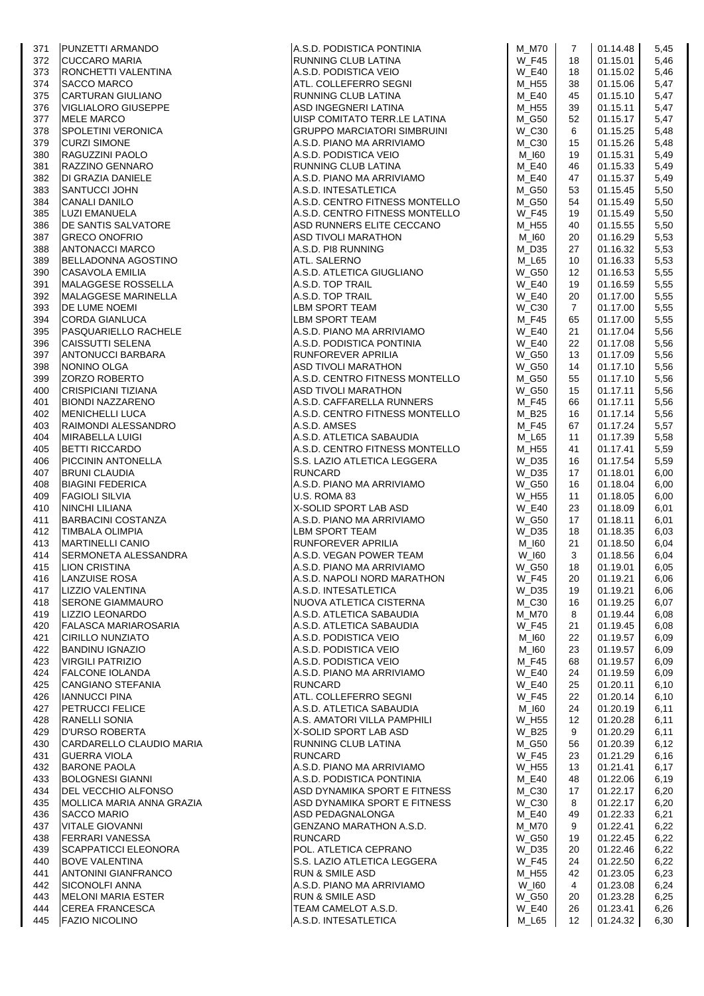| 372<br>RUNNING CLUB LATINA<br>A.S.D. PODISTICA VEIO<br>ATL. COLLEFERRO SEGNI<br>18<br>01.15.01<br>RONCHETTI VALENTINA<br><b>W_E40</b><br>01.15.02<br>373<br>18<br>01.15.06<br>374<br><b>SACCO MARCO</b><br>M_H55<br>38<br><b>CARTURAN GIULIANO</b><br>RUNNING CLUB LATINA<br>375<br>M_E40<br>45<br>01.15.10<br><b>VIGLIALORO GIUSEPPE</b><br>ASD INGEGNERI LATINA<br>$M_H55$<br>01.15.11<br>376<br>39<br><b>MELE MARCO</b><br>UISP COMITATO TERR.LE LATINA<br>M_G50<br>01.15.17<br>377<br>52<br><b>SPOLETINI VERONICA</b><br><b>GRUPPO MARCIATORI SIMBRUINI</b><br>$W_C30$<br>01.15.25<br>378<br>6<br>379<br><b>CURZI SIMONE</b><br>A.S.D. PIANO MA ARRIVIAMO<br>$M_{C}30$<br>15<br>01.15.26<br>RAGUZZINI PAOLO<br>A.S.D. PODISTICA VEIO<br>01.15.31<br>380<br>M_I60<br>19<br>RAZZINO GENNARO<br>RUNNING CLUB LATINA<br>381<br>M_E40<br>46<br>01.15.33<br>382<br>DI GRAZIA DANIELE<br>A.S.D. PIANO MA ARRIVIAMO<br>$M_E40$<br>01.15.37<br>47<br>5,49<br><b>SANTUCCI JOHN</b><br>A.S.D. INTESATLETICA<br>01.15.45<br>383<br>M_G50<br>53<br>5,50<br><b>CANALI DANILO</b><br>A.S.D. CENTRO FITNESS MONTELLO<br>01.15.49<br>384<br>M_G50<br>54<br>A.S.D. CENTRO FITNESS MONTELLO<br><b>W_F45</b><br>01.15.49<br>385<br>LUZI EMANUELA<br>19<br>DE SANTIS SALVATORE<br>ASD RUNNERS ELITE CECCANO<br>01.15.55<br>386<br>M_H55<br>40<br><b>GRECO ONOFRIO</b><br><b>ASD TIVOLI MARATHON</b><br>01.16.29<br>387<br>M_I60<br>20<br><b>ANTONACCI MARCO</b><br>A.S.D. PI8 RUNNING<br>01.16.32<br>388<br>M_D35<br>27<br><b>BELLADONNA AGOSTINO</b><br><b>ATL. SALERNO</b><br>01.16.33<br>389<br>M_L65<br>10<br>A.S.D. ATLETICA GIUGLIANO<br><b>CASAVOLA EMILIA</b><br>$W_G50$<br>01.16.53<br>390<br>12<br>MALAGGESE ROSSELLA<br>A.S.D. TOP TRAIL<br><b>W_E40</b><br>01.16.59<br>391<br>19<br>MALAGGESE MARINELLA<br>A.S.D. TOP TRAIL<br>01.17.00<br>392<br>W_E40<br>20<br>393<br><b>DE LUME NOEMI</b><br>LBM SPORT TEAM<br>$W_C30$<br>$\overline{7}$<br>01.17.00<br><b>CORDA GIANLUCA</b><br>LBM SPORT TEAM<br>M_F45<br>01.17.00<br>394<br>65<br>PASQUARIELLO RACHELE<br>A.S.D. PIANO MA ARRIVIAMO<br><b>W_E40</b><br>21<br>01.17.04<br>395<br><b>CAISSUTTI SELENA</b><br>A.S.D. PODISTICA PONTINIA<br><b>W_E40</b><br>22<br>01.17.08<br>396<br>ANTONUCCI BARBARA<br><b>RUNFOREVER APRILIA</b><br><b>W_G50</b><br>01.17.09<br>397<br>13<br>NONINO OLGA<br><b>ASD TIVOLI MARATHON</b><br><b>W_G50</b><br>01.17.10<br>398<br>14<br>ZORZO ROBERTO<br>A.S.D. CENTRO FITNESS MONTELLO<br>01.17.10<br>399<br>M_G50<br>55<br><b>CRISPICIANI TIZIANA</b><br>ASD TIVOLI MARATHON<br><b>W_G50</b><br>01.17.11<br>400<br>15<br><b>BIONDI NAZZARENO</b><br>A.S.D. CAFFARELLA RUNNERS<br>01.17.11<br>M_F45<br>66<br>401<br><b>MENICHELLI LUCA</b><br>A.S.D. CENTRO FITNESS MONTELLO<br>01.17.14<br>402<br>M_B25<br>16<br>RAIMONDI ALESSANDRO<br>A.S.D. AMSES<br><b>M_F45</b><br>67<br>01.17.24<br>403<br><b>MIRABELLA LUIGI</b><br>A.S.D. ATLETICA SABAUDIA<br>01.17.39<br>M_L65<br>11<br>404<br><b>BETTI RICCARDO</b><br>A.S.D. CENTRO FITNESS MONTELLO<br>M_H55<br>01.17.41<br>405<br>41<br>S.S. LAZIO ATLETICA LEGGERA<br>W_D35<br>01.17.54<br>406<br>PICCININ ANTONELLA<br>16<br><b>BRUNI CLAUDIA</b><br><b>RUNCARD</b><br>W_D35<br>01.18.01<br>17<br>407<br>A.S.D. PIANO MA ARRIVIAMO<br><b>W_G50</b><br>01.18.04<br><b>BIAGINI FEDERICA</b><br>16<br>6,00<br>408<br><b>FAGIOLI SILVIA</b><br>U.S. ROMA 83<br>W_H55<br>01.18.05<br>409<br>11<br><b>NINCHI LILIANA</b><br><b>X-SOLID SPORT LAB ASD</b><br><b>W_E40</b><br>01.18.09<br>23<br>6,01<br>410<br><b>BARBACINI COSTANZA</b><br>A.S.D. PIANO MA ARRIVIAMO<br><b>W_G50</b><br>01.18.11<br>411<br>17<br><b>LBM SPORT TEAM</b><br><b>TIMBALA OLIMPIA</b><br>W_D35<br>01.18.35<br>412<br>18<br>RUNFOREVER APRILIA<br>A.S.D. VEGAN POWER TEAM<br><b>MARTINELLI CANIO</b><br>M_I60<br>21<br>01.18.50<br>413<br>SERMONETA ALESSANDRA<br>W_I60<br>3<br>01.18.56<br>414<br>A.S.D. PIANO MA ARRIVIAMO<br>LION CRISTINA<br><b>W_G50</b><br>18<br>01.19.01<br>415<br>A.S.D. NAPOLI NORD MARATHON<br>$W_F45$<br>20<br>01.19.21<br>416<br>LANZUISE ROSA<br>LIZZIO VALENTINA<br>A.S.D. INTESATLETICA<br>W_D35<br>01.19.21<br>417<br>19<br><b>SERONE GIAMMAURO</b><br>NUOVA ATLETICA CISTERNA<br>$M_{}$ C30<br>01.19.25<br>16<br>418<br>A.S.D. ATLETICA SABAUDIA<br>LIZZIO LEONARDO<br>M M70<br>01.19.44<br>419<br>8<br><b>FALASCA MARIAROSARIA</b><br>A.S.D. ATLETICA SABAUDIA<br><b>W_F45</b><br>01.19.45<br>420<br>21<br><b>CIRILLO NUNZIATO</b><br>A.S.D. PODISTICA VEIO<br>M_I60<br>01.19.57<br>421<br>22<br><b>BANDINU IGNAZIO</b><br>A.S.D. PODISTICA VEIO<br>M_I60<br>23<br>01.19.57<br>422<br><b>VIRGILI PATRIZIO</b><br>A.S.D. PODISTICA VEIO<br>M_F45<br>01.19.57<br>423<br>68<br><b>FALCONE IOLANDA</b><br>A.S.D. PIANO MA ARRIVIAMO<br><b>W E40</b><br>01.19.59<br>424<br>24<br><b>CANGIANO STEFANIA</b><br><b>RUNCARD</b><br><b>W_E40</b><br>25<br>01.20.11<br>425<br>ATL. COLLEFERRO SEGNI<br>01.20.14<br><b>IANNUCCI PINA</b><br><b>W_F45</b><br>22<br>426<br><b>PETRUCCI FELICE</b><br>A.S.D. ATLETICA SABAUDIA<br>01.20.19<br>M_I60<br>24<br>427<br><b>RANELLI SONIA</b><br>A.S. AMATORI VILLA PAMPHILI<br>01.20.28<br>W_H55<br>12<br>428<br>D'URSO ROBERTA<br>X-SOLID SPORT LAB ASD<br>$W_B25$<br>01.20.29<br>429<br>9<br>CARDARELLO CLAUDIO MARIA<br>RUNNING CLUB LATINA<br>01.20.39<br>M G50<br>430<br>56<br><b>GUERRA VIOLA</b><br><b>RUNCARD</b><br><b>W F45</b><br>01.21.29<br>23<br>6,16<br>431<br><b>BARONE PAOLA</b><br>A.S.D. PIANO MA ARRIVIAMO<br>W_H55<br>01.21.41<br>432<br>13<br>6,17<br>A.S.D. PODISTICA PONTINIA<br><b>BOLOGNESI GIANNI</b><br>M E40<br>01.22.06<br>433<br>48<br>6,19<br><b>DEL VECCHIO ALFONSO</b><br>ASD DYNAMIKA SPORT E FITNESS<br>$M_{}$ C30<br>01.22.17<br>434<br>17<br>MOLLICA MARIA ANNA GRAZIA<br>ASD DYNAMIKA SPORT E FITNESS<br>W_C30<br>01.22.17<br>435<br>8<br><b>SACCO MARIO</b><br>ASD PEDAGNALONGA<br>M_E40<br>01.22.33<br>436<br>49<br><b>VITALE GIOVANNI</b><br>GENZANO MARATHON A.S.D.<br><b>M_M70</b><br>01.22.41<br>437<br>9<br><b>FERRARI VANESSA</b><br><b>RUNCARD</b><br>W_G50<br>01.22.45<br>438<br>19<br>POL. ATLETICA CEPRANO<br>01.22.46<br><b>SCAPPATICCI ELEONORA</b><br>W_D35<br>20<br>439<br>S.S. LAZIO ATLETICA LEGGERA<br><b>BOVE VALENTINA</b><br><b>W_F45</b><br>01.22.50<br>24<br>440<br><b>ANTONINI GIANFRANCO</b><br><b>RUN &amp; SMILE ASD</b><br>M_H55<br>01.23.05<br>441<br>42<br><b>SICONOLFI ANNA</b><br>A.S.D. PIANO MA ARRIVIAMO<br>W_I60<br>01.23.08<br>4<br>442<br><b>MELONI MARIA ESTER</b><br><b>RUN &amp; SMILE ASD</b><br><b>W_G50</b><br>01.23.28<br>20<br>443.<br><b>CEREA FRANCESCA</b><br>TEAM CAMELOT A.S.D.<br><b>W_E40</b><br>01.23.41<br>444<br>26<br><b>FAZIO NICOLINO</b><br>A.S.D. INTESATLETICA<br>M_L65<br>01.24.32<br>12<br>445 | 371 | <b>PUNZETTI ARMANDO</b> | A.S.D. PODISTICA PONTINIA | M_M70        | 7 | 01.14.48 | 5,45 |
|-----------------------------------------------------------------------------------------------------------------------------------------------------------------------------------------------------------------------------------------------------------------------------------------------------------------------------------------------------------------------------------------------------------------------------------------------------------------------------------------------------------------------------------------------------------------------------------------------------------------------------------------------------------------------------------------------------------------------------------------------------------------------------------------------------------------------------------------------------------------------------------------------------------------------------------------------------------------------------------------------------------------------------------------------------------------------------------------------------------------------------------------------------------------------------------------------------------------------------------------------------------------------------------------------------------------------------------------------------------------------------------------------------------------------------------------------------------------------------------------------------------------------------------------------------------------------------------------------------------------------------------------------------------------------------------------------------------------------------------------------------------------------------------------------------------------------------------------------------------------------------------------------------------------------------------------------------------------------------------------------------------------------------------------------------------------------------------------------------------------------------------------------------------------------------------------------------------------------------------------------------------------------------------------------------------------------------------------------------------------------------------------------------------------------------------------------------------------------------------------------------------------------------------------------------------------------------------------------------------------------------------------------------------------------------------------------------------------------------------------------------------------------------------------------------------------------------------------------------------------------------------------------------------------------------------------------------------------------------------------------------------------------------------------------------------------------------------------------------------------------------------------------------------------------------------------------------------------------------------------------------------------------------------------------------------------------------------------------------------------------------------------------------------------------------------------------------------------------------------------------------------------------------------------------------------------------------------------------------------------------------------------------------------------------------------------------------------------------------------------------------------------------------------------------------------------------------------------------------------------------------------------------------------------------------------------------------------------------------------------------------------------------------------------------------------------------------------------------------------------------------------------------------------------------------------------------------------------------------------------------------------------------------------------------------------------------------------------------------------------------------------------------------------------------------------------------------------------------------------------------------------------------------------------------------------------------------------------------------------------------------------------------------------------------------------------------------------------------------------------------------------------------------------------------------------------------------------------------------------------------------------------------------------------------------------------------------------------------------------------------------------------------------------------------------------------------------------------------------------------------------------------------------------------------------------------------------------------------------------------------------------------------------------------------------------------------------------------------------------------------------------------------------------------------------------------------------------------------------------------------------------------------------------------------------------------------------------------------------------------------------------------------------------------------------------------------------------------------------------------------------------------------------------------------------------------------------------------------------------------------------------------------------------------------------------------------------------------------------------------------------------------------------------------------------------------------------------------------------------------------------------------------------------------------------------------------------------------------------------------------------------------------------------------------------------------------------------------------------------------------------------------------------------------------------------------------------------------------------------------------------------------------------------------------------------------------------------------------------------------------------------------------------------------------------------------------------------------------------------------------------------------------|-----|-------------------------|---------------------------|--------------|---|----------|------|
|                                                                                                                                                                                                                                                                                                                                                                                                                                                                                                                                                                                                                                                                                                                                                                                                                                                                                                                                                                                                                                                                                                                                                                                                                                                                                                                                                                                                                                                                                                                                                                                                                                                                                                                                                                                                                                                                                                                                                                                                                                                                                                                                                                                                                                                                                                                                                                                                                                                                                                                                                                                                                                                                                                                                                                                                                                                                                                                                                                                                                                                                                                                                                                                                                                                                                                                                                                                                                                                                                                                                                                                                                                                                                                                                                                                                                                                                                                                                                                                                                                                                                                                                                                                                                                                                                                                                                                                                                                                                                                                                                                                                                                                                                                                                                                                                                                                                                                                                                                                                                                                                                                                                                                                                                                                                                                                                                                                                                                                                                                                                                                                                                                                                                                                                                                                                                                                                                                                                                                                                                                                                                                                                                                                                                                                                                                                                                                                                                                                                                                                                                                                                                                                                                                                                                                       |     | <b>CUCCARO MARIA</b>    |                           | <b>W_F45</b> |   |          | 5,46 |
|                                                                                                                                                                                                                                                                                                                                                                                                                                                                                                                                                                                                                                                                                                                                                                                                                                                                                                                                                                                                                                                                                                                                                                                                                                                                                                                                                                                                                                                                                                                                                                                                                                                                                                                                                                                                                                                                                                                                                                                                                                                                                                                                                                                                                                                                                                                                                                                                                                                                                                                                                                                                                                                                                                                                                                                                                                                                                                                                                                                                                                                                                                                                                                                                                                                                                                                                                                                                                                                                                                                                                                                                                                                                                                                                                                                                                                                                                                                                                                                                                                                                                                                                                                                                                                                                                                                                                                                                                                                                                                                                                                                                                                                                                                                                                                                                                                                                                                                                                                                                                                                                                                                                                                                                                                                                                                                                                                                                                                                                                                                                                                                                                                                                                                                                                                                                                                                                                                                                                                                                                                                                                                                                                                                                                                                                                                                                                                                                                                                                                                                                                                                                                                                                                                                                                                       |     |                         |                           |              |   |          | 5,46 |
|                                                                                                                                                                                                                                                                                                                                                                                                                                                                                                                                                                                                                                                                                                                                                                                                                                                                                                                                                                                                                                                                                                                                                                                                                                                                                                                                                                                                                                                                                                                                                                                                                                                                                                                                                                                                                                                                                                                                                                                                                                                                                                                                                                                                                                                                                                                                                                                                                                                                                                                                                                                                                                                                                                                                                                                                                                                                                                                                                                                                                                                                                                                                                                                                                                                                                                                                                                                                                                                                                                                                                                                                                                                                                                                                                                                                                                                                                                                                                                                                                                                                                                                                                                                                                                                                                                                                                                                                                                                                                                                                                                                                                                                                                                                                                                                                                                                                                                                                                                                                                                                                                                                                                                                                                                                                                                                                                                                                                                                                                                                                                                                                                                                                                                                                                                                                                                                                                                                                                                                                                                                                                                                                                                                                                                                                                                                                                                                                                                                                                                                                                                                                                                                                                                                                                                       |     |                         |                           |              |   |          | 5,47 |
|                                                                                                                                                                                                                                                                                                                                                                                                                                                                                                                                                                                                                                                                                                                                                                                                                                                                                                                                                                                                                                                                                                                                                                                                                                                                                                                                                                                                                                                                                                                                                                                                                                                                                                                                                                                                                                                                                                                                                                                                                                                                                                                                                                                                                                                                                                                                                                                                                                                                                                                                                                                                                                                                                                                                                                                                                                                                                                                                                                                                                                                                                                                                                                                                                                                                                                                                                                                                                                                                                                                                                                                                                                                                                                                                                                                                                                                                                                                                                                                                                                                                                                                                                                                                                                                                                                                                                                                                                                                                                                                                                                                                                                                                                                                                                                                                                                                                                                                                                                                                                                                                                                                                                                                                                                                                                                                                                                                                                                                                                                                                                                                                                                                                                                                                                                                                                                                                                                                                                                                                                                                                                                                                                                                                                                                                                                                                                                                                                                                                                                                                                                                                                                                                                                                                                                       |     |                         |                           |              |   |          | 5,47 |
|                                                                                                                                                                                                                                                                                                                                                                                                                                                                                                                                                                                                                                                                                                                                                                                                                                                                                                                                                                                                                                                                                                                                                                                                                                                                                                                                                                                                                                                                                                                                                                                                                                                                                                                                                                                                                                                                                                                                                                                                                                                                                                                                                                                                                                                                                                                                                                                                                                                                                                                                                                                                                                                                                                                                                                                                                                                                                                                                                                                                                                                                                                                                                                                                                                                                                                                                                                                                                                                                                                                                                                                                                                                                                                                                                                                                                                                                                                                                                                                                                                                                                                                                                                                                                                                                                                                                                                                                                                                                                                                                                                                                                                                                                                                                                                                                                                                                                                                                                                                                                                                                                                                                                                                                                                                                                                                                                                                                                                                                                                                                                                                                                                                                                                                                                                                                                                                                                                                                                                                                                                                                                                                                                                                                                                                                                                                                                                                                                                                                                                                                                                                                                                                                                                                                                                       |     |                         |                           |              |   |          | 5,47 |
|                                                                                                                                                                                                                                                                                                                                                                                                                                                                                                                                                                                                                                                                                                                                                                                                                                                                                                                                                                                                                                                                                                                                                                                                                                                                                                                                                                                                                                                                                                                                                                                                                                                                                                                                                                                                                                                                                                                                                                                                                                                                                                                                                                                                                                                                                                                                                                                                                                                                                                                                                                                                                                                                                                                                                                                                                                                                                                                                                                                                                                                                                                                                                                                                                                                                                                                                                                                                                                                                                                                                                                                                                                                                                                                                                                                                                                                                                                                                                                                                                                                                                                                                                                                                                                                                                                                                                                                                                                                                                                                                                                                                                                                                                                                                                                                                                                                                                                                                                                                                                                                                                                                                                                                                                                                                                                                                                                                                                                                                                                                                                                                                                                                                                                                                                                                                                                                                                                                                                                                                                                                                                                                                                                                                                                                                                                                                                                                                                                                                                                                                                                                                                                                                                                                                                                       |     |                         |                           |              |   |          | 5,47 |
|                                                                                                                                                                                                                                                                                                                                                                                                                                                                                                                                                                                                                                                                                                                                                                                                                                                                                                                                                                                                                                                                                                                                                                                                                                                                                                                                                                                                                                                                                                                                                                                                                                                                                                                                                                                                                                                                                                                                                                                                                                                                                                                                                                                                                                                                                                                                                                                                                                                                                                                                                                                                                                                                                                                                                                                                                                                                                                                                                                                                                                                                                                                                                                                                                                                                                                                                                                                                                                                                                                                                                                                                                                                                                                                                                                                                                                                                                                                                                                                                                                                                                                                                                                                                                                                                                                                                                                                                                                                                                                                                                                                                                                                                                                                                                                                                                                                                                                                                                                                                                                                                                                                                                                                                                                                                                                                                                                                                                                                                                                                                                                                                                                                                                                                                                                                                                                                                                                                                                                                                                                                                                                                                                                                                                                                                                                                                                                                                                                                                                                                                                                                                                                                                                                                                                                       |     |                         |                           |              |   |          | 5,48 |
|                                                                                                                                                                                                                                                                                                                                                                                                                                                                                                                                                                                                                                                                                                                                                                                                                                                                                                                                                                                                                                                                                                                                                                                                                                                                                                                                                                                                                                                                                                                                                                                                                                                                                                                                                                                                                                                                                                                                                                                                                                                                                                                                                                                                                                                                                                                                                                                                                                                                                                                                                                                                                                                                                                                                                                                                                                                                                                                                                                                                                                                                                                                                                                                                                                                                                                                                                                                                                                                                                                                                                                                                                                                                                                                                                                                                                                                                                                                                                                                                                                                                                                                                                                                                                                                                                                                                                                                                                                                                                                                                                                                                                                                                                                                                                                                                                                                                                                                                                                                                                                                                                                                                                                                                                                                                                                                                                                                                                                                                                                                                                                                                                                                                                                                                                                                                                                                                                                                                                                                                                                                                                                                                                                                                                                                                                                                                                                                                                                                                                                                                                                                                                                                                                                                                                                       |     |                         |                           |              |   |          | 5,48 |
|                                                                                                                                                                                                                                                                                                                                                                                                                                                                                                                                                                                                                                                                                                                                                                                                                                                                                                                                                                                                                                                                                                                                                                                                                                                                                                                                                                                                                                                                                                                                                                                                                                                                                                                                                                                                                                                                                                                                                                                                                                                                                                                                                                                                                                                                                                                                                                                                                                                                                                                                                                                                                                                                                                                                                                                                                                                                                                                                                                                                                                                                                                                                                                                                                                                                                                                                                                                                                                                                                                                                                                                                                                                                                                                                                                                                                                                                                                                                                                                                                                                                                                                                                                                                                                                                                                                                                                                                                                                                                                                                                                                                                                                                                                                                                                                                                                                                                                                                                                                                                                                                                                                                                                                                                                                                                                                                                                                                                                                                                                                                                                                                                                                                                                                                                                                                                                                                                                                                                                                                                                                                                                                                                                                                                                                                                                                                                                                                                                                                                                                                                                                                                                                                                                                                                                       |     |                         |                           |              |   |          | 5,49 |
|                                                                                                                                                                                                                                                                                                                                                                                                                                                                                                                                                                                                                                                                                                                                                                                                                                                                                                                                                                                                                                                                                                                                                                                                                                                                                                                                                                                                                                                                                                                                                                                                                                                                                                                                                                                                                                                                                                                                                                                                                                                                                                                                                                                                                                                                                                                                                                                                                                                                                                                                                                                                                                                                                                                                                                                                                                                                                                                                                                                                                                                                                                                                                                                                                                                                                                                                                                                                                                                                                                                                                                                                                                                                                                                                                                                                                                                                                                                                                                                                                                                                                                                                                                                                                                                                                                                                                                                                                                                                                                                                                                                                                                                                                                                                                                                                                                                                                                                                                                                                                                                                                                                                                                                                                                                                                                                                                                                                                                                                                                                                                                                                                                                                                                                                                                                                                                                                                                                                                                                                                                                                                                                                                                                                                                                                                                                                                                                                                                                                                                                                                                                                                                                                                                                                                                       |     |                         |                           |              |   |          | 5,49 |
|                                                                                                                                                                                                                                                                                                                                                                                                                                                                                                                                                                                                                                                                                                                                                                                                                                                                                                                                                                                                                                                                                                                                                                                                                                                                                                                                                                                                                                                                                                                                                                                                                                                                                                                                                                                                                                                                                                                                                                                                                                                                                                                                                                                                                                                                                                                                                                                                                                                                                                                                                                                                                                                                                                                                                                                                                                                                                                                                                                                                                                                                                                                                                                                                                                                                                                                                                                                                                                                                                                                                                                                                                                                                                                                                                                                                                                                                                                                                                                                                                                                                                                                                                                                                                                                                                                                                                                                                                                                                                                                                                                                                                                                                                                                                                                                                                                                                                                                                                                                                                                                                                                                                                                                                                                                                                                                                                                                                                                                                                                                                                                                                                                                                                                                                                                                                                                                                                                                                                                                                                                                                                                                                                                                                                                                                                                                                                                                                                                                                                                                                                                                                                                                                                                                                                                       |     |                         |                           |              |   |          |      |
|                                                                                                                                                                                                                                                                                                                                                                                                                                                                                                                                                                                                                                                                                                                                                                                                                                                                                                                                                                                                                                                                                                                                                                                                                                                                                                                                                                                                                                                                                                                                                                                                                                                                                                                                                                                                                                                                                                                                                                                                                                                                                                                                                                                                                                                                                                                                                                                                                                                                                                                                                                                                                                                                                                                                                                                                                                                                                                                                                                                                                                                                                                                                                                                                                                                                                                                                                                                                                                                                                                                                                                                                                                                                                                                                                                                                                                                                                                                                                                                                                                                                                                                                                                                                                                                                                                                                                                                                                                                                                                                                                                                                                                                                                                                                                                                                                                                                                                                                                                                                                                                                                                                                                                                                                                                                                                                                                                                                                                                                                                                                                                                                                                                                                                                                                                                                                                                                                                                                                                                                                                                                                                                                                                                                                                                                                                                                                                                                                                                                                                                                                                                                                                                                                                                                                                       |     |                         |                           |              |   |          | 5,50 |
|                                                                                                                                                                                                                                                                                                                                                                                                                                                                                                                                                                                                                                                                                                                                                                                                                                                                                                                                                                                                                                                                                                                                                                                                                                                                                                                                                                                                                                                                                                                                                                                                                                                                                                                                                                                                                                                                                                                                                                                                                                                                                                                                                                                                                                                                                                                                                                                                                                                                                                                                                                                                                                                                                                                                                                                                                                                                                                                                                                                                                                                                                                                                                                                                                                                                                                                                                                                                                                                                                                                                                                                                                                                                                                                                                                                                                                                                                                                                                                                                                                                                                                                                                                                                                                                                                                                                                                                                                                                                                                                                                                                                                                                                                                                                                                                                                                                                                                                                                                                                                                                                                                                                                                                                                                                                                                                                                                                                                                                                                                                                                                                                                                                                                                                                                                                                                                                                                                                                                                                                                                                                                                                                                                                                                                                                                                                                                                                                                                                                                                                                                                                                                                                                                                                                                                       |     |                         |                           |              |   |          | 5,50 |
|                                                                                                                                                                                                                                                                                                                                                                                                                                                                                                                                                                                                                                                                                                                                                                                                                                                                                                                                                                                                                                                                                                                                                                                                                                                                                                                                                                                                                                                                                                                                                                                                                                                                                                                                                                                                                                                                                                                                                                                                                                                                                                                                                                                                                                                                                                                                                                                                                                                                                                                                                                                                                                                                                                                                                                                                                                                                                                                                                                                                                                                                                                                                                                                                                                                                                                                                                                                                                                                                                                                                                                                                                                                                                                                                                                                                                                                                                                                                                                                                                                                                                                                                                                                                                                                                                                                                                                                                                                                                                                                                                                                                                                                                                                                                                                                                                                                                                                                                                                                                                                                                                                                                                                                                                                                                                                                                                                                                                                                                                                                                                                                                                                                                                                                                                                                                                                                                                                                                                                                                                                                                                                                                                                                                                                                                                                                                                                                                                                                                                                                                                                                                                                                                                                                                                                       |     |                         |                           |              |   |          | 5,50 |
|                                                                                                                                                                                                                                                                                                                                                                                                                                                                                                                                                                                                                                                                                                                                                                                                                                                                                                                                                                                                                                                                                                                                                                                                                                                                                                                                                                                                                                                                                                                                                                                                                                                                                                                                                                                                                                                                                                                                                                                                                                                                                                                                                                                                                                                                                                                                                                                                                                                                                                                                                                                                                                                                                                                                                                                                                                                                                                                                                                                                                                                                                                                                                                                                                                                                                                                                                                                                                                                                                                                                                                                                                                                                                                                                                                                                                                                                                                                                                                                                                                                                                                                                                                                                                                                                                                                                                                                                                                                                                                                                                                                                                                                                                                                                                                                                                                                                                                                                                                                                                                                                                                                                                                                                                                                                                                                                                                                                                                                                                                                                                                                                                                                                                                                                                                                                                                                                                                                                                                                                                                                                                                                                                                                                                                                                                                                                                                                                                                                                                                                                                                                                                                                                                                                                                                       |     |                         |                           |              |   |          | 5,53 |
|                                                                                                                                                                                                                                                                                                                                                                                                                                                                                                                                                                                                                                                                                                                                                                                                                                                                                                                                                                                                                                                                                                                                                                                                                                                                                                                                                                                                                                                                                                                                                                                                                                                                                                                                                                                                                                                                                                                                                                                                                                                                                                                                                                                                                                                                                                                                                                                                                                                                                                                                                                                                                                                                                                                                                                                                                                                                                                                                                                                                                                                                                                                                                                                                                                                                                                                                                                                                                                                                                                                                                                                                                                                                                                                                                                                                                                                                                                                                                                                                                                                                                                                                                                                                                                                                                                                                                                                                                                                                                                                                                                                                                                                                                                                                                                                                                                                                                                                                                                                                                                                                                                                                                                                                                                                                                                                                                                                                                                                                                                                                                                                                                                                                                                                                                                                                                                                                                                                                                                                                                                                                                                                                                                                                                                                                                                                                                                                                                                                                                                                                                                                                                                                                                                                                                                       |     |                         |                           |              |   |          | 5,53 |
|                                                                                                                                                                                                                                                                                                                                                                                                                                                                                                                                                                                                                                                                                                                                                                                                                                                                                                                                                                                                                                                                                                                                                                                                                                                                                                                                                                                                                                                                                                                                                                                                                                                                                                                                                                                                                                                                                                                                                                                                                                                                                                                                                                                                                                                                                                                                                                                                                                                                                                                                                                                                                                                                                                                                                                                                                                                                                                                                                                                                                                                                                                                                                                                                                                                                                                                                                                                                                                                                                                                                                                                                                                                                                                                                                                                                                                                                                                                                                                                                                                                                                                                                                                                                                                                                                                                                                                                                                                                                                                                                                                                                                                                                                                                                                                                                                                                                                                                                                                                                                                                                                                                                                                                                                                                                                                                                                                                                                                                                                                                                                                                                                                                                                                                                                                                                                                                                                                                                                                                                                                                                                                                                                                                                                                                                                                                                                                                                                                                                                                                                                                                                                                                                                                                                                                       |     |                         |                           |              |   |          | 5,53 |
|                                                                                                                                                                                                                                                                                                                                                                                                                                                                                                                                                                                                                                                                                                                                                                                                                                                                                                                                                                                                                                                                                                                                                                                                                                                                                                                                                                                                                                                                                                                                                                                                                                                                                                                                                                                                                                                                                                                                                                                                                                                                                                                                                                                                                                                                                                                                                                                                                                                                                                                                                                                                                                                                                                                                                                                                                                                                                                                                                                                                                                                                                                                                                                                                                                                                                                                                                                                                                                                                                                                                                                                                                                                                                                                                                                                                                                                                                                                                                                                                                                                                                                                                                                                                                                                                                                                                                                                                                                                                                                                                                                                                                                                                                                                                                                                                                                                                                                                                                                                                                                                                                                                                                                                                                                                                                                                                                                                                                                                                                                                                                                                                                                                                                                                                                                                                                                                                                                                                                                                                                                                                                                                                                                                                                                                                                                                                                                                                                                                                                                                                                                                                                                                                                                                                                                       |     |                         |                           |              |   |          | 5,55 |
|                                                                                                                                                                                                                                                                                                                                                                                                                                                                                                                                                                                                                                                                                                                                                                                                                                                                                                                                                                                                                                                                                                                                                                                                                                                                                                                                                                                                                                                                                                                                                                                                                                                                                                                                                                                                                                                                                                                                                                                                                                                                                                                                                                                                                                                                                                                                                                                                                                                                                                                                                                                                                                                                                                                                                                                                                                                                                                                                                                                                                                                                                                                                                                                                                                                                                                                                                                                                                                                                                                                                                                                                                                                                                                                                                                                                                                                                                                                                                                                                                                                                                                                                                                                                                                                                                                                                                                                                                                                                                                                                                                                                                                                                                                                                                                                                                                                                                                                                                                                                                                                                                                                                                                                                                                                                                                                                                                                                                                                                                                                                                                                                                                                                                                                                                                                                                                                                                                                                                                                                                                                                                                                                                                                                                                                                                                                                                                                                                                                                                                                                                                                                                                                                                                                                                                       |     |                         |                           |              |   |          | 5,55 |
|                                                                                                                                                                                                                                                                                                                                                                                                                                                                                                                                                                                                                                                                                                                                                                                                                                                                                                                                                                                                                                                                                                                                                                                                                                                                                                                                                                                                                                                                                                                                                                                                                                                                                                                                                                                                                                                                                                                                                                                                                                                                                                                                                                                                                                                                                                                                                                                                                                                                                                                                                                                                                                                                                                                                                                                                                                                                                                                                                                                                                                                                                                                                                                                                                                                                                                                                                                                                                                                                                                                                                                                                                                                                                                                                                                                                                                                                                                                                                                                                                                                                                                                                                                                                                                                                                                                                                                                                                                                                                                                                                                                                                                                                                                                                                                                                                                                                                                                                                                                                                                                                                                                                                                                                                                                                                                                                                                                                                                                                                                                                                                                                                                                                                                                                                                                                                                                                                                                                                                                                                                                                                                                                                                                                                                                                                                                                                                                                                                                                                                                                                                                                                                                                                                                                                                       |     |                         |                           |              |   |          | 5,55 |
|                                                                                                                                                                                                                                                                                                                                                                                                                                                                                                                                                                                                                                                                                                                                                                                                                                                                                                                                                                                                                                                                                                                                                                                                                                                                                                                                                                                                                                                                                                                                                                                                                                                                                                                                                                                                                                                                                                                                                                                                                                                                                                                                                                                                                                                                                                                                                                                                                                                                                                                                                                                                                                                                                                                                                                                                                                                                                                                                                                                                                                                                                                                                                                                                                                                                                                                                                                                                                                                                                                                                                                                                                                                                                                                                                                                                                                                                                                                                                                                                                                                                                                                                                                                                                                                                                                                                                                                                                                                                                                                                                                                                                                                                                                                                                                                                                                                                                                                                                                                                                                                                                                                                                                                                                                                                                                                                                                                                                                                                                                                                                                                                                                                                                                                                                                                                                                                                                                                                                                                                                                                                                                                                                                                                                                                                                                                                                                                                                                                                                                                                                                                                                                                                                                                                                                       |     |                         |                           |              |   |          | 5,55 |
|                                                                                                                                                                                                                                                                                                                                                                                                                                                                                                                                                                                                                                                                                                                                                                                                                                                                                                                                                                                                                                                                                                                                                                                                                                                                                                                                                                                                                                                                                                                                                                                                                                                                                                                                                                                                                                                                                                                                                                                                                                                                                                                                                                                                                                                                                                                                                                                                                                                                                                                                                                                                                                                                                                                                                                                                                                                                                                                                                                                                                                                                                                                                                                                                                                                                                                                                                                                                                                                                                                                                                                                                                                                                                                                                                                                                                                                                                                                                                                                                                                                                                                                                                                                                                                                                                                                                                                                                                                                                                                                                                                                                                                                                                                                                                                                                                                                                                                                                                                                                                                                                                                                                                                                                                                                                                                                                                                                                                                                                                                                                                                                                                                                                                                                                                                                                                                                                                                                                                                                                                                                                                                                                                                                                                                                                                                                                                                                                                                                                                                                                                                                                                                                                                                                                                                       |     |                         |                           |              |   |          | 5,55 |
|                                                                                                                                                                                                                                                                                                                                                                                                                                                                                                                                                                                                                                                                                                                                                                                                                                                                                                                                                                                                                                                                                                                                                                                                                                                                                                                                                                                                                                                                                                                                                                                                                                                                                                                                                                                                                                                                                                                                                                                                                                                                                                                                                                                                                                                                                                                                                                                                                                                                                                                                                                                                                                                                                                                                                                                                                                                                                                                                                                                                                                                                                                                                                                                                                                                                                                                                                                                                                                                                                                                                                                                                                                                                                                                                                                                                                                                                                                                                                                                                                                                                                                                                                                                                                                                                                                                                                                                                                                                                                                                                                                                                                                                                                                                                                                                                                                                                                                                                                                                                                                                                                                                                                                                                                                                                                                                                                                                                                                                                                                                                                                                                                                                                                                                                                                                                                                                                                                                                                                                                                                                                                                                                                                                                                                                                                                                                                                                                                                                                                                                                                                                                                                                                                                                                                                       |     |                         |                           |              |   |          | 5,56 |
|                                                                                                                                                                                                                                                                                                                                                                                                                                                                                                                                                                                                                                                                                                                                                                                                                                                                                                                                                                                                                                                                                                                                                                                                                                                                                                                                                                                                                                                                                                                                                                                                                                                                                                                                                                                                                                                                                                                                                                                                                                                                                                                                                                                                                                                                                                                                                                                                                                                                                                                                                                                                                                                                                                                                                                                                                                                                                                                                                                                                                                                                                                                                                                                                                                                                                                                                                                                                                                                                                                                                                                                                                                                                                                                                                                                                                                                                                                                                                                                                                                                                                                                                                                                                                                                                                                                                                                                                                                                                                                                                                                                                                                                                                                                                                                                                                                                                                                                                                                                                                                                                                                                                                                                                                                                                                                                                                                                                                                                                                                                                                                                                                                                                                                                                                                                                                                                                                                                                                                                                                                                                                                                                                                                                                                                                                                                                                                                                                                                                                                                                                                                                                                                                                                                                                                       |     |                         |                           |              |   |          | 5,56 |
|                                                                                                                                                                                                                                                                                                                                                                                                                                                                                                                                                                                                                                                                                                                                                                                                                                                                                                                                                                                                                                                                                                                                                                                                                                                                                                                                                                                                                                                                                                                                                                                                                                                                                                                                                                                                                                                                                                                                                                                                                                                                                                                                                                                                                                                                                                                                                                                                                                                                                                                                                                                                                                                                                                                                                                                                                                                                                                                                                                                                                                                                                                                                                                                                                                                                                                                                                                                                                                                                                                                                                                                                                                                                                                                                                                                                                                                                                                                                                                                                                                                                                                                                                                                                                                                                                                                                                                                                                                                                                                                                                                                                                                                                                                                                                                                                                                                                                                                                                                                                                                                                                                                                                                                                                                                                                                                                                                                                                                                                                                                                                                                                                                                                                                                                                                                                                                                                                                                                                                                                                                                                                                                                                                                                                                                                                                                                                                                                                                                                                                                                                                                                                                                                                                                                                                       |     |                         |                           |              |   |          | 5,56 |
|                                                                                                                                                                                                                                                                                                                                                                                                                                                                                                                                                                                                                                                                                                                                                                                                                                                                                                                                                                                                                                                                                                                                                                                                                                                                                                                                                                                                                                                                                                                                                                                                                                                                                                                                                                                                                                                                                                                                                                                                                                                                                                                                                                                                                                                                                                                                                                                                                                                                                                                                                                                                                                                                                                                                                                                                                                                                                                                                                                                                                                                                                                                                                                                                                                                                                                                                                                                                                                                                                                                                                                                                                                                                                                                                                                                                                                                                                                                                                                                                                                                                                                                                                                                                                                                                                                                                                                                                                                                                                                                                                                                                                                                                                                                                                                                                                                                                                                                                                                                                                                                                                                                                                                                                                                                                                                                                                                                                                                                                                                                                                                                                                                                                                                                                                                                                                                                                                                                                                                                                                                                                                                                                                                                                                                                                                                                                                                                                                                                                                                                                                                                                                                                                                                                                                                       |     |                         |                           |              |   |          | 5,56 |
|                                                                                                                                                                                                                                                                                                                                                                                                                                                                                                                                                                                                                                                                                                                                                                                                                                                                                                                                                                                                                                                                                                                                                                                                                                                                                                                                                                                                                                                                                                                                                                                                                                                                                                                                                                                                                                                                                                                                                                                                                                                                                                                                                                                                                                                                                                                                                                                                                                                                                                                                                                                                                                                                                                                                                                                                                                                                                                                                                                                                                                                                                                                                                                                                                                                                                                                                                                                                                                                                                                                                                                                                                                                                                                                                                                                                                                                                                                                                                                                                                                                                                                                                                                                                                                                                                                                                                                                                                                                                                                                                                                                                                                                                                                                                                                                                                                                                                                                                                                                                                                                                                                                                                                                                                                                                                                                                                                                                                                                                                                                                                                                                                                                                                                                                                                                                                                                                                                                                                                                                                                                                                                                                                                                                                                                                                                                                                                                                                                                                                                                                                                                                                                                                                                                                                                       |     |                         |                           |              |   |          | 5,56 |
|                                                                                                                                                                                                                                                                                                                                                                                                                                                                                                                                                                                                                                                                                                                                                                                                                                                                                                                                                                                                                                                                                                                                                                                                                                                                                                                                                                                                                                                                                                                                                                                                                                                                                                                                                                                                                                                                                                                                                                                                                                                                                                                                                                                                                                                                                                                                                                                                                                                                                                                                                                                                                                                                                                                                                                                                                                                                                                                                                                                                                                                                                                                                                                                                                                                                                                                                                                                                                                                                                                                                                                                                                                                                                                                                                                                                                                                                                                                                                                                                                                                                                                                                                                                                                                                                                                                                                                                                                                                                                                                                                                                                                                                                                                                                                                                                                                                                                                                                                                                                                                                                                                                                                                                                                                                                                                                                                                                                                                                                                                                                                                                                                                                                                                                                                                                                                                                                                                                                                                                                                                                                                                                                                                                                                                                                                                                                                                                                                                                                                                                                                                                                                                                                                                                                                                       |     |                         |                           |              |   |          | 5,56 |
|                                                                                                                                                                                                                                                                                                                                                                                                                                                                                                                                                                                                                                                                                                                                                                                                                                                                                                                                                                                                                                                                                                                                                                                                                                                                                                                                                                                                                                                                                                                                                                                                                                                                                                                                                                                                                                                                                                                                                                                                                                                                                                                                                                                                                                                                                                                                                                                                                                                                                                                                                                                                                                                                                                                                                                                                                                                                                                                                                                                                                                                                                                                                                                                                                                                                                                                                                                                                                                                                                                                                                                                                                                                                                                                                                                                                                                                                                                                                                                                                                                                                                                                                                                                                                                                                                                                                                                                                                                                                                                                                                                                                                                                                                                                                                                                                                                                                                                                                                                                                                                                                                                                                                                                                                                                                                                                                                                                                                                                                                                                                                                                                                                                                                                                                                                                                                                                                                                                                                                                                                                                                                                                                                                                                                                                                                                                                                                                                                                                                                                                                                                                                                                                                                                                                                                       |     |                         |                           |              |   |          | 5,56 |
|                                                                                                                                                                                                                                                                                                                                                                                                                                                                                                                                                                                                                                                                                                                                                                                                                                                                                                                                                                                                                                                                                                                                                                                                                                                                                                                                                                                                                                                                                                                                                                                                                                                                                                                                                                                                                                                                                                                                                                                                                                                                                                                                                                                                                                                                                                                                                                                                                                                                                                                                                                                                                                                                                                                                                                                                                                                                                                                                                                                                                                                                                                                                                                                                                                                                                                                                                                                                                                                                                                                                                                                                                                                                                                                                                                                                                                                                                                                                                                                                                                                                                                                                                                                                                                                                                                                                                                                                                                                                                                                                                                                                                                                                                                                                                                                                                                                                                                                                                                                                                                                                                                                                                                                                                                                                                                                                                                                                                                                                                                                                                                                                                                                                                                                                                                                                                                                                                                                                                                                                                                                                                                                                                                                                                                                                                                                                                                                                                                                                                                                                                                                                                                                                                                                                                                       |     |                         |                           |              |   |          | 5,56 |
|                                                                                                                                                                                                                                                                                                                                                                                                                                                                                                                                                                                                                                                                                                                                                                                                                                                                                                                                                                                                                                                                                                                                                                                                                                                                                                                                                                                                                                                                                                                                                                                                                                                                                                                                                                                                                                                                                                                                                                                                                                                                                                                                                                                                                                                                                                                                                                                                                                                                                                                                                                                                                                                                                                                                                                                                                                                                                                                                                                                                                                                                                                                                                                                                                                                                                                                                                                                                                                                                                                                                                                                                                                                                                                                                                                                                                                                                                                                                                                                                                                                                                                                                                                                                                                                                                                                                                                                                                                                                                                                                                                                                                                                                                                                                                                                                                                                                                                                                                                                                                                                                                                                                                                                                                                                                                                                                                                                                                                                                                                                                                                                                                                                                                                                                                                                                                                                                                                                                                                                                                                                                                                                                                                                                                                                                                                                                                                                                                                                                                                                                                                                                                                                                                                                                                                       |     |                         |                           |              |   |          | 5,57 |
|                                                                                                                                                                                                                                                                                                                                                                                                                                                                                                                                                                                                                                                                                                                                                                                                                                                                                                                                                                                                                                                                                                                                                                                                                                                                                                                                                                                                                                                                                                                                                                                                                                                                                                                                                                                                                                                                                                                                                                                                                                                                                                                                                                                                                                                                                                                                                                                                                                                                                                                                                                                                                                                                                                                                                                                                                                                                                                                                                                                                                                                                                                                                                                                                                                                                                                                                                                                                                                                                                                                                                                                                                                                                                                                                                                                                                                                                                                                                                                                                                                                                                                                                                                                                                                                                                                                                                                                                                                                                                                                                                                                                                                                                                                                                                                                                                                                                                                                                                                                                                                                                                                                                                                                                                                                                                                                                                                                                                                                                                                                                                                                                                                                                                                                                                                                                                                                                                                                                                                                                                                                                                                                                                                                                                                                                                                                                                                                                                                                                                                                                                                                                                                                                                                                                                                       |     |                         |                           |              |   |          | 5,58 |
|                                                                                                                                                                                                                                                                                                                                                                                                                                                                                                                                                                                                                                                                                                                                                                                                                                                                                                                                                                                                                                                                                                                                                                                                                                                                                                                                                                                                                                                                                                                                                                                                                                                                                                                                                                                                                                                                                                                                                                                                                                                                                                                                                                                                                                                                                                                                                                                                                                                                                                                                                                                                                                                                                                                                                                                                                                                                                                                                                                                                                                                                                                                                                                                                                                                                                                                                                                                                                                                                                                                                                                                                                                                                                                                                                                                                                                                                                                                                                                                                                                                                                                                                                                                                                                                                                                                                                                                                                                                                                                                                                                                                                                                                                                                                                                                                                                                                                                                                                                                                                                                                                                                                                                                                                                                                                                                                                                                                                                                                                                                                                                                                                                                                                                                                                                                                                                                                                                                                                                                                                                                                                                                                                                                                                                                                                                                                                                                                                                                                                                                                                                                                                                                                                                                                                                       |     |                         |                           |              |   |          | 5,59 |
|                                                                                                                                                                                                                                                                                                                                                                                                                                                                                                                                                                                                                                                                                                                                                                                                                                                                                                                                                                                                                                                                                                                                                                                                                                                                                                                                                                                                                                                                                                                                                                                                                                                                                                                                                                                                                                                                                                                                                                                                                                                                                                                                                                                                                                                                                                                                                                                                                                                                                                                                                                                                                                                                                                                                                                                                                                                                                                                                                                                                                                                                                                                                                                                                                                                                                                                                                                                                                                                                                                                                                                                                                                                                                                                                                                                                                                                                                                                                                                                                                                                                                                                                                                                                                                                                                                                                                                                                                                                                                                                                                                                                                                                                                                                                                                                                                                                                                                                                                                                                                                                                                                                                                                                                                                                                                                                                                                                                                                                                                                                                                                                                                                                                                                                                                                                                                                                                                                                                                                                                                                                                                                                                                                                                                                                                                                                                                                                                                                                                                                                                                                                                                                                                                                                                                                       |     |                         |                           |              |   |          | 5,59 |
|                                                                                                                                                                                                                                                                                                                                                                                                                                                                                                                                                                                                                                                                                                                                                                                                                                                                                                                                                                                                                                                                                                                                                                                                                                                                                                                                                                                                                                                                                                                                                                                                                                                                                                                                                                                                                                                                                                                                                                                                                                                                                                                                                                                                                                                                                                                                                                                                                                                                                                                                                                                                                                                                                                                                                                                                                                                                                                                                                                                                                                                                                                                                                                                                                                                                                                                                                                                                                                                                                                                                                                                                                                                                                                                                                                                                                                                                                                                                                                                                                                                                                                                                                                                                                                                                                                                                                                                                                                                                                                                                                                                                                                                                                                                                                                                                                                                                                                                                                                                                                                                                                                                                                                                                                                                                                                                                                                                                                                                                                                                                                                                                                                                                                                                                                                                                                                                                                                                                                                                                                                                                                                                                                                                                                                                                                                                                                                                                                                                                                                                                                                                                                                                                                                                                                                       |     |                         |                           |              |   |          | 6,00 |
|                                                                                                                                                                                                                                                                                                                                                                                                                                                                                                                                                                                                                                                                                                                                                                                                                                                                                                                                                                                                                                                                                                                                                                                                                                                                                                                                                                                                                                                                                                                                                                                                                                                                                                                                                                                                                                                                                                                                                                                                                                                                                                                                                                                                                                                                                                                                                                                                                                                                                                                                                                                                                                                                                                                                                                                                                                                                                                                                                                                                                                                                                                                                                                                                                                                                                                                                                                                                                                                                                                                                                                                                                                                                                                                                                                                                                                                                                                                                                                                                                                                                                                                                                                                                                                                                                                                                                                                                                                                                                                                                                                                                                                                                                                                                                                                                                                                                                                                                                                                                                                                                                                                                                                                                                                                                                                                                                                                                                                                                                                                                                                                                                                                                                                                                                                                                                                                                                                                                                                                                                                                                                                                                                                                                                                                                                                                                                                                                                                                                                                                                                                                                                                                                                                                                                                       |     |                         |                           |              |   |          | 6,00 |
|                                                                                                                                                                                                                                                                                                                                                                                                                                                                                                                                                                                                                                                                                                                                                                                                                                                                                                                                                                                                                                                                                                                                                                                                                                                                                                                                                                                                                                                                                                                                                                                                                                                                                                                                                                                                                                                                                                                                                                                                                                                                                                                                                                                                                                                                                                                                                                                                                                                                                                                                                                                                                                                                                                                                                                                                                                                                                                                                                                                                                                                                                                                                                                                                                                                                                                                                                                                                                                                                                                                                                                                                                                                                                                                                                                                                                                                                                                                                                                                                                                                                                                                                                                                                                                                                                                                                                                                                                                                                                                                                                                                                                                                                                                                                                                                                                                                                                                                                                                                                                                                                                                                                                                                                                                                                                                                                                                                                                                                                                                                                                                                                                                                                                                                                                                                                                                                                                                                                                                                                                                                                                                                                                                                                                                                                                                                                                                                                                                                                                                                                                                                                                                                                                                                                                                       |     |                         |                           |              |   |          |      |
|                                                                                                                                                                                                                                                                                                                                                                                                                                                                                                                                                                                                                                                                                                                                                                                                                                                                                                                                                                                                                                                                                                                                                                                                                                                                                                                                                                                                                                                                                                                                                                                                                                                                                                                                                                                                                                                                                                                                                                                                                                                                                                                                                                                                                                                                                                                                                                                                                                                                                                                                                                                                                                                                                                                                                                                                                                                                                                                                                                                                                                                                                                                                                                                                                                                                                                                                                                                                                                                                                                                                                                                                                                                                                                                                                                                                                                                                                                                                                                                                                                                                                                                                                                                                                                                                                                                                                                                                                                                                                                                                                                                                                                                                                                                                                                                                                                                                                                                                                                                                                                                                                                                                                                                                                                                                                                                                                                                                                                                                                                                                                                                                                                                                                                                                                                                                                                                                                                                                                                                                                                                                                                                                                                                                                                                                                                                                                                                                                                                                                                                                                                                                                                                                                                                                                                       |     |                         |                           |              |   |          | 6,01 |
|                                                                                                                                                                                                                                                                                                                                                                                                                                                                                                                                                                                                                                                                                                                                                                                                                                                                                                                                                                                                                                                                                                                                                                                                                                                                                                                                                                                                                                                                                                                                                                                                                                                                                                                                                                                                                                                                                                                                                                                                                                                                                                                                                                                                                                                                                                                                                                                                                                                                                                                                                                                                                                                                                                                                                                                                                                                                                                                                                                                                                                                                                                                                                                                                                                                                                                                                                                                                                                                                                                                                                                                                                                                                                                                                                                                                                                                                                                                                                                                                                                                                                                                                                                                                                                                                                                                                                                                                                                                                                                                                                                                                                                                                                                                                                                                                                                                                                                                                                                                                                                                                                                                                                                                                                                                                                                                                                                                                                                                                                                                                                                                                                                                                                                                                                                                                                                                                                                                                                                                                                                                                                                                                                                                                                                                                                                                                                                                                                                                                                                                                                                                                                                                                                                                                                                       |     |                         |                           |              |   |          | 6,03 |
|                                                                                                                                                                                                                                                                                                                                                                                                                                                                                                                                                                                                                                                                                                                                                                                                                                                                                                                                                                                                                                                                                                                                                                                                                                                                                                                                                                                                                                                                                                                                                                                                                                                                                                                                                                                                                                                                                                                                                                                                                                                                                                                                                                                                                                                                                                                                                                                                                                                                                                                                                                                                                                                                                                                                                                                                                                                                                                                                                                                                                                                                                                                                                                                                                                                                                                                                                                                                                                                                                                                                                                                                                                                                                                                                                                                                                                                                                                                                                                                                                                                                                                                                                                                                                                                                                                                                                                                                                                                                                                                                                                                                                                                                                                                                                                                                                                                                                                                                                                                                                                                                                                                                                                                                                                                                                                                                                                                                                                                                                                                                                                                                                                                                                                                                                                                                                                                                                                                                                                                                                                                                                                                                                                                                                                                                                                                                                                                                                                                                                                                                                                                                                                                                                                                                                                       |     |                         |                           |              |   |          | 6,04 |
|                                                                                                                                                                                                                                                                                                                                                                                                                                                                                                                                                                                                                                                                                                                                                                                                                                                                                                                                                                                                                                                                                                                                                                                                                                                                                                                                                                                                                                                                                                                                                                                                                                                                                                                                                                                                                                                                                                                                                                                                                                                                                                                                                                                                                                                                                                                                                                                                                                                                                                                                                                                                                                                                                                                                                                                                                                                                                                                                                                                                                                                                                                                                                                                                                                                                                                                                                                                                                                                                                                                                                                                                                                                                                                                                                                                                                                                                                                                                                                                                                                                                                                                                                                                                                                                                                                                                                                                                                                                                                                                                                                                                                                                                                                                                                                                                                                                                                                                                                                                                                                                                                                                                                                                                                                                                                                                                                                                                                                                                                                                                                                                                                                                                                                                                                                                                                                                                                                                                                                                                                                                                                                                                                                                                                                                                                                                                                                                                                                                                                                                                                                                                                                                                                                                                                                       |     |                         |                           |              |   |          | 6,04 |
|                                                                                                                                                                                                                                                                                                                                                                                                                                                                                                                                                                                                                                                                                                                                                                                                                                                                                                                                                                                                                                                                                                                                                                                                                                                                                                                                                                                                                                                                                                                                                                                                                                                                                                                                                                                                                                                                                                                                                                                                                                                                                                                                                                                                                                                                                                                                                                                                                                                                                                                                                                                                                                                                                                                                                                                                                                                                                                                                                                                                                                                                                                                                                                                                                                                                                                                                                                                                                                                                                                                                                                                                                                                                                                                                                                                                                                                                                                                                                                                                                                                                                                                                                                                                                                                                                                                                                                                                                                                                                                                                                                                                                                                                                                                                                                                                                                                                                                                                                                                                                                                                                                                                                                                                                                                                                                                                                                                                                                                                                                                                                                                                                                                                                                                                                                                                                                                                                                                                                                                                                                                                                                                                                                                                                                                                                                                                                                                                                                                                                                                                                                                                                                                                                                                                                                       |     |                         |                           |              |   |          | 6,05 |
|                                                                                                                                                                                                                                                                                                                                                                                                                                                                                                                                                                                                                                                                                                                                                                                                                                                                                                                                                                                                                                                                                                                                                                                                                                                                                                                                                                                                                                                                                                                                                                                                                                                                                                                                                                                                                                                                                                                                                                                                                                                                                                                                                                                                                                                                                                                                                                                                                                                                                                                                                                                                                                                                                                                                                                                                                                                                                                                                                                                                                                                                                                                                                                                                                                                                                                                                                                                                                                                                                                                                                                                                                                                                                                                                                                                                                                                                                                                                                                                                                                                                                                                                                                                                                                                                                                                                                                                                                                                                                                                                                                                                                                                                                                                                                                                                                                                                                                                                                                                                                                                                                                                                                                                                                                                                                                                                                                                                                                                                                                                                                                                                                                                                                                                                                                                                                                                                                                                                                                                                                                                                                                                                                                                                                                                                                                                                                                                                                                                                                                                                                                                                                                                                                                                                                                       |     |                         |                           |              |   |          | 6,06 |
|                                                                                                                                                                                                                                                                                                                                                                                                                                                                                                                                                                                                                                                                                                                                                                                                                                                                                                                                                                                                                                                                                                                                                                                                                                                                                                                                                                                                                                                                                                                                                                                                                                                                                                                                                                                                                                                                                                                                                                                                                                                                                                                                                                                                                                                                                                                                                                                                                                                                                                                                                                                                                                                                                                                                                                                                                                                                                                                                                                                                                                                                                                                                                                                                                                                                                                                                                                                                                                                                                                                                                                                                                                                                                                                                                                                                                                                                                                                                                                                                                                                                                                                                                                                                                                                                                                                                                                                                                                                                                                                                                                                                                                                                                                                                                                                                                                                                                                                                                                                                                                                                                                                                                                                                                                                                                                                                                                                                                                                                                                                                                                                                                                                                                                                                                                                                                                                                                                                                                                                                                                                                                                                                                                                                                                                                                                                                                                                                                                                                                                                                                                                                                                                                                                                                                                       |     |                         |                           |              |   |          | 6,06 |
|                                                                                                                                                                                                                                                                                                                                                                                                                                                                                                                                                                                                                                                                                                                                                                                                                                                                                                                                                                                                                                                                                                                                                                                                                                                                                                                                                                                                                                                                                                                                                                                                                                                                                                                                                                                                                                                                                                                                                                                                                                                                                                                                                                                                                                                                                                                                                                                                                                                                                                                                                                                                                                                                                                                                                                                                                                                                                                                                                                                                                                                                                                                                                                                                                                                                                                                                                                                                                                                                                                                                                                                                                                                                                                                                                                                                                                                                                                                                                                                                                                                                                                                                                                                                                                                                                                                                                                                                                                                                                                                                                                                                                                                                                                                                                                                                                                                                                                                                                                                                                                                                                                                                                                                                                                                                                                                                                                                                                                                                                                                                                                                                                                                                                                                                                                                                                                                                                                                                                                                                                                                                                                                                                                                                                                                                                                                                                                                                                                                                                                                                                                                                                                                                                                                                                                       |     |                         |                           |              |   |          | 6,07 |
|                                                                                                                                                                                                                                                                                                                                                                                                                                                                                                                                                                                                                                                                                                                                                                                                                                                                                                                                                                                                                                                                                                                                                                                                                                                                                                                                                                                                                                                                                                                                                                                                                                                                                                                                                                                                                                                                                                                                                                                                                                                                                                                                                                                                                                                                                                                                                                                                                                                                                                                                                                                                                                                                                                                                                                                                                                                                                                                                                                                                                                                                                                                                                                                                                                                                                                                                                                                                                                                                                                                                                                                                                                                                                                                                                                                                                                                                                                                                                                                                                                                                                                                                                                                                                                                                                                                                                                                                                                                                                                                                                                                                                                                                                                                                                                                                                                                                                                                                                                                                                                                                                                                                                                                                                                                                                                                                                                                                                                                                                                                                                                                                                                                                                                                                                                                                                                                                                                                                                                                                                                                                                                                                                                                                                                                                                                                                                                                                                                                                                                                                                                                                                                                                                                                                                                       |     |                         |                           |              |   |          | 6,08 |
|                                                                                                                                                                                                                                                                                                                                                                                                                                                                                                                                                                                                                                                                                                                                                                                                                                                                                                                                                                                                                                                                                                                                                                                                                                                                                                                                                                                                                                                                                                                                                                                                                                                                                                                                                                                                                                                                                                                                                                                                                                                                                                                                                                                                                                                                                                                                                                                                                                                                                                                                                                                                                                                                                                                                                                                                                                                                                                                                                                                                                                                                                                                                                                                                                                                                                                                                                                                                                                                                                                                                                                                                                                                                                                                                                                                                                                                                                                                                                                                                                                                                                                                                                                                                                                                                                                                                                                                                                                                                                                                                                                                                                                                                                                                                                                                                                                                                                                                                                                                                                                                                                                                                                                                                                                                                                                                                                                                                                                                                                                                                                                                                                                                                                                                                                                                                                                                                                                                                                                                                                                                                                                                                                                                                                                                                                                                                                                                                                                                                                                                                                                                                                                                                                                                                                                       |     |                         |                           |              |   |          | 6,08 |
|                                                                                                                                                                                                                                                                                                                                                                                                                                                                                                                                                                                                                                                                                                                                                                                                                                                                                                                                                                                                                                                                                                                                                                                                                                                                                                                                                                                                                                                                                                                                                                                                                                                                                                                                                                                                                                                                                                                                                                                                                                                                                                                                                                                                                                                                                                                                                                                                                                                                                                                                                                                                                                                                                                                                                                                                                                                                                                                                                                                                                                                                                                                                                                                                                                                                                                                                                                                                                                                                                                                                                                                                                                                                                                                                                                                                                                                                                                                                                                                                                                                                                                                                                                                                                                                                                                                                                                                                                                                                                                                                                                                                                                                                                                                                                                                                                                                                                                                                                                                                                                                                                                                                                                                                                                                                                                                                                                                                                                                                                                                                                                                                                                                                                                                                                                                                                                                                                                                                                                                                                                                                                                                                                                                                                                                                                                                                                                                                                                                                                                                                                                                                                                                                                                                                                                       |     |                         |                           |              |   |          | 6,09 |
|                                                                                                                                                                                                                                                                                                                                                                                                                                                                                                                                                                                                                                                                                                                                                                                                                                                                                                                                                                                                                                                                                                                                                                                                                                                                                                                                                                                                                                                                                                                                                                                                                                                                                                                                                                                                                                                                                                                                                                                                                                                                                                                                                                                                                                                                                                                                                                                                                                                                                                                                                                                                                                                                                                                                                                                                                                                                                                                                                                                                                                                                                                                                                                                                                                                                                                                                                                                                                                                                                                                                                                                                                                                                                                                                                                                                                                                                                                                                                                                                                                                                                                                                                                                                                                                                                                                                                                                                                                                                                                                                                                                                                                                                                                                                                                                                                                                                                                                                                                                                                                                                                                                                                                                                                                                                                                                                                                                                                                                                                                                                                                                                                                                                                                                                                                                                                                                                                                                                                                                                                                                                                                                                                                                                                                                                                                                                                                                                                                                                                                                                                                                                                                                                                                                                                                       |     |                         |                           |              |   |          | 6,09 |
|                                                                                                                                                                                                                                                                                                                                                                                                                                                                                                                                                                                                                                                                                                                                                                                                                                                                                                                                                                                                                                                                                                                                                                                                                                                                                                                                                                                                                                                                                                                                                                                                                                                                                                                                                                                                                                                                                                                                                                                                                                                                                                                                                                                                                                                                                                                                                                                                                                                                                                                                                                                                                                                                                                                                                                                                                                                                                                                                                                                                                                                                                                                                                                                                                                                                                                                                                                                                                                                                                                                                                                                                                                                                                                                                                                                                                                                                                                                                                                                                                                                                                                                                                                                                                                                                                                                                                                                                                                                                                                                                                                                                                                                                                                                                                                                                                                                                                                                                                                                                                                                                                                                                                                                                                                                                                                                                                                                                                                                                                                                                                                                                                                                                                                                                                                                                                                                                                                                                                                                                                                                                                                                                                                                                                                                                                                                                                                                                                                                                                                                                                                                                                                                                                                                                                                       |     |                         |                           |              |   |          | 6,09 |
|                                                                                                                                                                                                                                                                                                                                                                                                                                                                                                                                                                                                                                                                                                                                                                                                                                                                                                                                                                                                                                                                                                                                                                                                                                                                                                                                                                                                                                                                                                                                                                                                                                                                                                                                                                                                                                                                                                                                                                                                                                                                                                                                                                                                                                                                                                                                                                                                                                                                                                                                                                                                                                                                                                                                                                                                                                                                                                                                                                                                                                                                                                                                                                                                                                                                                                                                                                                                                                                                                                                                                                                                                                                                                                                                                                                                                                                                                                                                                                                                                                                                                                                                                                                                                                                                                                                                                                                                                                                                                                                                                                                                                                                                                                                                                                                                                                                                                                                                                                                                                                                                                                                                                                                                                                                                                                                                                                                                                                                                                                                                                                                                                                                                                                                                                                                                                                                                                                                                                                                                                                                                                                                                                                                                                                                                                                                                                                                                                                                                                                                                                                                                                                                                                                                                                                       |     |                         |                           |              |   |          | 6,09 |
|                                                                                                                                                                                                                                                                                                                                                                                                                                                                                                                                                                                                                                                                                                                                                                                                                                                                                                                                                                                                                                                                                                                                                                                                                                                                                                                                                                                                                                                                                                                                                                                                                                                                                                                                                                                                                                                                                                                                                                                                                                                                                                                                                                                                                                                                                                                                                                                                                                                                                                                                                                                                                                                                                                                                                                                                                                                                                                                                                                                                                                                                                                                                                                                                                                                                                                                                                                                                                                                                                                                                                                                                                                                                                                                                                                                                                                                                                                                                                                                                                                                                                                                                                                                                                                                                                                                                                                                                                                                                                                                                                                                                                                                                                                                                                                                                                                                                                                                                                                                                                                                                                                                                                                                                                                                                                                                                                                                                                                                                                                                                                                                                                                                                                                                                                                                                                                                                                                                                                                                                                                                                                                                                                                                                                                                                                                                                                                                                                                                                                                                                                                                                                                                                                                                                                                       |     |                         |                           |              |   |          | 6,10 |
|                                                                                                                                                                                                                                                                                                                                                                                                                                                                                                                                                                                                                                                                                                                                                                                                                                                                                                                                                                                                                                                                                                                                                                                                                                                                                                                                                                                                                                                                                                                                                                                                                                                                                                                                                                                                                                                                                                                                                                                                                                                                                                                                                                                                                                                                                                                                                                                                                                                                                                                                                                                                                                                                                                                                                                                                                                                                                                                                                                                                                                                                                                                                                                                                                                                                                                                                                                                                                                                                                                                                                                                                                                                                                                                                                                                                                                                                                                                                                                                                                                                                                                                                                                                                                                                                                                                                                                                                                                                                                                                                                                                                                                                                                                                                                                                                                                                                                                                                                                                                                                                                                                                                                                                                                                                                                                                                                                                                                                                                                                                                                                                                                                                                                                                                                                                                                                                                                                                                                                                                                                                                                                                                                                                                                                                                                                                                                                                                                                                                                                                                                                                                                                                                                                                                                                       |     |                         |                           |              |   |          | 6,10 |
|                                                                                                                                                                                                                                                                                                                                                                                                                                                                                                                                                                                                                                                                                                                                                                                                                                                                                                                                                                                                                                                                                                                                                                                                                                                                                                                                                                                                                                                                                                                                                                                                                                                                                                                                                                                                                                                                                                                                                                                                                                                                                                                                                                                                                                                                                                                                                                                                                                                                                                                                                                                                                                                                                                                                                                                                                                                                                                                                                                                                                                                                                                                                                                                                                                                                                                                                                                                                                                                                                                                                                                                                                                                                                                                                                                                                                                                                                                                                                                                                                                                                                                                                                                                                                                                                                                                                                                                                                                                                                                                                                                                                                                                                                                                                                                                                                                                                                                                                                                                                                                                                                                                                                                                                                                                                                                                                                                                                                                                                                                                                                                                                                                                                                                                                                                                                                                                                                                                                                                                                                                                                                                                                                                                                                                                                                                                                                                                                                                                                                                                                                                                                                                                                                                                                                                       |     |                         |                           |              |   |          | 6,11 |
|                                                                                                                                                                                                                                                                                                                                                                                                                                                                                                                                                                                                                                                                                                                                                                                                                                                                                                                                                                                                                                                                                                                                                                                                                                                                                                                                                                                                                                                                                                                                                                                                                                                                                                                                                                                                                                                                                                                                                                                                                                                                                                                                                                                                                                                                                                                                                                                                                                                                                                                                                                                                                                                                                                                                                                                                                                                                                                                                                                                                                                                                                                                                                                                                                                                                                                                                                                                                                                                                                                                                                                                                                                                                                                                                                                                                                                                                                                                                                                                                                                                                                                                                                                                                                                                                                                                                                                                                                                                                                                                                                                                                                                                                                                                                                                                                                                                                                                                                                                                                                                                                                                                                                                                                                                                                                                                                                                                                                                                                                                                                                                                                                                                                                                                                                                                                                                                                                                                                                                                                                                                                                                                                                                                                                                                                                                                                                                                                                                                                                                                                                                                                                                                                                                                                                                       |     |                         |                           |              |   |          | 6,11 |
|                                                                                                                                                                                                                                                                                                                                                                                                                                                                                                                                                                                                                                                                                                                                                                                                                                                                                                                                                                                                                                                                                                                                                                                                                                                                                                                                                                                                                                                                                                                                                                                                                                                                                                                                                                                                                                                                                                                                                                                                                                                                                                                                                                                                                                                                                                                                                                                                                                                                                                                                                                                                                                                                                                                                                                                                                                                                                                                                                                                                                                                                                                                                                                                                                                                                                                                                                                                                                                                                                                                                                                                                                                                                                                                                                                                                                                                                                                                                                                                                                                                                                                                                                                                                                                                                                                                                                                                                                                                                                                                                                                                                                                                                                                                                                                                                                                                                                                                                                                                                                                                                                                                                                                                                                                                                                                                                                                                                                                                                                                                                                                                                                                                                                                                                                                                                                                                                                                                                                                                                                                                                                                                                                                                                                                                                                                                                                                                                                                                                                                                                                                                                                                                                                                                                                                       |     |                         |                           |              |   |          | 6,11 |
|                                                                                                                                                                                                                                                                                                                                                                                                                                                                                                                                                                                                                                                                                                                                                                                                                                                                                                                                                                                                                                                                                                                                                                                                                                                                                                                                                                                                                                                                                                                                                                                                                                                                                                                                                                                                                                                                                                                                                                                                                                                                                                                                                                                                                                                                                                                                                                                                                                                                                                                                                                                                                                                                                                                                                                                                                                                                                                                                                                                                                                                                                                                                                                                                                                                                                                                                                                                                                                                                                                                                                                                                                                                                                                                                                                                                                                                                                                                                                                                                                                                                                                                                                                                                                                                                                                                                                                                                                                                                                                                                                                                                                                                                                                                                                                                                                                                                                                                                                                                                                                                                                                                                                                                                                                                                                                                                                                                                                                                                                                                                                                                                                                                                                                                                                                                                                                                                                                                                                                                                                                                                                                                                                                                                                                                                                                                                                                                                                                                                                                                                                                                                                                                                                                                                                                       |     |                         |                           |              |   |          | 6,12 |
|                                                                                                                                                                                                                                                                                                                                                                                                                                                                                                                                                                                                                                                                                                                                                                                                                                                                                                                                                                                                                                                                                                                                                                                                                                                                                                                                                                                                                                                                                                                                                                                                                                                                                                                                                                                                                                                                                                                                                                                                                                                                                                                                                                                                                                                                                                                                                                                                                                                                                                                                                                                                                                                                                                                                                                                                                                                                                                                                                                                                                                                                                                                                                                                                                                                                                                                                                                                                                                                                                                                                                                                                                                                                                                                                                                                                                                                                                                                                                                                                                                                                                                                                                                                                                                                                                                                                                                                                                                                                                                                                                                                                                                                                                                                                                                                                                                                                                                                                                                                                                                                                                                                                                                                                                                                                                                                                                                                                                                                                                                                                                                                                                                                                                                                                                                                                                                                                                                                                                                                                                                                                                                                                                                                                                                                                                                                                                                                                                                                                                                                                                                                                                                                                                                                                                                       |     |                         |                           |              |   |          |      |
|                                                                                                                                                                                                                                                                                                                                                                                                                                                                                                                                                                                                                                                                                                                                                                                                                                                                                                                                                                                                                                                                                                                                                                                                                                                                                                                                                                                                                                                                                                                                                                                                                                                                                                                                                                                                                                                                                                                                                                                                                                                                                                                                                                                                                                                                                                                                                                                                                                                                                                                                                                                                                                                                                                                                                                                                                                                                                                                                                                                                                                                                                                                                                                                                                                                                                                                                                                                                                                                                                                                                                                                                                                                                                                                                                                                                                                                                                                                                                                                                                                                                                                                                                                                                                                                                                                                                                                                                                                                                                                                                                                                                                                                                                                                                                                                                                                                                                                                                                                                                                                                                                                                                                                                                                                                                                                                                                                                                                                                                                                                                                                                                                                                                                                                                                                                                                                                                                                                                                                                                                                                                                                                                                                                                                                                                                                                                                                                                                                                                                                                                                                                                                                                                                                                                                                       |     |                         |                           |              |   |          |      |
|                                                                                                                                                                                                                                                                                                                                                                                                                                                                                                                                                                                                                                                                                                                                                                                                                                                                                                                                                                                                                                                                                                                                                                                                                                                                                                                                                                                                                                                                                                                                                                                                                                                                                                                                                                                                                                                                                                                                                                                                                                                                                                                                                                                                                                                                                                                                                                                                                                                                                                                                                                                                                                                                                                                                                                                                                                                                                                                                                                                                                                                                                                                                                                                                                                                                                                                                                                                                                                                                                                                                                                                                                                                                                                                                                                                                                                                                                                                                                                                                                                                                                                                                                                                                                                                                                                                                                                                                                                                                                                                                                                                                                                                                                                                                                                                                                                                                                                                                                                                                                                                                                                                                                                                                                                                                                                                                                                                                                                                                                                                                                                                                                                                                                                                                                                                                                                                                                                                                                                                                                                                                                                                                                                                                                                                                                                                                                                                                                                                                                                                                                                                                                                                                                                                                                                       |     |                         |                           |              |   |          | 6,20 |
|                                                                                                                                                                                                                                                                                                                                                                                                                                                                                                                                                                                                                                                                                                                                                                                                                                                                                                                                                                                                                                                                                                                                                                                                                                                                                                                                                                                                                                                                                                                                                                                                                                                                                                                                                                                                                                                                                                                                                                                                                                                                                                                                                                                                                                                                                                                                                                                                                                                                                                                                                                                                                                                                                                                                                                                                                                                                                                                                                                                                                                                                                                                                                                                                                                                                                                                                                                                                                                                                                                                                                                                                                                                                                                                                                                                                                                                                                                                                                                                                                                                                                                                                                                                                                                                                                                                                                                                                                                                                                                                                                                                                                                                                                                                                                                                                                                                                                                                                                                                                                                                                                                                                                                                                                                                                                                                                                                                                                                                                                                                                                                                                                                                                                                                                                                                                                                                                                                                                                                                                                                                                                                                                                                                                                                                                                                                                                                                                                                                                                                                                                                                                                                                                                                                                                                       |     |                         |                           |              |   |          | 6,20 |
|                                                                                                                                                                                                                                                                                                                                                                                                                                                                                                                                                                                                                                                                                                                                                                                                                                                                                                                                                                                                                                                                                                                                                                                                                                                                                                                                                                                                                                                                                                                                                                                                                                                                                                                                                                                                                                                                                                                                                                                                                                                                                                                                                                                                                                                                                                                                                                                                                                                                                                                                                                                                                                                                                                                                                                                                                                                                                                                                                                                                                                                                                                                                                                                                                                                                                                                                                                                                                                                                                                                                                                                                                                                                                                                                                                                                                                                                                                                                                                                                                                                                                                                                                                                                                                                                                                                                                                                                                                                                                                                                                                                                                                                                                                                                                                                                                                                                                                                                                                                                                                                                                                                                                                                                                                                                                                                                                                                                                                                                                                                                                                                                                                                                                                                                                                                                                                                                                                                                                                                                                                                                                                                                                                                                                                                                                                                                                                                                                                                                                                                                                                                                                                                                                                                                                                       |     |                         |                           |              |   |          | 6,21 |
|                                                                                                                                                                                                                                                                                                                                                                                                                                                                                                                                                                                                                                                                                                                                                                                                                                                                                                                                                                                                                                                                                                                                                                                                                                                                                                                                                                                                                                                                                                                                                                                                                                                                                                                                                                                                                                                                                                                                                                                                                                                                                                                                                                                                                                                                                                                                                                                                                                                                                                                                                                                                                                                                                                                                                                                                                                                                                                                                                                                                                                                                                                                                                                                                                                                                                                                                                                                                                                                                                                                                                                                                                                                                                                                                                                                                                                                                                                                                                                                                                                                                                                                                                                                                                                                                                                                                                                                                                                                                                                                                                                                                                                                                                                                                                                                                                                                                                                                                                                                                                                                                                                                                                                                                                                                                                                                                                                                                                                                                                                                                                                                                                                                                                                                                                                                                                                                                                                                                                                                                                                                                                                                                                                                                                                                                                                                                                                                                                                                                                                                                                                                                                                                                                                                                                                       |     |                         |                           |              |   |          | 6,22 |
|                                                                                                                                                                                                                                                                                                                                                                                                                                                                                                                                                                                                                                                                                                                                                                                                                                                                                                                                                                                                                                                                                                                                                                                                                                                                                                                                                                                                                                                                                                                                                                                                                                                                                                                                                                                                                                                                                                                                                                                                                                                                                                                                                                                                                                                                                                                                                                                                                                                                                                                                                                                                                                                                                                                                                                                                                                                                                                                                                                                                                                                                                                                                                                                                                                                                                                                                                                                                                                                                                                                                                                                                                                                                                                                                                                                                                                                                                                                                                                                                                                                                                                                                                                                                                                                                                                                                                                                                                                                                                                                                                                                                                                                                                                                                                                                                                                                                                                                                                                                                                                                                                                                                                                                                                                                                                                                                                                                                                                                                                                                                                                                                                                                                                                                                                                                                                                                                                                                                                                                                                                                                                                                                                                                                                                                                                                                                                                                                                                                                                                                                                                                                                                                                                                                                                                       |     |                         |                           |              |   |          | 6,22 |
|                                                                                                                                                                                                                                                                                                                                                                                                                                                                                                                                                                                                                                                                                                                                                                                                                                                                                                                                                                                                                                                                                                                                                                                                                                                                                                                                                                                                                                                                                                                                                                                                                                                                                                                                                                                                                                                                                                                                                                                                                                                                                                                                                                                                                                                                                                                                                                                                                                                                                                                                                                                                                                                                                                                                                                                                                                                                                                                                                                                                                                                                                                                                                                                                                                                                                                                                                                                                                                                                                                                                                                                                                                                                                                                                                                                                                                                                                                                                                                                                                                                                                                                                                                                                                                                                                                                                                                                                                                                                                                                                                                                                                                                                                                                                                                                                                                                                                                                                                                                                                                                                                                                                                                                                                                                                                                                                                                                                                                                                                                                                                                                                                                                                                                                                                                                                                                                                                                                                                                                                                                                                                                                                                                                                                                                                                                                                                                                                                                                                                                                                                                                                                                                                                                                                                                       |     |                         |                           |              |   |          | 6,22 |
|                                                                                                                                                                                                                                                                                                                                                                                                                                                                                                                                                                                                                                                                                                                                                                                                                                                                                                                                                                                                                                                                                                                                                                                                                                                                                                                                                                                                                                                                                                                                                                                                                                                                                                                                                                                                                                                                                                                                                                                                                                                                                                                                                                                                                                                                                                                                                                                                                                                                                                                                                                                                                                                                                                                                                                                                                                                                                                                                                                                                                                                                                                                                                                                                                                                                                                                                                                                                                                                                                                                                                                                                                                                                                                                                                                                                                                                                                                                                                                                                                                                                                                                                                                                                                                                                                                                                                                                                                                                                                                                                                                                                                                                                                                                                                                                                                                                                                                                                                                                                                                                                                                                                                                                                                                                                                                                                                                                                                                                                                                                                                                                                                                                                                                                                                                                                                                                                                                                                                                                                                                                                                                                                                                                                                                                                                                                                                                                                                                                                                                                                                                                                                                                                                                                                                                       |     |                         |                           |              |   |          | 6,22 |
|                                                                                                                                                                                                                                                                                                                                                                                                                                                                                                                                                                                                                                                                                                                                                                                                                                                                                                                                                                                                                                                                                                                                                                                                                                                                                                                                                                                                                                                                                                                                                                                                                                                                                                                                                                                                                                                                                                                                                                                                                                                                                                                                                                                                                                                                                                                                                                                                                                                                                                                                                                                                                                                                                                                                                                                                                                                                                                                                                                                                                                                                                                                                                                                                                                                                                                                                                                                                                                                                                                                                                                                                                                                                                                                                                                                                                                                                                                                                                                                                                                                                                                                                                                                                                                                                                                                                                                                                                                                                                                                                                                                                                                                                                                                                                                                                                                                                                                                                                                                                                                                                                                                                                                                                                                                                                                                                                                                                                                                                                                                                                                                                                                                                                                                                                                                                                                                                                                                                                                                                                                                                                                                                                                                                                                                                                                                                                                                                                                                                                                                                                                                                                                                                                                                                                                       |     |                         |                           |              |   |          | 6,23 |
|                                                                                                                                                                                                                                                                                                                                                                                                                                                                                                                                                                                                                                                                                                                                                                                                                                                                                                                                                                                                                                                                                                                                                                                                                                                                                                                                                                                                                                                                                                                                                                                                                                                                                                                                                                                                                                                                                                                                                                                                                                                                                                                                                                                                                                                                                                                                                                                                                                                                                                                                                                                                                                                                                                                                                                                                                                                                                                                                                                                                                                                                                                                                                                                                                                                                                                                                                                                                                                                                                                                                                                                                                                                                                                                                                                                                                                                                                                                                                                                                                                                                                                                                                                                                                                                                                                                                                                                                                                                                                                                                                                                                                                                                                                                                                                                                                                                                                                                                                                                                                                                                                                                                                                                                                                                                                                                                                                                                                                                                                                                                                                                                                                                                                                                                                                                                                                                                                                                                                                                                                                                                                                                                                                                                                                                                                                                                                                                                                                                                                                                                                                                                                                                                                                                                                                       |     |                         |                           |              |   |          | 6,24 |
|                                                                                                                                                                                                                                                                                                                                                                                                                                                                                                                                                                                                                                                                                                                                                                                                                                                                                                                                                                                                                                                                                                                                                                                                                                                                                                                                                                                                                                                                                                                                                                                                                                                                                                                                                                                                                                                                                                                                                                                                                                                                                                                                                                                                                                                                                                                                                                                                                                                                                                                                                                                                                                                                                                                                                                                                                                                                                                                                                                                                                                                                                                                                                                                                                                                                                                                                                                                                                                                                                                                                                                                                                                                                                                                                                                                                                                                                                                                                                                                                                                                                                                                                                                                                                                                                                                                                                                                                                                                                                                                                                                                                                                                                                                                                                                                                                                                                                                                                                                                                                                                                                                                                                                                                                                                                                                                                                                                                                                                                                                                                                                                                                                                                                                                                                                                                                                                                                                                                                                                                                                                                                                                                                                                                                                                                                                                                                                                                                                                                                                                                                                                                                                                                                                                                                                       |     |                         |                           |              |   |          | 6,25 |
|                                                                                                                                                                                                                                                                                                                                                                                                                                                                                                                                                                                                                                                                                                                                                                                                                                                                                                                                                                                                                                                                                                                                                                                                                                                                                                                                                                                                                                                                                                                                                                                                                                                                                                                                                                                                                                                                                                                                                                                                                                                                                                                                                                                                                                                                                                                                                                                                                                                                                                                                                                                                                                                                                                                                                                                                                                                                                                                                                                                                                                                                                                                                                                                                                                                                                                                                                                                                                                                                                                                                                                                                                                                                                                                                                                                                                                                                                                                                                                                                                                                                                                                                                                                                                                                                                                                                                                                                                                                                                                                                                                                                                                                                                                                                                                                                                                                                                                                                                                                                                                                                                                                                                                                                                                                                                                                                                                                                                                                                                                                                                                                                                                                                                                                                                                                                                                                                                                                                                                                                                                                                                                                                                                                                                                                                                                                                                                                                                                                                                                                                                                                                                                                                                                                                                                       |     |                         |                           |              |   |          | 6,26 |
|                                                                                                                                                                                                                                                                                                                                                                                                                                                                                                                                                                                                                                                                                                                                                                                                                                                                                                                                                                                                                                                                                                                                                                                                                                                                                                                                                                                                                                                                                                                                                                                                                                                                                                                                                                                                                                                                                                                                                                                                                                                                                                                                                                                                                                                                                                                                                                                                                                                                                                                                                                                                                                                                                                                                                                                                                                                                                                                                                                                                                                                                                                                                                                                                                                                                                                                                                                                                                                                                                                                                                                                                                                                                                                                                                                                                                                                                                                                                                                                                                                                                                                                                                                                                                                                                                                                                                                                                                                                                                                                                                                                                                                                                                                                                                                                                                                                                                                                                                                                                                                                                                                                                                                                                                                                                                                                                                                                                                                                                                                                                                                                                                                                                                                                                                                                                                                                                                                                                                                                                                                                                                                                                                                                                                                                                                                                                                                                                                                                                                                                                                                                                                                                                                                                                                                       |     |                         |                           |              |   |          | 6,30 |